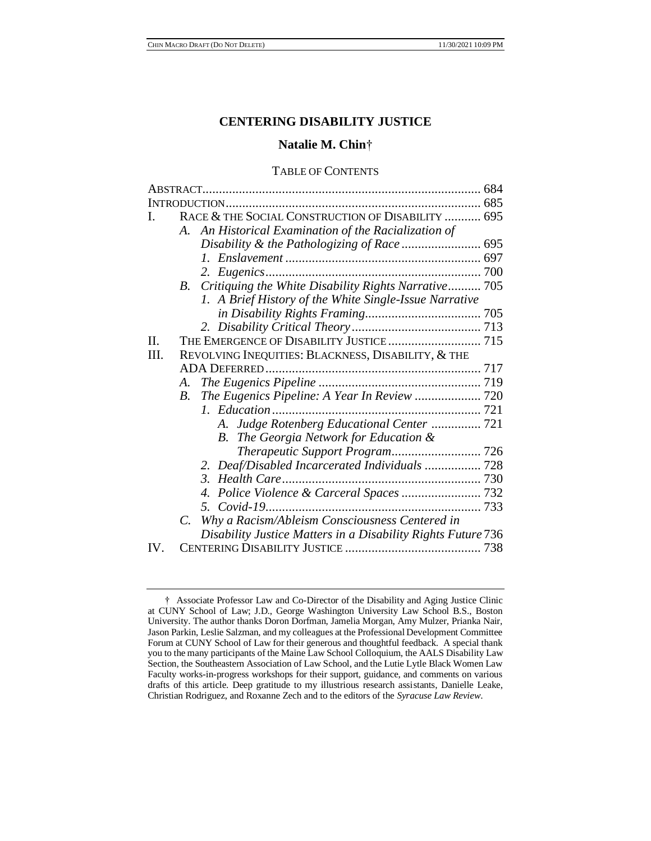# **CENTERING DISABILITY JUSTICE**

# **Natalie M. Chin**†

# TABLE OF CONTENTS

|         | <b>INTRODUCTION</b>                                              |  |
|---------|------------------------------------------------------------------|--|
| L       | RACE & THE SOCIAL CONSTRUCTION OF DISABILITY  695                |  |
|         | An Historical Examination of the Racialization of<br>A.          |  |
|         | Disability & the Pathologizing of Race  695                      |  |
|         |                                                                  |  |
|         |                                                                  |  |
|         | B. Critiquing the White Disability Rights Narrative 705          |  |
|         | 1. A Brief History of the White Single-Issue Narrative           |  |
|         |                                                                  |  |
|         |                                                                  |  |
| $\Pi$ . |                                                                  |  |
| III.    | REVOLVING INEQUITIES: BLACKNESS, DISABILITY, & THE               |  |
|         |                                                                  |  |
|         | A.                                                               |  |
|         | The Eugenics Pipeline: A Year In Review  720<br>$B_{\cdot}$      |  |
|         |                                                                  |  |
|         | A. Judge Rotenberg Educational Center  721                       |  |
|         | B. The Georgia Network for Education &                           |  |
|         |                                                                  |  |
|         | 2. Deaf/Disabled Incarcerated Individuals  728                   |  |
|         | $\mathfrak{Z}$ .                                                 |  |
|         |                                                                  |  |
|         | 5.                                                               |  |
|         | Why a Racism/Ableism Consciousness Centered in<br>$\overline{C}$ |  |
|         | Disability Justice Matters in a Disability Rights Future 736     |  |
| IV.     |                                                                  |  |
|         |                                                                  |  |

<sup>†</sup> Associate Professor Law and Co-Director of the Disability and Aging Justice Clinic at CUNY School of Law; J.D., George Washington University Law School B.S., Boston University. The author thanks Doron Dorfman, Jamelia Morgan, Amy Mulzer, Prianka Nair, Jason Parkin, Leslie Salzman, and my colleagues at the Professional Development Committee Forum at CUNY School of Law for their generous and thoughtful feedback. A special thank you to the many participants of the Maine Law School Colloquium, the AALS Disability Law Section, the Southeastern Association of Law School, and the Lutie Lytle Black Women Law Faculty works-in-progress workshops for their support, guidance, and comments on various drafts of this article. Deep gratitude to my illustrious research assistants, Danielle Leake, Christian Rodriguez, and Roxanne Zech and to the editors of the *Syracuse Law Review*.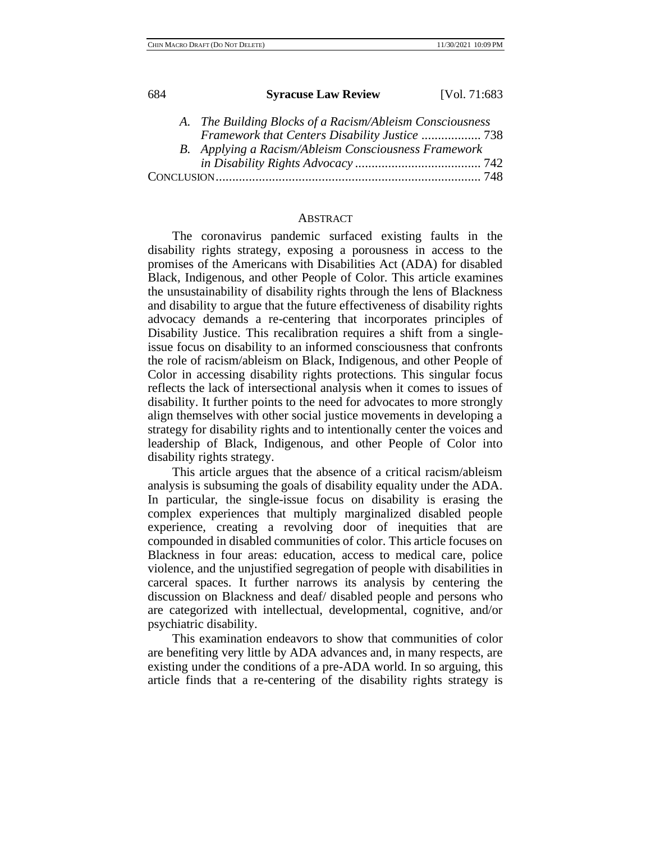| 684 | <b>Syracuse Law Review</b> | [Vol. 71:683] |
|-----|----------------------------|---------------|
|     |                            |               |

|  | A. The Building Blocks of a Racism/Ableism Consciousness |  |
|--|----------------------------------------------------------|--|
|  | Framework that Centers Disability Justice  738           |  |
|  | B. Applying a Racism/Ableism Consciousness Framework     |  |
|  |                                                          |  |
|  |                                                          |  |

## ABSTRACT

The coronavirus pandemic surfaced existing faults in the disability rights strategy, exposing a porousness in access to the promises of the Americans with Disabilities Act (ADA) for disabled Black, Indigenous, and other People of Color. This article examines the unsustainability of disability rights through the lens of Blackness and disability to argue that the future effectiveness of disability rights advocacy demands a re-centering that incorporates principles of Disability Justice. This recalibration requires a shift from a singleissue focus on disability to an informed consciousness that confronts the role of racism/ableism on Black, Indigenous, and other People of Color in accessing disability rights protections. This singular focus reflects the lack of intersectional analysis when it comes to issues of disability. It further points to the need for advocates to more strongly align themselves with other social justice movements in developing a strategy for disability rights and to intentionally center the voices and leadership of Black, Indigenous, and other People of Color into disability rights strategy.

This article argues that the absence of a critical racism/ableism analysis is subsuming the goals of disability equality under the ADA. In particular, the single-issue focus on disability is erasing the complex experiences that multiply marginalized disabled people experience, creating a revolving door of inequities that are compounded in disabled communities of color. This article focuses on Blackness in four areas: education, access to medical care, police violence, and the unjustified segregation of people with disabilities in carceral spaces. It further narrows its analysis by centering the discussion on Blackness and deaf/ disabled people and persons who are categorized with intellectual, developmental, cognitive, and/or psychiatric disability.

This examination endeavors to show that communities of color are benefiting very little by ADA advances and, in many respects, are existing under the conditions of a pre-ADA world. In so arguing, this article finds that a re-centering of the disability rights strategy is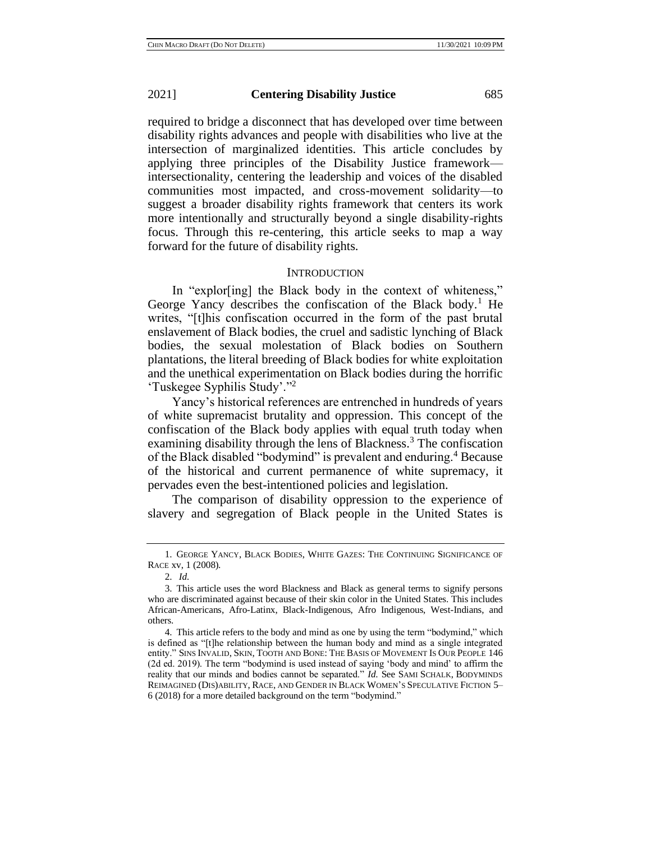required to bridge a disconnect that has developed over time between disability rights advances and people with disabilities who live at the intersection of marginalized identities. This article concludes by applying three principles of the Disability Justice framework intersectionality, centering the leadership and voices of the disabled communities most impacted, and cross-movement solidarity—to suggest a broader disability rights framework that centers its work more intentionally and structurally beyond a single disability-rights focus. Through this re-centering, this article seeks to map a way forward for the future of disability rights.

## **INTRODUCTION**

In "explor[ing] the Black body in the context of whiteness," George Yancy describes the confiscation of the Black body.<sup>1</sup> He writes, "[t]his confiscation occurred in the form of the past brutal enslavement of Black bodies, the cruel and sadistic lynching of Black bodies, the sexual molestation of Black bodies on Southern plantations, the literal breeding of Black bodies for white exploitation and the unethical experimentation on Black bodies during the horrific 'Tuskegee Syphilis Study'."<sup>2</sup>

Yancy's historical references are entrenched in hundreds of years of white supremacist brutality and oppression. This concept of the confiscation of the Black body applies with equal truth today when examining disability through the lens of Blackness.<sup>3</sup> The confiscation of the Black disabled "bodymind" is prevalent and enduring.<sup>4</sup> Because of the historical and current permanence of white supremacy, it pervades even the best-intentioned policies and legislation.

The comparison of disability oppression to the experience of slavery and segregation of Black people in the United States is

<sup>1.</sup> GEORGE YANCY, BLACK BODIES, WHITE GAZES: THE CONTINUING SIGNIFICANCE OF RACE xv, 1 (2008).

<sup>2.</sup> *Id.*

<sup>3.</sup> This article uses the word Blackness and Black as general terms to signify persons who are discriminated against because of their skin color in the United States. This includes African-Americans, Afro-Latinx, Black-Indigenous, Afro Indigenous, West-Indians, and others.

<sup>4.</sup> This article refers to the body and mind as one by using the term "bodymind," which is defined as "[t]he relationship between the human body and mind as a single integrated entity." SINS INVALID, SKIN, TOOTH AND BONE: THE BASIS OF MOVEMENT IS OUR PEOPLE 146 (2d ed. 2019). The term "bodymind is used instead of saying 'body and mind' to affirm the reality that our minds and bodies cannot be separated." *Id*. See SAMI SCHALK, BODYMINDS REIMAGINED (DIS)ABILITY, RACE, AND GENDER IN BLACK WOMEN'S SPECULATIVE FICTION 5– 6 (2018) for a more detailed background on the term "bodymind."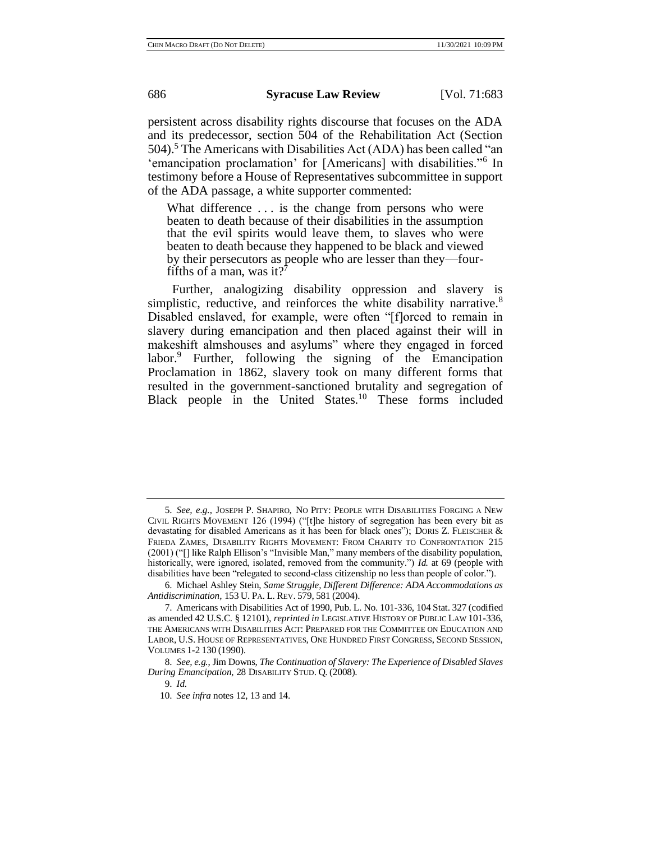persistent across disability rights discourse that focuses on the ADA and its predecessor, section 504 of the Rehabilitation Act (Section 504).<sup>5</sup> The Americans with Disabilities Act (ADA) has been called "an 'emancipation proclamation' for [Americans] with disabilities."<sup>6</sup> In testimony before a House of Representatives subcommittee in support of the ADA passage, a white supporter commented:

What difference ... is the change from persons who were beaten to death because of their disabilities in the assumption that the evil spirits would leave them, to slaves who were beaten to death because they happened to be black and viewed by their persecutors as people who are lesser than they—fourfifths of a man, was it?'

Further, analogizing disability oppression and slavery is simplistic, reductive, and reinforces the white disability narrative.<sup>8</sup> Disabled enslaved, for example, were often "[f]orced to remain in slavery during emancipation and then placed against their will in makeshift almshouses and asylums" where they engaged in forced labor.<sup>9</sup> Further, following the signing of the Emancipation Proclamation in 1862, slavery took on many different forms that resulted in the government-sanctioned brutality and segregation of Black people in the United States.<sup>10</sup> These forms included

9. *Id.*

<sup>5.</sup> *See, e.g.*, JOSEPH P. SHAPIRO, NO PITY: PEOPLE WITH DISABILITIES FORGING A NEW CIVIL RIGHTS MOVEMENT 126 (1994) ("[t]he history of segregation has been every bit as devastating for disabled Americans as it has been for black ones"); DORIS Z. FLEISCHER & FRIEDA ZAMES, DISABILITY RIGHTS MOVEMENT: FROM CHARITY TO CONFRONTATION 215 (2001) ("[] like Ralph Ellison's "Invisible Man," many members of the disability population, historically, were ignored, isolated, removed from the community.") *Id.* at 69 (people with disabilities have been "relegated to second-class citizenship no less than people of color.").

<sup>6.</sup> Michael Ashley Stein, *Same Struggle, Different Difference: ADA Accommodations as Antidiscrimination,* 153 U. PA. L. REV. 579, 581 (2004).

<sup>7.</sup> Americans with Disabilities Act of 1990, Pub. L. No. 101-336, 104 Stat. 327 (codified as amended 42 U.S.C. § 12101), *reprinted in* LEGISLATIVE HISTORY OF PUBLIC LAW 101-336, THE AMERICANS WITH DISABILITIES ACT: PREPARED FOR THE COMMITTEE ON EDUCATION AND LABOR, U.S. HOUSE OF REPRESENTATIVES, ONE HUNDRED FIRST CONGRESS, SECOND SESSION, VOLUMES 1-2 130 (1990).

<sup>8.</sup> *See, e.g.*, Jim Downs, *The Continuation of Slavery: The Experience of Disabled Slaves During Emancipation*, 28 DISABILITY STUD. Q. (2008).

<sup>10.</sup> *See infra* notes 12, 13 and 14.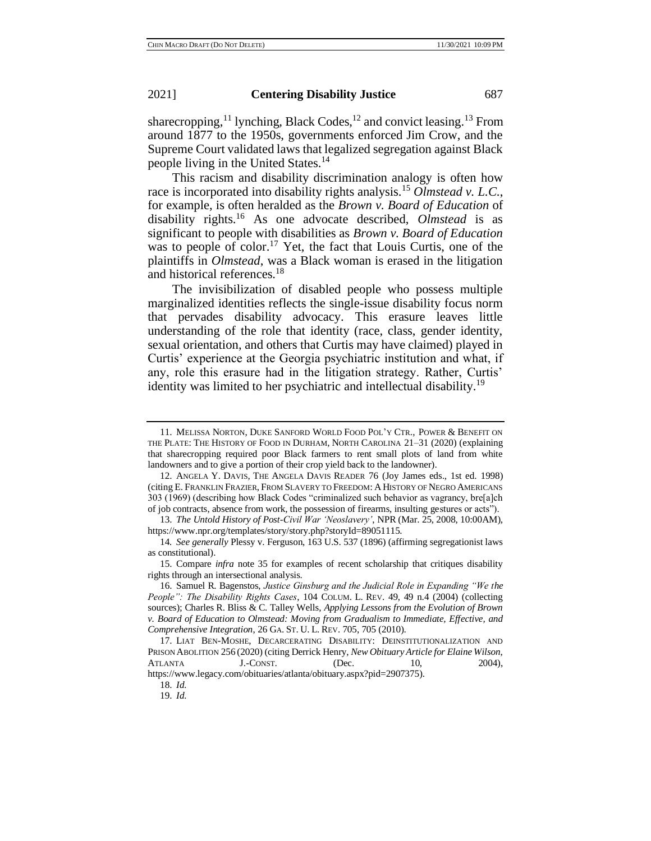sharecropping,<sup>11</sup> lynching, Black Codes,<sup>12</sup> and convict leasing.<sup>13</sup> From around 1877 to the 1950s, governments enforced Jim Crow, and the Supreme Court validated laws that legalized segregation against Black people living in the United States.<sup>14</sup>

This racism and disability discrimination analogy is often how race is incorporated into disability rights analysis.<sup>15</sup> *Olmstead v. L.C*., for example, is often heralded as the *Brown v. Board of Education* of disability rights.<sup>16</sup> As one advocate described, *Olmstead* is as significant to people with disabilities as *Brown v. Board of Education* was to people of color.<sup>17</sup> Yet, the fact that Louis Curtis, one of the plaintiffs in *Olmstead*, was a Black woman is erased in the litigation and historical references.<sup>18</sup>

The invisibilization of disabled people who possess multiple marginalized identities reflects the single-issue disability focus norm that pervades disability advocacy. This erasure leaves little understanding of the role that identity (race, class, gender identity, sexual orientation, and others that Curtis may have claimed) played in Curtis' experience at the Georgia psychiatric institution and what, if any, role this erasure had in the litigation strategy. Rather, Curtis' identity was limited to her psychiatric and intellectual disability.<sup>19</sup>

<sup>11.</sup> MELISSA NORTON, DUKE SANFORD WORLD FOOD POL'Y CTR., POWER & BENEFIT ON THE PLATE: THE HISTORY OF FOOD IN DURHAM, NORTH CAROLINA 21–31 (2020) (explaining that sharecropping required poor Black farmers to rent small plots of land from white landowners and to give a portion of their crop yield back to the landowner).

<sup>12.</sup> ANGELA Y. DAVIS, THE ANGELA DAVIS READER 76 (Joy James eds., 1st ed. 1998) (citing E. FRANKLIN FRAZIER, FROM SLAVERY TO FREEDOM: A HISTORY OF NEGRO AMERICANS 303 (1969) (describing how Black Codes "criminalized such behavior as vagrancy, bre[a]ch of job contracts, absence from work, the possession of firearms, insulting gestures or acts").

<sup>13.</sup> *The Untold History of Post-Civil War 'Neoslavery'*, NPR (Mar. 25, 2008, 10:00AM), https://www.npr.org/templates/story/story.php?storyId=89051115.

<sup>14</sup>*. See generally* Plessy v. Ferguson, 163 U.S. 537 (1896) (affirming segregationist laws as constitutional).

<sup>15.</sup> Compare *infra* note 35 for examples of recent scholarship that critiques disability rights through an intersectional analysis.

<sup>16.</sup> Samuel R. Bagenstos, *Justice Ginsburg and the Judicial Role in Expanding "We the People": The Disability Rights Cases*, 104 COLUM. L. REV. 49, 49 n.4 (2004) (collecting sources); Charles R. Bliss & C. Talley Wells, *Applying Lessons from the Evolution of Brown v. Board of Education to Olmstead: Moving from Gradualism to Immediate, Effective, and Comprehensive Integration*, 26 GA. ST. U. L. REV. 705, 705 (2010).

<sup>17.</sup> LIAT BEN-MOSHE, DECARCERATING DISABILITY: DEINSTITUTIONALIZATION AND PRISON ABOLITION 256 (2020) (citing Derrick Henry, *New Obituary Article for Elaine Wilson*, ATLANTA  $J.-\text{Consr.}$  (Dec. 10, 2004), https://www.legacy.com/obituaries/atlanta/obituary.aspx?pid=2907375).

<sup>18.</sup> *Id.*

<sup>19.</sup> *Id.*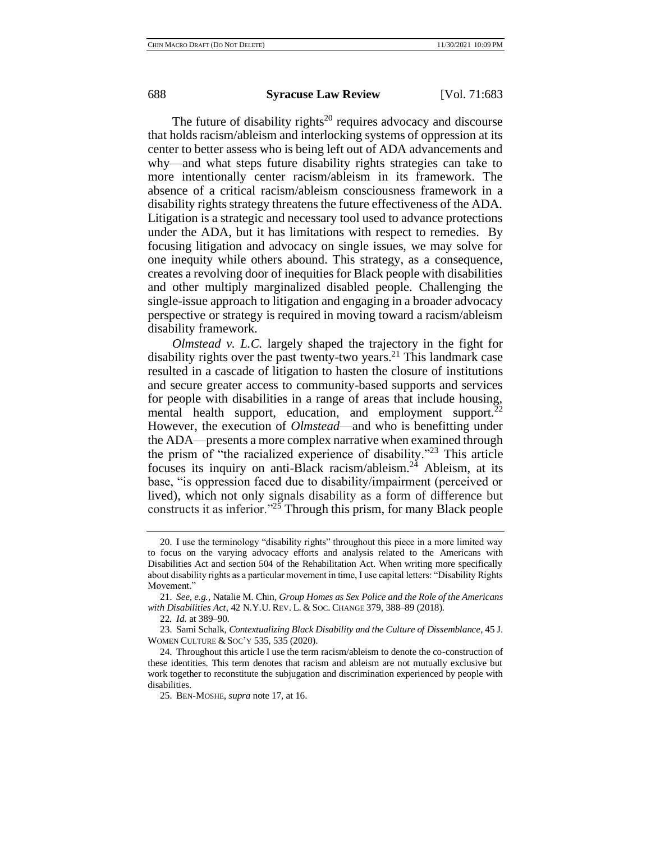The future of disability rights<sup>20</sup> requires advocacy and discourse that holds racism/ableism and interlocking systems of oppression at its center to better assess who is being left out of ADA advancements and why—and what steps future disability rights strategies can take to more intentionally center racism/ableism in its framework. The absence of a critical racism/ableism consciousness framework in a disability rights strategy threatens the future effectiveness of the ADA. Litigation is a strategic and necessary tool used to advance protections under the ADA, but it has limitations with respect to remedies. By focusing litigation and advocacy on single issues, we may solve for one inequity while others abound. This strategy, as a consequence, creates a revolving door of inequities for Black people with disabilities and other multiply marginalized disabled people. Challenging the single-issue approach to litigation and engaging in a broader advocacy perspective or strategy is required in moving toward a racism/ableism disability framework.

*Olmstead v. L.C.* largely shaped the trajectory in the fight for disability rights over the past twenty-two years.<sup>21</sup> This landmark case resulted in a cascade of litigation to hasten the closure of institutions and secure greater access to community-based supports and services for people with disabilities in a range of areas that include housing, mental health support, education, and employment support.<sup>22</sup> However, the execution of *Olmstead*—and who is benefitting under the ADA—presents a more complex narrative when examined through the prism of "the racialized experience of disability."<sup>23</sup> This article focuses its inquiry on anti-Black racism/ableism.<sup>24</sup> Ableism, at its base, "is oppression faced due to disability/impairment (perceived or lived), which not only signals disability as a form of difference but constructs it as inferior."<sup>25</sup> Through this prism, for many Black people

<sup>20.</sup> I use the terminology "disability rights" throughout this piece in a more limited way to focus on the varying advocacy efforts and analysis related to the Americans with Disabilities Act and section 504 of the Rehabilitation Act. When writing more specifically about disability rights as a particular movement in time, I use capital letters: "Disability Rights Movement."

<sup>21.</sup> *See, e.g.*, Natalie M. Chin, *Group Homes as Sex Police and the Role of the Americans with Disabilities Act*, 42 N.Y.U. REV. L. & SOC. CHANGE 379, 388–89 (2018)*.*

<sup>22</sup>*. Id.* at 389–90.

<sup>23.</sup> Sami Schalk, *Contextualizing Black Disability and the Culture of Dissemblance*, 45 J. WOMEN CULTURE & SOC'Y 535, 535 (2020).

<sup>24.</sup> Throughout this article I use the term racism/ableism to denote the co-construction of these identities. This term denotes that racism and ableism are not mutually exclusive but work together to reconstitute the subjugation and discrimination experienced by people with disabilities.

<sup>25.</sup> BEN-MOSHE, *supra* note 17, at 16.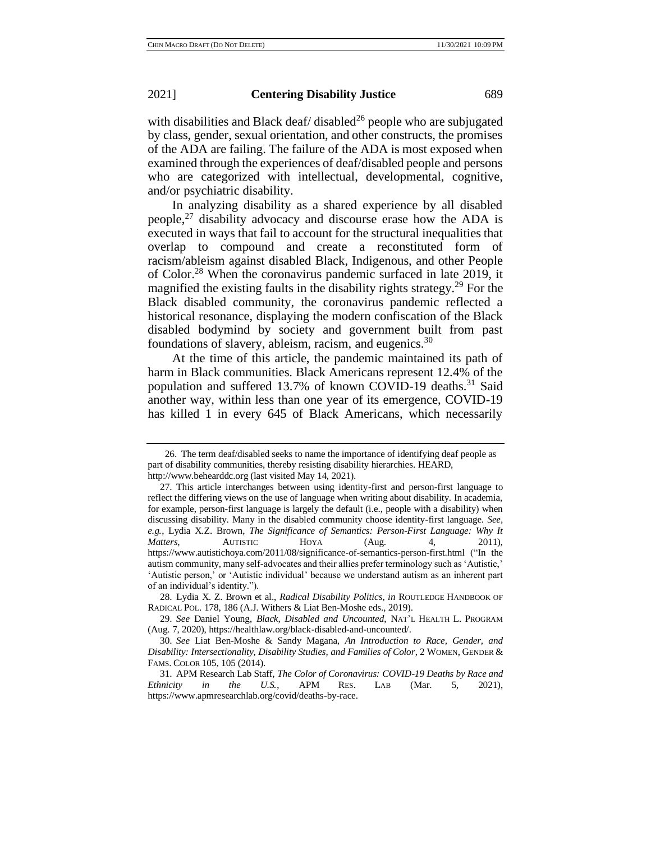with disabilities and Black deaf/ disabled<sup>26</sup> people who are subjugated by class, gender, sexual orientation, and other constructs, the promises of the ADA are failing. The failure of the ADA is most exposed when examined through the experiences of deaf/disabled people and persons who are categorized with intellectual, developmental, cognitive, and/or psychiatric disability.

In analyzing disability as a shared experience by all disabled people,<sup>27</sup> disability advocacy and discourse erase how the ADA is executed in ways that fail to account for the structural inequalities that overlap to compound and create a reconstituted form of racism/ableism against disabled Black, Indigenous, and other People of Color.<sup>28</sup> When the coronavirus pandemic surfaced in late 2019, it magnified the existing faults in the disability rights strategy.<sup>29</sup> For the Black disabled community, the coronavirus pandemic reflected a historical resonance, displaying the modern confiscation of the Black disabled bodymind by society and government built from past foundations of slavery, ableism, racism, and eugenics. $30$ 

At the time of this article, the pandemic maintained its path of harm in Black communities. Black Americans represent 12.4% of the population and suffered 13.7% of known COVID-19 deaths.<sup>31</sup> Said another way, within less than one year of its emergence, COVID-19 has killed 1 in every 645 of Black Americans, which necessarily

<sup>26.</sup> The term deaf/disabled seeks to name the importance of identifying deaf people as part of disability communities, thereby resisting disability hierarchies. HEARD, http://www.behearddc.org (last visited May 14, 2021).

<sup>27.</sup> This article interchanges between using identity-first and person-first language to reflect the differing views on the use of language when writing about disability. In academia, for example, person-first language is largely the default (i.e., people with a disability) when discussing disability. Many in the disabled community choose identity-first language. *See, e.g.*, Lydia X.Z. Brown, *The Significance of Semantics: Person-First Language: Why It Matters*, **AUTISTIC** HOYA (Aug. 4, 2011), https://www.autistichoya.com/2011/08/significance-of-semantics-person-first.html ("In the autism community, many self-advocates and their allies prefer terminology such as 'Autistic,' 'Autistic person,' or 'Autistic individual' because we understand autism as an inherent part of an individual's identity.").

<sup>28.</sup> Lydia X. Z. Brown et al., *Radical Disability Politics*, *in* ROUTLEDGE HANDBOOK OF RADICAL POL. 178, 186 (A.J. Withers & Liat Ben-Moshe eds., 2019).

<sup>29.</sup> *See* Daniel Young, *Black, Disabled and Uncounted*, NAT'L HEALTH L. PROGRAM (Aug. 7, 2020), https://healthlaw.org/black-disabled-and-uncounted/.

<sup>30.</sup> *See* Liat Ben-Moshe & Sandy Magana, *An Introduction to Race, Gender, and Disability: Intersectionality, Disability Studies, and Families of Color*, 2 WOMEN, GENDER & FAMS. COLOR 105, 105 (2014).

<sup>31.</sup> APM Research Lab Staff, *The Color of Coronavirus: COVID-19 Deaths by Race and Ethnicity in the U.S.*, APM RES. LAB (Mar. 5, 2021), https://www.apmresearchlab.org/covid/deaths-by-race.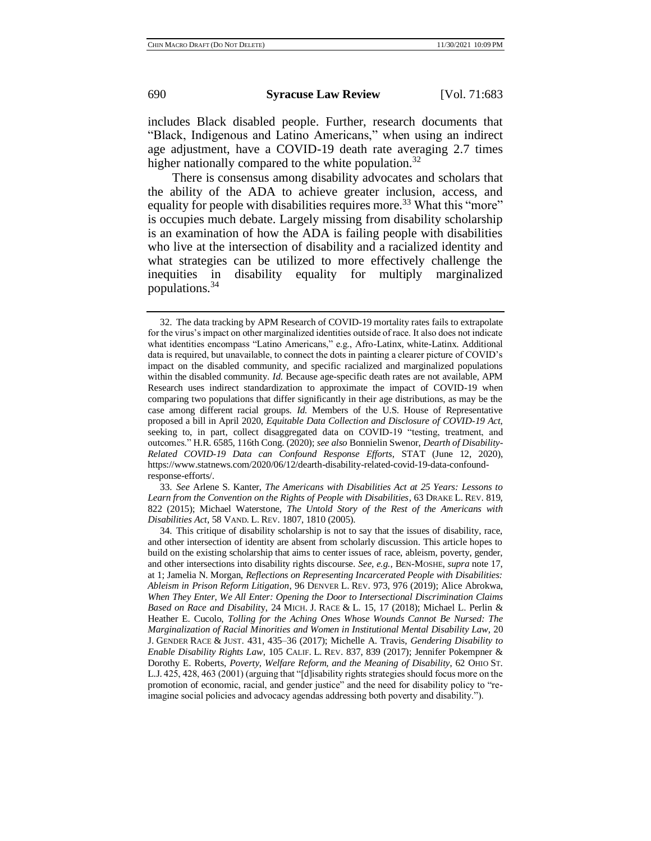includes Black disabled people. Further, research documents that "Black, Indigenous and Latino Americans," when using an indirect age adjustment, have a COVID-19 death rate averaging 2.7 times higher nationally compared to the white population.<sup>32</sup>

There is consensus among disability advocates and scholars that the ability of the ADA to achieve greater inclusion, access, and equality for people with disabilities requires more.<sup>33</sup> What this "more" is occupies much debate. Largely missing from disability scholarship is an examination of how the ADA is failing people with disabilities who live at the intersection of disability and a racialized identity and what strategies can be utilized to more effectively challenge the inequities in disability equality for multiply marginalized populations.<sup>34</sup>

33. *See* Arlene S. Kanter, *The Americans with Disabilities Act at 25 Years: Lessons to Learn from the Convention on the Rights of People with Disabilities*, 63 DRAKE L. REV. 819, 822 (2015); Michael Waterstone, *The Untold Story of the Rest of the Americans with Disabilities Act*, 58 VAND. L. REV. 1807, 1810 (2005).

<sup>32.</sup> The data tracking by APM Research of COVID-19 mortality rates fails to extrapolate for the virus's impact on other marginalized identities outside of race. It also does not indicate what identities encompass "Latino Americans," e.g., Afro-Latinx, white-Latinx. Additional data is required, but unavailable, to connect the dots in painting a clearer picture of COVID's impact on the disabled community, and specific racialized and marginalized populations within the disabled community. *Id.* Because age-specific death rates are not available, APM Research uses indirect standardization to approximate the impact of COVID-19 when comparing two populations that differ significantly in their age distributions, as may be the case among different racial groups. *Id.* Members of the U.S. House of Representative proposed a bill in April 2020, *Equitable Data Collection and Disclosure of COVID-19 Act*, seeking to, in part, collect disaggregated data on COVID-19 "testing, treatment, and outcomes." H.R. 6585, 116th Cong. (2020); *see also* Bonnielin Swenor, *Dearth of Disability-Related COVID-19 Data can Confound Response Efforts*, STAT (June 12, 2020), https://www.statnews.com/2020/06/12/dearth-disability-related-covid-19-data-confoundresponse-efforts/.

<sup>34.</sup> This critique of disability scholarship is not to say that the issues of disability, race, and other intersection of identity are absent from scholarly discussion. This article hopes to build on the existing scholarship that aims to center issues of race, ableism, poverty, gender, and other intersections into disability rights discourse. *See, e.g.*, BEN-MOSHE, *supra* note 17, at 1; Jamelia N. Morgan, *Reflections on Representing Incarcerated People with Disabilities: Ableism in Prison Reform Litigation*, 96 DENVER L. REV. 973, 976 (2019); Alice Abrokwa, *When They Enter, We All Enter: Opening the Door to Intersectional Discrimination Claims Based on Race and Disabilit*y, 24 MICH. J. RACE & L. 15, 17 (2018); Michael L. Perlin & Heather E. Cucolo, *Tolling for the Aching Ones Whose Wounds Cannot Be Nursed: The Marginalization of Racial Minorities and Women in Institutional Mental Disability Law*, 20 J. GENDER RACE & JUST. 431, 435–36 (2017); Michelle A. Travis, *Gendering Disability to Enable Disability Rights Law*, 105 CALIF. L. REV. 837, 839 (2017); Jennifer Pokempner & Dorothy E. Roberts, *Poverty, Welfare Reform, and the Meaning of Disability*, 62 OHIO ST. L.J. 425, 428, 463 (2001) (arguing that "[d]isability rights strategies should focus more on the promotion of economic, racial, and gender justice" and the need for disability policy to "reimagine social policies and advocacy agendas addressing both poverty and disability.").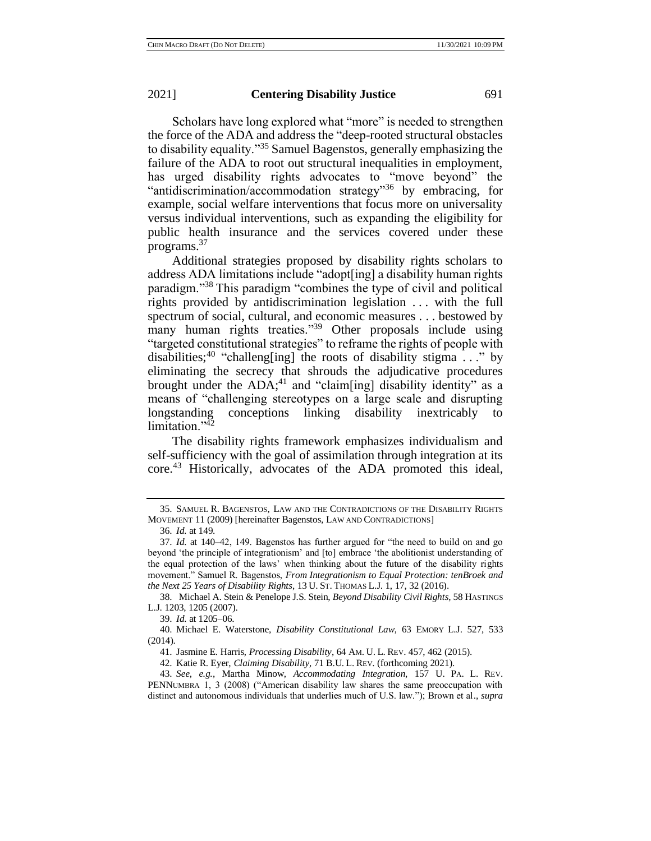Scholars have long explored what "more" is needed to strengthen the force of the ADA and address the "deep-rooted structural obstacles to disability equality."<sup>35</sup> Samuel Bagenstos, generally emphasizing the failure of the ADA to root out structural inequalities in employment, has urged disability rights advocates to "move beyond" the "antidiscrimination/accommodation strategy"<sup>36</sup> by embracing, for example, social welfare interventions that focus more on universality versus individual interventions, such as expanding the eligibility for public health insurance and the services covered under these programs.<sup>37</sup>

Additional strategies proposed by disability rights scholars to address ADA limitations include "adopt[ing] a disability human rights paradigm."<sup>38</sup> This paradigm "combines the type of civil and political rights provided by antidiscrimination legislation . . . with the full spectrum of social, cultural, and economic measures . . . bestowed by many human rights treaties."<sup>39</sup> Other proposals include using "targeted constitutional strategies" to reframe the rights of people with disabilities;<sup>40</sup> "challeng[ing] the roots of disability stigma . . ." by eliminating the secrecy that shrouds the adjudicative procedures brought under the ADA;<sup>41</sup> and "claim[ing] disability identity" as a means of "challenging stereotypes on a large scale and disrupting longstanding conceptions linking disability inextricably to limitation."<sup>42</sup>

The disability rights framework emphasizes individualism and self-sufficiency with the goal of assimilation through integration at its core.<sup>43</sup> Historically, advocates of the ADA promoted this ideal,

39. *Id.* at 1205–06.

<sup>35.</sup> SAMUEL R. BAGENSTOS, LAW AND THE CONTRADICTIONS OF THE DISABILITY RIGHTS MOVEMENT 11 (2009) [hereinafter Bagenstos, LAW AND CONTRADICTIONS]

<sup>36.</sup> *Id.* at 149.

<sup>37.</sup> *Id.* at 140–42, 149. Bagenstos has further argued for "the need to build on and go beyond 'the principle of integrationism' and [to] embrace 'the abolitionist understanding of the equal protection of the laws' when thinking about the future of the disability rights movement." Samuel R. Bagenstos, *From Integrationism to Equal Protection: tenBroek and the Next 25 Years of Disability Rights*, 13 U. ST. THOMAS L.J. 1, 17, 32 (2016).

<sup>38.</sup> Michael A. Stein & Penelope J.S. Stein, *Beyond Disability Civil Rights*, 58 HASTINGS L.J. 1203, 1205 (2007).

<sup>40.</sup> Michael E. Waterstone, *Disability Constitutional Law*, 63 EMORY L.J. 527, 533 (2014).

<sup>41.</sup> Jasmine E. Harris, *Processing Disability*, 64 AM. U. L. REV. 457, 462 (2015).

<sup>42.</sup> Katie R. Eyer, *Claiming Disability*, 71 B.U. L. REV. (forthcoming 2021).

<sup>43.</sup> *See*, *e.g.*, Martha Minow, *Accommodating Integration*, 157 U. PA. L. REV. PENNUMBRA 1, 3 (2008) ("American disability law shares the same preoccupation with distinct and autonomous individuals that underlies much of U.S. law."); Brown et al., *supra*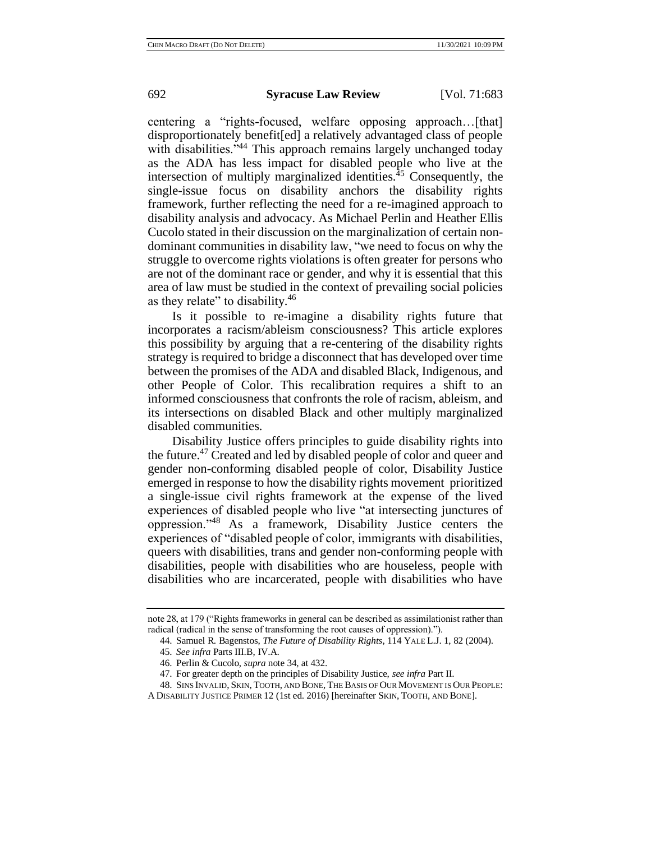centering a "rights-focused, welfare opposing approach…[that] disproportionately benefit[ed] a relatively advantaged class of people with disabilities."<sup>44</sup> This approach remains largely unchanged today as the ADA has less impact for disabled people who live at the intersection of multiply marginalized identities.<sup> $45$ </sup> Consequently, the single-issue focus on disability anchors the disability rights framework, further reflecting the need for a re-imagined approach to disability analysis and advocacy. As Michael Perlin and Heather Ellis Cucolo stated in their discussion on the marginalization of certain nondominant communities in disability law, "we need to focus on why the struggle to overcome rights violations is often greater for persons who are not of the dominant race or gender, and why it is essential that this area of law must be studied in the context of prevailing social policies as they relate" to disability.<sup>46</sup>

Is it possible to re-imagine a disability rights future that incorporates a racism/ableism consciousness? This article explores this possibility by arguing that a re-centering of the disability rights strategy is required to bridge a disconnect that has developed over time between the promises of the ADA and disabled Black, Indigenous, and other People of Color. This recalibration requires a shift to an informed consciousness that confronts the role of racism, ableism, and its intersections on disabled Black and other multiply marginalized disabled communities.

Disability Justice offers principles to guide disability rights into the future.<sup>47</sup> Created and led by disabled people of color and queer and gender non-conforming disabled people of color, Disability Justice emerged in response to how the disability rights movement prioritized a single-issue civil rights framework at the expense of the lived experiences of disabled people who live "at intersecting junctures of oppression."<sup>48</sup> As a framework, Disability Justice centers the experiences of "disabled people of color, immigrants with disabilities, queers with disabilities, trans and gender non-conforming people with disabilities, people with disabilities who are houseless, people with disabilities who are incarcerated, people with disabilities who have

note 28, at 179 ("Rights frameworks in general can be described as assimilationist rather than radical (radical in the sense of transforming the root causes of oppression).").

<sup>44.</sup> Samuel R. Bagenstos, *The Future of Disability Rights*, 114 YALE L.J. 1, 82 (2004).

<sup>45.</sup> *See infra* Parts III.B, IV.A.

<sup>46.</sup> Perlin & Cucolo, *supra* note 34, at 432.

<sup>47.</sup> For greater depth on the principles of Disability Justice, *see infra* Part II.

<sup>48.</sup> SINS INVALID, SKIN, TOOTH, AND BONE, THE BASIS OF OUR MOVEMENT IS OUR PEOPLE:

A DISABILITY JUSTICE PRIMER 12 (1st ed. 2016) [hereinafter SKIN, TOOTH, AND BONE].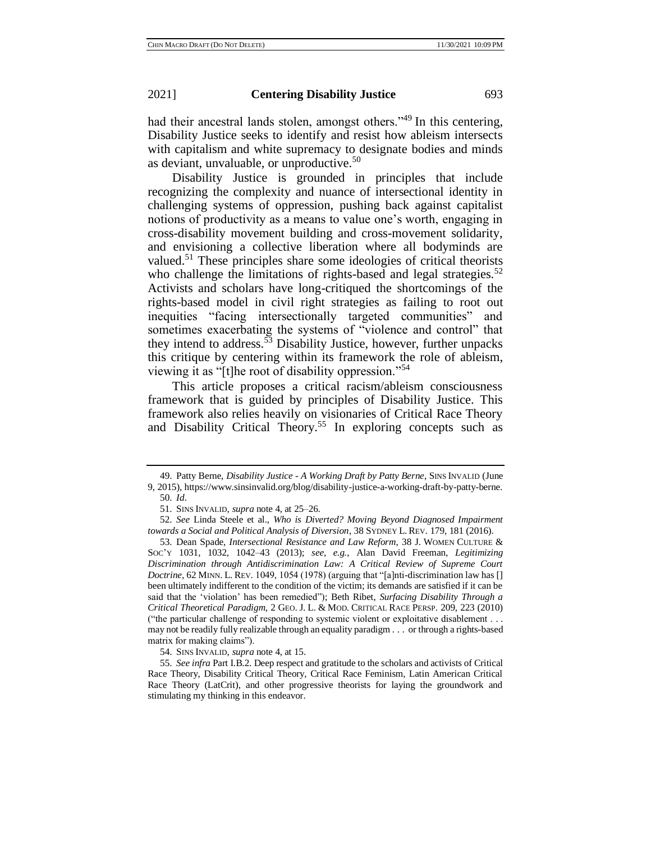had their ancestral lands stolen, amongst others."<sup>49</sup> In this centering, Disability Justice seeks to identify and resist how ableism intersects with capitalism and white supremacy to designate bodies and minds as deviant, unvaluable, or unproductive.<sup>50</sup>

Disability Justice is grounded in principles that include recognizing the complexity and nuance of intersectional identity in challenging systems of oppression, pushing back against capitalist notions of productivity as a means to value one's worth, engaging in cross-disability movement building and cross-movement solidarity, and envisioning a collective liberation where all bodyminds are valued.<sup>51</sup> These principles share some ideologies of critical theorists who challenge the limitations of rights-based and legal strategies.<sup>52</sup> Activists and scholars have long-critiqued the shortcomings of the rights-based model in civil right strategies as failing to root out inequities "facing intersectionally targeted communities" and sometimes exacerbating the systems of "violence and control" that they intend to address.<sup>53</sup> Disability Justice, however, further unpacks this critique by centering within its framework the role of ableism, viewing it as "[t]he root of disability oppression."<sup>54</sup>

This article proposes a critical racism/ableism consciousness framework that is guided by principles of Disability Justice. This framework also relies heavily on visionaries of Critical Race Theory and Disability Critical Theory.<sup>55</sup> In exploring concepts such as

54. SINS INVALID, *supra* note 4, at 15.

<sup>49.</sup> Patty Berne, *Disability Justice - A Working Draft by Patty Berne*, SINS INVALID (June 9, 2015), https://www.sinsinvalid.org/blog/disability-justice-a-working-draft-by-patty-berne.

<sup>50.</sup> *Id*.

<sup>51.</sup> SINS INVALID, *supra* note 4, at 25–26.

<sup>52.</sup> *See* Linda Steele et al., *Who is Diverted? Moving Beyond Diagnosed Impairment towards a Social and Political Analysis of Diversion*, 38 SYDNEY L. REV. 179, 181 (2016).

<sup>53.</sup> Dean Spade, *Intersectional Resistance and Law Reform*, 38 J. WOMEN CULTURE & SOC'Y 1031, 1032, 1042–43 (2013); *see, e.g.*, Alan David Freeman, *Legitimizing Discrimination through Antidiscrimination Law: A Critical Review of Supreme Court Doctrine*, 62 MINN. L. REV. 1049, 1054 (1978) (arguing that "[a]nti-discrimination law has [] been ultimately indifferent to the condition of the victim; its demands are satisfied if it can be said that the 'violation' has been remedied"); Beth Ribet, *Surfacing Disability Through a Critical Theoretical Paradigm*, 2 GEO. J. L. & MOD. CRITICAL RACE PERSP. 209, 223 (2010) ("the particular challenge of responding to systemic violent or exploitative disablement . . . may not be readily fully realizable through an equality paradigm . . . or through a rights-based matrix for making claims").

<sup>55.</sup> *See infra* Part I.B.2. Deep respect and gratitude to the scholars and activists of Critical Race Theory, Disability Critical Theory, Critical Race Feminism, Latin American Critical Race Theory (LatCrit), and other progressive theorists for laying the groundwork and stimulating my thinking in this endeavor.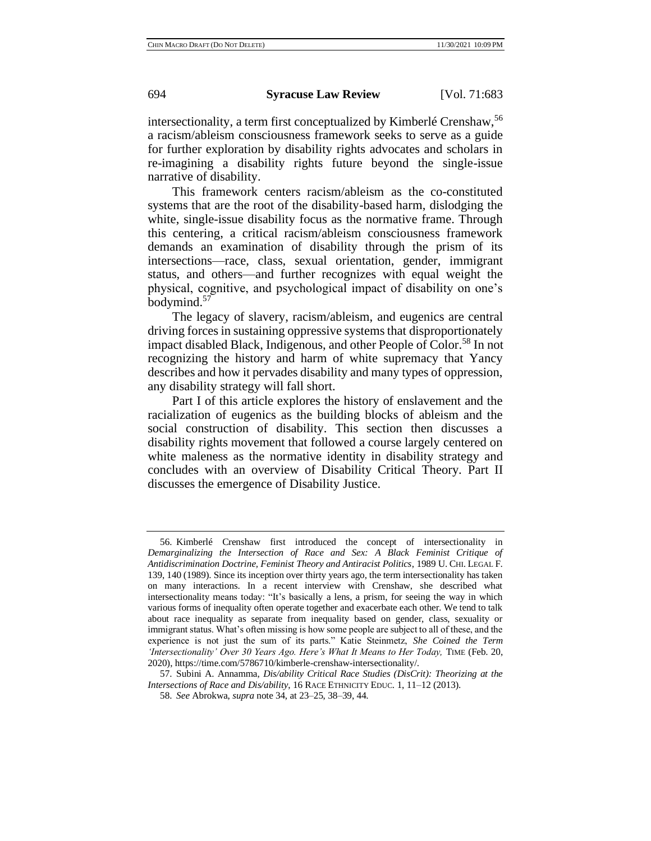intersectionality, a term first conceptualized by Kimberlé Crenshaw,<sup>56</sup> a racism/ableism consciousness framework seeks to serve as a guide for further exploration by disability rights advocates and scholars in re-imagining a disability rights future beyond the single-issue narrative of disability.

This framework centers racism/ableism as the co-constituted systems that are the root of the disability-based harm, dislodging the white, single-issue disability focus as the normative frame. Through this centering, a critical racism/ableism consciousness framework demands an examination of disability through the prism of its intersections—race, class, sexual orientation, gender, immigrant status, and others—and further recognizes with equal weight the physical, cognitive, and psychological impact of disability on one's bodymind.<sup>57</sup>

The legacy of slavery, racism/ableism, and eugenics are central driving forces in sustaining oppressive systems that disproportionately impact disabled Black, Indigenous, and other People of Color.<sup>58</sup> In not recognizing the history and harm of white supremacy that Yancy describes and how it pervades disability and many types of oppression, any disability strategy will fall short.

Part I of this article explores the history of enslavement and the racialization of eugenics as the building blocks of ableism and the social construction of disability. This section then discusses a disability rights movement that followed a course largely centered on white maleness as the normative identity in disability strategy and concludes with an overview of Disability Critical Theory. Part II discusses the emergence of Disability Justice.

<sup>56.</sup> Kimberlé Crenshaw first introduced the concept of intersectionality in *Demarginalizing the Intersection of Race and Sex: A Black Feminist Critique of Antidiscrimination Doctrine, Feminist Theory and Antiracist Politics*, 1989 U. CHI. LEGAL F. 139, 140 (1989). Since its inception over thirty years ago, the term intersectionality has taken on many interactions. In a recent interview with Crenshaw, she described what intersectionality means today: "It's basically a lens, a prism, for seeing the way in which various forms of inequality often operate together and exacerbate each other. We tend to talk about race inequality as separate from inequality based on gender, class, sexuality or immigrant status. What's often missing is how some people are subject to all of these, and the experience is not just the sum of its parts." Katie Steinmetz, *She Coined the Term 'Intersectionality' Over 30 Years Ago. Here's What It Means to Her Today, TIME (Feb. 20,* 2020), https://time.com/5786710/kimberle-crenshaw-intersectionality/.

<sup>57.</sup> Subini A. Annamma, *Dis/ability Critical Race Studies (DisCrit): Theorizing at the Intersections of Race and Dis/ability*, 16 RACE ETHNICITY EDUC. 1, 11–12 (2013).

<sup>58.</sup> *See* Abrokwa, *supra* note 34, at 23–25, 38–39, 44.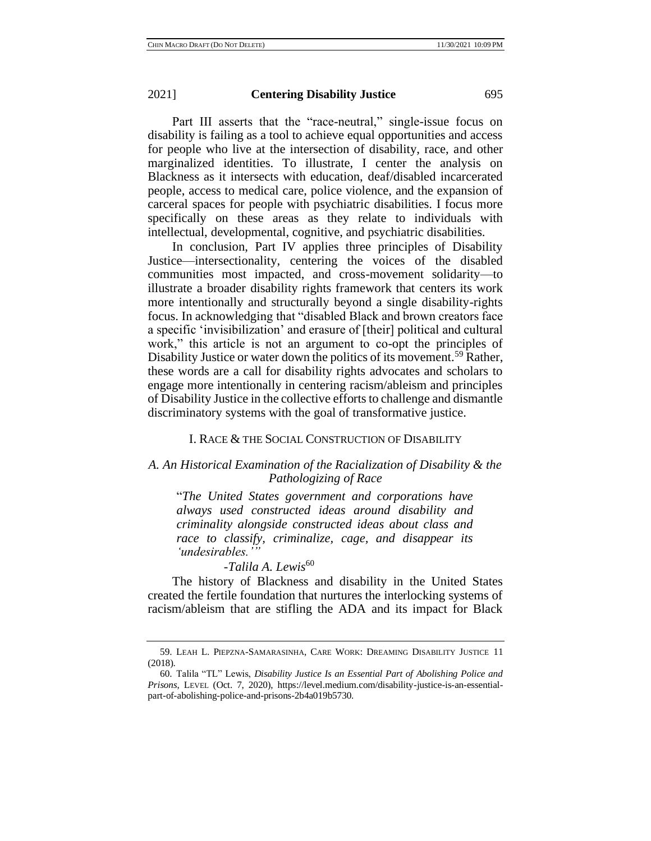Part III asserts that the "race-neutral," single-issue focus on disability is failing as a tool to achieve equal opportunities and access for people who live at the intersection of disability, race, and other marginalized identities. To illustrate, I center the analysis on Blackness as it intersects with education, deaf/disabled incarcerated people, access to medical care, police violence, and the expansion of carceral spaces for people with psychiatric disabilities. I focus more specifically on these areas as they relate to individuals with intellectual, developmental, cognitive, and psychiatric disabilities.

In conclusion, Part IV applies three principles of Disability Justice—intersectionality, centering the voices of the disabled communities most impacted, and cross-movement solidarity—to illustrate a broader disability rights framework that centers its work more intentionally and structurally beyond a single disability-rights focus. In acknowledging that "disabled Black and brown creators face a specific 'invisibilization' and erasure of [their] political and cultural work," this article is not an argument to co-opt the principles of Disability Justice or water down the politics of its movement.<sup>59</sup> Rather, these words are a call for disability rights advocates and scholars to engage more intentionally in centering racism/ableism and principles of Disability Justice in the collective efforts to challenge and dismantle discriminatory systems with the goal of transformative justice.

# I. RACE & THE SOCIAL CONSTRUCTION OF DISABILITY

# *A. An Historical Examination of the Racialization of Disability & the Pathologizing of Race*

"*The United States government and corporations have always used constructed ideas around disability and criminality alongside constructed ideas about class and race to classify, criminalize, cage, and disappear its 'undesirables.'"* 

# *-Talila A. Lewis*<sup>60</sup>

The history of Blackness and disability in the United States created the fertile foundation that nurtures the interlocking systems of racism/ableism that are stifling the ADA and its impact for Black

<sup>59.</sup> LEAH L. PIEPZNA-SAMARASINHA, CARE WORK: DREAMING DISABILITY JUSTICE 11 (2018).

<sup>60.</sup> Talila "TL" Lewis, *Disability Justice Is an Essential Part of Abolishing Police and Prisons*, LEVEL (Oct. 7, 2020), https://level.medium.com/disability-justice-is-an-essentialpart-of-abolishing-police-and-prisons-2b4a019b5730.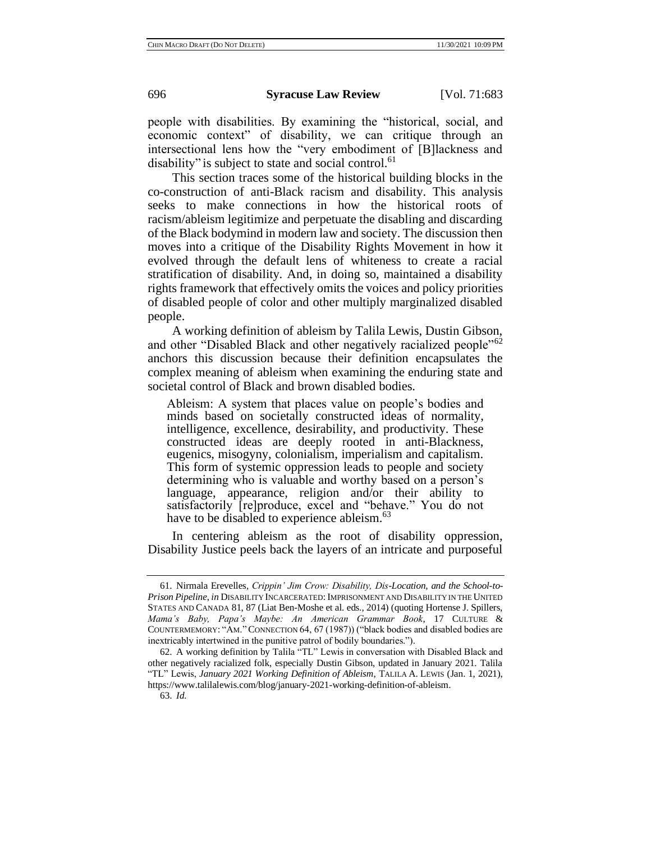people with disabilities. By examining the "historical, social, and economic context" of disability, we can critique through an intersectional lens how the "very embodiment of [B]lackness and disability" is subject to state and social control.<sup>61</sup>

This section traces some of the historical building blocks in the co-construction of anti-Black racism and disability. This analysis seeks to make connections in how the historical roots of racism/ableism legitimize and perpetuate the disabling and discarding of the Black bodymind in modern law and society. The discussion then moves into a critique of the Disability Rights Movement in how it evolved through the default lens of whiteness to create a racial stratification of disability. And, in doing so, maintained a disability rights framework that effectively omits the voices and policy priorities of disabled people of color and other multiply marginalized disabled people.

A working definition of ableism by Talila Lewis, Dustin Gibson, and other "Disabled Black and other negatively racialized people"<sup>62</sup> anchors this discussion because their definition encapsulates the complex meaning of ableism when examining the enduring state and societal control of Black and brown disabled bodies.

Ableism: A system that places value on people's bodies and minds based on societally constructed ideas of normality, intelligence, excellence, desirability, and productivity. These constructed ideas are deeply rooted in anti-Blackness, eugenics, misogyny, colonialism, imperialism and capitalism. This form of systemic oppression leads to people and society determining who is valuable and worthy based on a person's language, appearance, religion and/or their ability to satisfactorily [re]produce, excel and "behave." You do not have to be disabled to experience ableism.<sup>63</sup>

In centering ableism as the root of disability oppression, Disability Justice peels back the layers of an intricate and purposeful

<sup>61.</sup> Nirmala Erevelles, *Crippin' Jim Crow: Disability, Dis-Location, and the School-to-Prison Pipeline*, *in* DISABILITY INCARCERATED: IMPRISONMENT AND DISABILITY IN THE UNITED STATES AND CANADA 81, 87 (Liat Ben-Moshe et al. eds., 2014) (quoting Hortense J. Spillers, *Mama's Baby, Papa's Maybe: An American Grammar Book*, 17 CULTURE & COUNTERMEMORY: "AM."CONNECTION 64, 67 (1987)) ("black bodies and disabled bodies are inextricably intertwined in the punitive patrol of bodily boundaries.").

<sup>62.</sup> A working definition by Talila "TL" Lewis in conversation with Disabled Black and other negatively racialized folk, especially Dustin Gibson, updated in January 2021. Talila "TL" Lewis, *January 2021 Working Definition of Ableism*, TALILA A. LEWIS (Jan. 1, 2021), https://www.talilalewis.com/blog/january-2021-working-definition-of-ableism.

<sup>63.</sup> *Id.*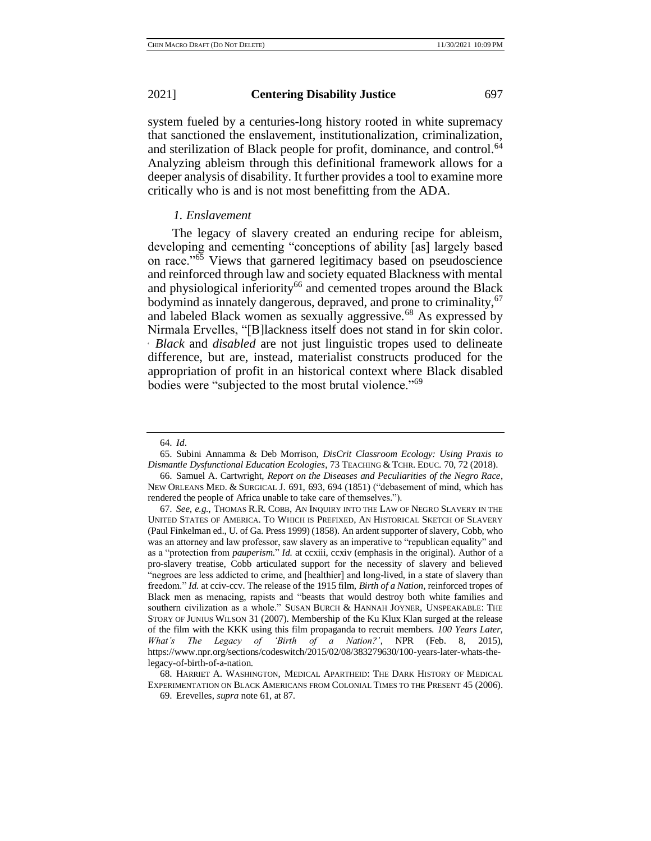system fueled by a centuries-long history rooted in white supremacy that sanctioned the enslavement, institutionalization, criminalization, and sterilization of Black people for profit, dominance, and control.<sup>64</sup> Analyzing ableism through this definitional framework allows for a deeper analysis of disability. It further provides a tool to examine more critically who is and is not most benefitting from the ADA.

## *1. Enslavement*

The legacy of slavery created an enduring recipe for ableism, developing and cementing "conceptions of ability [as] largely based on race."<sup>65</sup> Views that garnered legitimacy based on pseudoscience and reinforced through law and society equated Blackness with mental and physiological inferiority<sup>66</sup> and cemented tropes around the Black bodymind as innately dangerous, depraved, and prone to criminality, <sup>67</sup> and labeled Black women as sexually aggressive.<sup>68</sup> As expressed by Nirmala Ervelles, "[B]lackness itself does not stand in for skin color. ˛ *Black* and *disabled* are not just linguistic tropes used to delineate difference, but are, instead, materialist constructs produced for the appropriation of profit in an historical context where Black disabled bodies were "subjected to the most brutal violence."<sup>69</sup>

68. HARRIET A. WASHINGTON, MEDICAL APARTHEID: THE DARK HISTORY OF MEDICAL EXPERIMENTATION ON BLACK AMERICANS FROM COLONIAL TIMES TO THE PRESENT 45 (2006).

<sup>64.</sup> *Id*.

<sup>65.</sup> Subini Annamma & Deb Morrison, *DisCrit Classroom Ecology: Using Praxis to Dismantle Dysfunctional Education Ecologies*, 73 TEACHING & TCHR. EDUC. 70, 72 (2018).

<sup>66.</sup> Samuel A. Cartwright, *Report on the Diseases and Peculiarities of the Negro Race*, NEW ORLEANS MED. & SURGICAL J. 691, 693, 694 (1851) ("debasement of mind, which has rendered the people of Africa unable to take care of themselves.").

<sup>67.</sup> *See, e.g.*, THOMAS R.R. COBB, AN INQUIRY INTO THE LAW OF NEGRO SLAVERY IN THE UNITED STATES OF AMERICA. TO WHICH IS PREFIXED, AN HISTORICAL SKETCH OF SLAVERY (Paul Finkelman ed., U. of Ga. Press 1999) (1858). An ardent supporter of slavery, Cobb, who was an attorney and law professor, saw slavery as an imperative to "republican equality" and as a "protection from *pauperism.*" *Id.* at ccxiii, ccxiv (emphasis in the original). Author of a pro-slavery treatise, Cobb articulated support for the necessity of slavery and believed "negroes are less addicted to crime, and [healthier] and long-lived, in a state of slavery than freedom." *Id.* at cciv-ccv. The release of the 1915 film, *Birth of a Nation*, reinforced tropes of Black men as menacing, rapists and "beasts that would destroy both white families and southern civilization as a whole." SUSAN BURCH & HANNAH JOYNER, UNSPEAKABLE: THE STORY OF JUNIUS WILSON 31 (2007). Membership of the Ku Klux Klan surged at the release of the film with the KKK using this film propaganda to recruit members. *100 Years Later, What's The Legacy of 'Birth of a Nation?'*, NPR (Feb. 8, 2015), https://www.npr.org/sections/codeswitch/2015/02/08/383279630/100-years-later-whats-thelegacy-of-birth-of-a-nation.

<sup>69.</sup> Erevelles, *supra* note 61, at 87.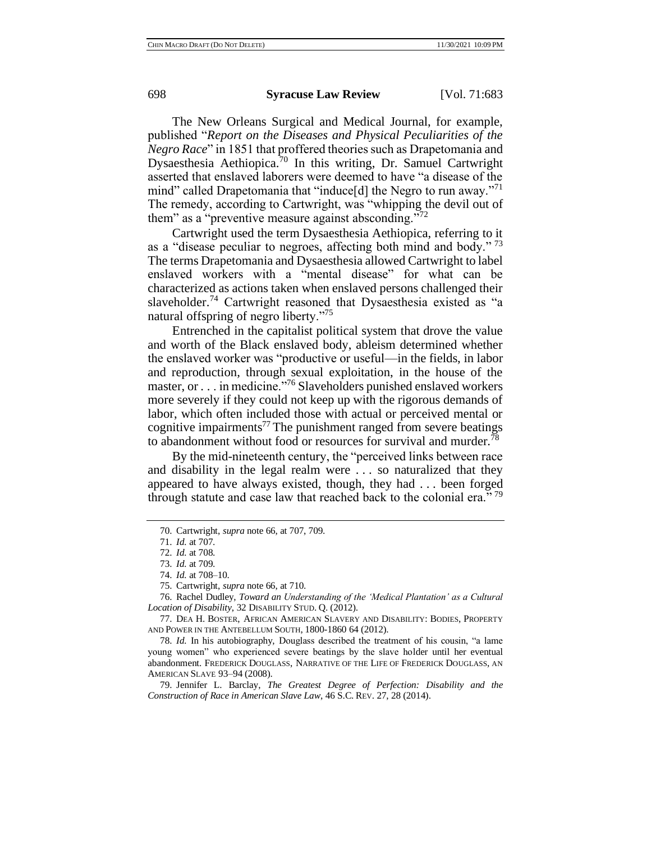The New Orleans Surgical and Medical Journal, for example, published "*Report on the Diseases and Physical Peculiarities of the Negro Race*" in 1851 that proffered theories such as Drapetomania and Dysaesthesia Aethiopica.<sup>70</sup> In this writing, Dr. Samuel Cartwright asserted that enslaved laborers were deemed to have "a disease of the mind" called Drapetomania that "induce[d] the Negro to run away."<sup>71</sup> The remedy, according to Cartwright, was "whipping the devil out of them" as a "preventive measure against absconding."<sup>72</sup>

Cartwright used the term Dysaesthesia Aethiopica, referring to it as a "disease peculiar to negroes, affecting both mind and body."<sup>73</sup> The terms Drapetomania and Dysaesthesia allowed Cartwright to label enslaved workers with a "mental disease" for what can be characterized as actions taken when enslaved persons challenged their slaveholder.<sup>74</sup> Cartwright reasoned that Dysaesthesia existed as "a natural offspring of negro liberty."<sup>75</sup>

Entrenched in the capitalist political system that drove the value and worth of the Black enslaved body, ableism determined whether the enslaved worker was "productive or useful—in the fields, in labor and reproduction, through sexual exploitation, in the house of the master, or . . . in medicine."<sup>76</sup> Slaveholders punished enslaved workers more severely if they could not keep up with the rigorous demands of labor, which often included those with actual or perceived mental or cognitive impairments<sup>77</sup> The punishment ranged from severe beatings to abandonment without food or resources for survival and murder.<sup>78</sup>

By the mid-nineteenth century, the "perceived links between race and disability in the legal realm were . . . so naturalized that they appeared to have always existed, though, they had . . . been forged through statute and case law that reached back to the colonial era."<sup>79</sup>

<sup>70.</sup> Cartwright, *supra* note 66, at 707, 709.

<sup>71.</sup> *Id.* at 707.

<sup>72.</sup> *Id.* at 708.

<sup>73.</sup> *Id.* at 709.

<sup>74.</sup> *Id.* at 708–10.

<sup>75.</sup> Cartwright, *supra* note 66, at 710.

<sup>76.</sup> Rachel Dudley, *Toward an Understanding of the 'Medical Plantation' as a Cultural Location of Disability*, 32 DISABILITY STUD. Q. (2012).

<sup>77.</sup> DEA H. BOSTER, AFRICAN AMERICAN SLAVERY AND DISABILITY: BODIES, PROPERTY AND POWER IN THE ANTEBELLUM SOUTH, 1800-1860 64 (2012).

<sup>78.</sup> *Id.* In his autobiography, Douglass described the treatment of his cousin, "a lame young women" who experienced severe beatings by the slave holder until her eventual abandonment. FREDERICK DOUGLASS, NARRATIVE OF THE LIFE OF FREDERICK DOUGLASS, AN AMERICAN SLAVE 93–94 (2008).

<sup>79.</sup> Jennifer L. Barclay, *The Greatest Degree of Perfection: Disability and the Construction of Race in American Slave Law*, 46 S.C. REV. 27, 28 (2014).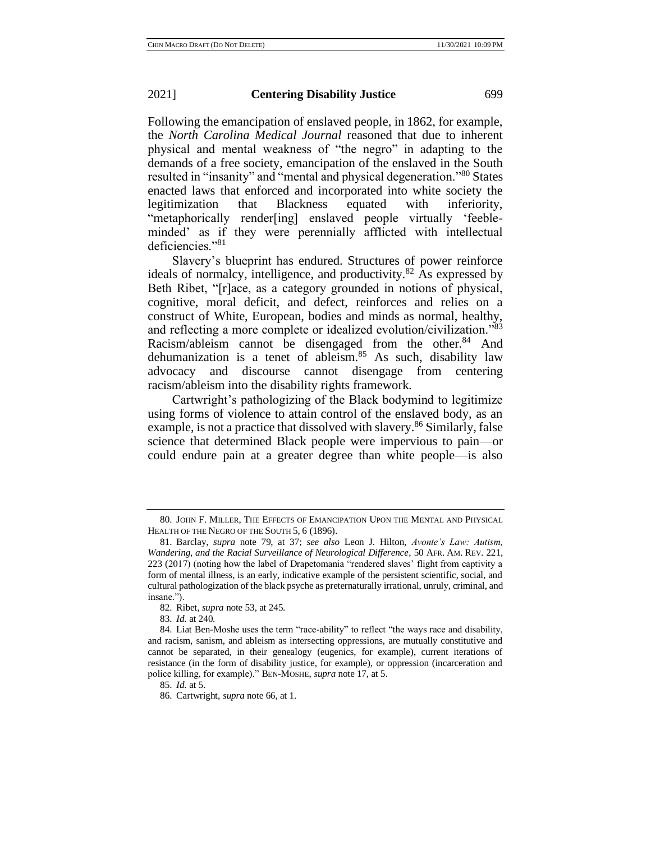Following the emancipation of enslaved people, in 1862, for example, the *North Carolina Medical Journal* reasoned that due to inherent physical and mental weakness of "the negro" in adapting to the demands of a free society, emancipation of the enslaved in the South resulted in "insanity" and "mental and physical degeneration."<sup>80</sup> States enacted laws that enforced and incorporated into white society the legitimization that Blackness equated with inferiority, "metaphorically render[ing] enslaved people virtually 'feebleminded' as if they were perennially afflicted with intellectual deficiencies."<sup>81</sup>

Slavery's blueprint has endured. Structures of power reinforce ideals of normalcy, intelligence, and productivity.<sup>82</sup> As expressed by Beth Ribet, "[r]ace, as a category grounded in notions of physical, cognitive, moral deficit, and defect, reinforces and relies on a construct of White, European, bodies and minds as normal, healthy, and reflecting a more complete or idealized evolution/civilization."<sup>83</sup> Racism/ableism cannot be disengaged from the other. $84$  And dehumanization is a tenet of ableism. $85$  As such, disability law advocacy and discourse cannot disengage from centering racism/ableism into the disability rights framework.

Cartwright's pathologizing of the Black bodymind to legitimize using forms of violence to attain control of the enslaved body, as an example, is not a practice that dissolved with slavery.<sup>86</sup> Similarly, false science that determined Black people were impervious to pain—or could endure pain at a greater degree than white people—is also

83. *Id.* at 240.

<sup>80.</sup> JOHN F. MILLER, THE EFFECTS OF EMANCIPATION UPON THE MENTAL AND PHYSICAL HEALTH OF THE NEGRO OF THE SOUTH 5, 6 (1896).

<sup>81.</sup> Barclay, *supra* note 79, at 37; *see also* Leon J. Hilton, *Avonte's Law: Autism, Wandering, and the Racial Surveillance of Neurological Difference*, 50 AFR. AM. REV. 221, 223 (2017) (noting how the label of Drapetomania "rendered slaves' flight from captivity a form of mental illness, is an early, indicative example of the persistent scientific, social, and cultural pathologization of the black psyche as preternaturally irrational, unruly, criminal, and insane.").

<sup>82.</sup> Ribet, *supra* note 53, at 245.

<sup>84.</sup> Liat Ben-Moshe uses the term "race-ability" to reflect "the ways race and disability, and racism, sanism, and ableism as intersecting oppressions, are mutually constitutive and cannot be separated, in their genealogy (eugenics, for example), current iterations of resistance (in the form of disability justice, for example), or oppression (incarceration and police killing, for example)." BEN-MOSHE, *supra* note 17, at 5.

<sup>85.</sup> *Id.* at 5.

<sup>86.</sup> Cartwright, *supra* note 66, at 1.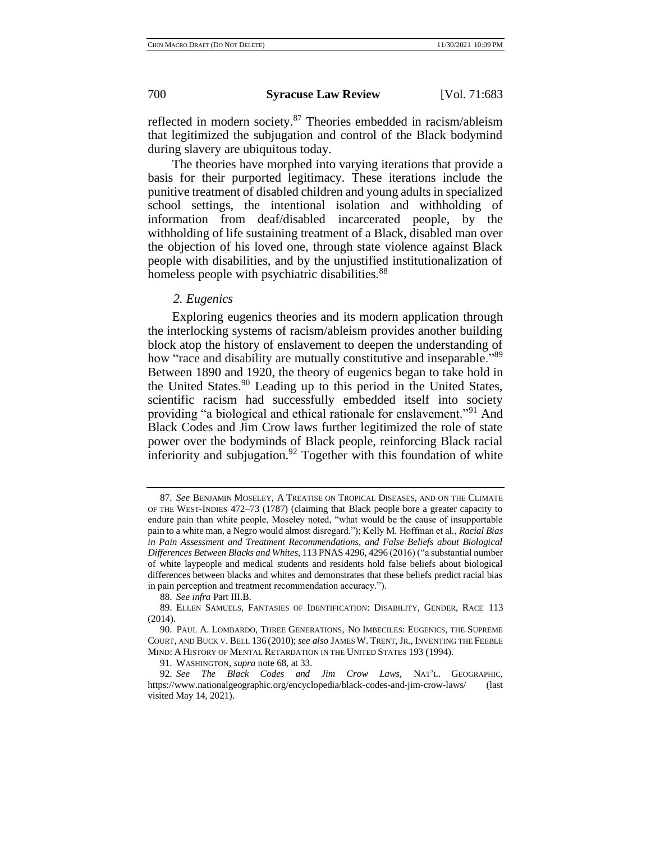reflected in modern society.<sup>87</sup> Theories embedded in racism/ableism that legitimized the subjugation and control of the Black bodymind during slavery are ubiquitous today.

The theories have morphed into varying iterations that provide a basis for their purported legitimacy. These iterations include the punitive treatment of disabled children and young adults in specialized school settings, the intentional isolation and withholding of information from deaf/disabled incarcerated people, by the withholding of life sustaining treatment of a Black, disabled man over the objection of his loved one, through state violence against Black people with disabilities, and by the unjustified institutionalization of homeless people with psychiatric disabilities.<sup>88</sup>

## *2. Eugenics*

Exploring eugenics theories and its modern application through the interlocking systems of racism/ableism provides another building block atop the history of enslavement to deepen the understanding of how "race and disability are mutually constitutive and inseparable."<sup>89</sup> Between 1890 and 1920, the theory of eugenics began to take hold in the United States.<sup>90</sup> Leading up to this period in the United States, scientific racism had successfully embedded itself into society providing "a biological and ethical rationale for enslavement."<sup>91</sup> And Black Codes and Jim Crow laws further legitimized the role of state power over the bodyminds of Black people, reinforcing Black racial inferiority and subjugation.<sup>92</sup> Together with this foundation of white

<sup>87.</sup> *See* BENJAMIN MOSELEY, A TREATISE ON TROPICAL DISEASES, AND ON THE CLIMATE OF THE WEST-INDIES 472–73 (1787) (claiming that Black people bore a greater capacity to endure pain than white people, Moseley noted, "what would be the cause of insupportable pain to a white man, a Negro would almost disregard."); Kelly M. Hoffman et al., *Racial Bias in Pain Assessment and Treatment Recommendations, and False Beliefs about Biological Differences Between Blacks and Whites*, 113 PNAS 4296, 4296 (2016) ("a substantial number of white laypeople and medical students and residents hold false beliefs about biological differences between blacks and whites and demonstrates that these beliefs predict racial bias in pain perception and treatment recommendation accuracy.").

<sup>88.</sup> *See infra* Part III.B.

<sup>89.</sup> ELLEN SAMUELS, FANTASIES OF IDENTIFICATION: DISABILITY, GENDER, RACE 113 (2014).

<sup>90.</sup> PAUL A. LOMBARDO, THREE GENERATIONS, NO IMBECILES: EUGENICS, THE SUPREME COURT, AND BUCK V. BELL 136 (2010); *see also* JAMES W. TRENT, JR., INVENTING THE FEEBLE MIND: A HISTORY OF MENTAL RETARDATION IN THE UNITED STATES 193 (1994).

<sup>91.</sup> WASHINGTON, *supra* note 68, at 33.

<sup>92.</sup> *See The Black Codes and Jim Crow Laws*, NAT'L. GEOGRAPHIC, https://www.nationalgeographic.org/encyclopedia/black-codes-and-jim-crow-laws/ (last visited May 14, 2021).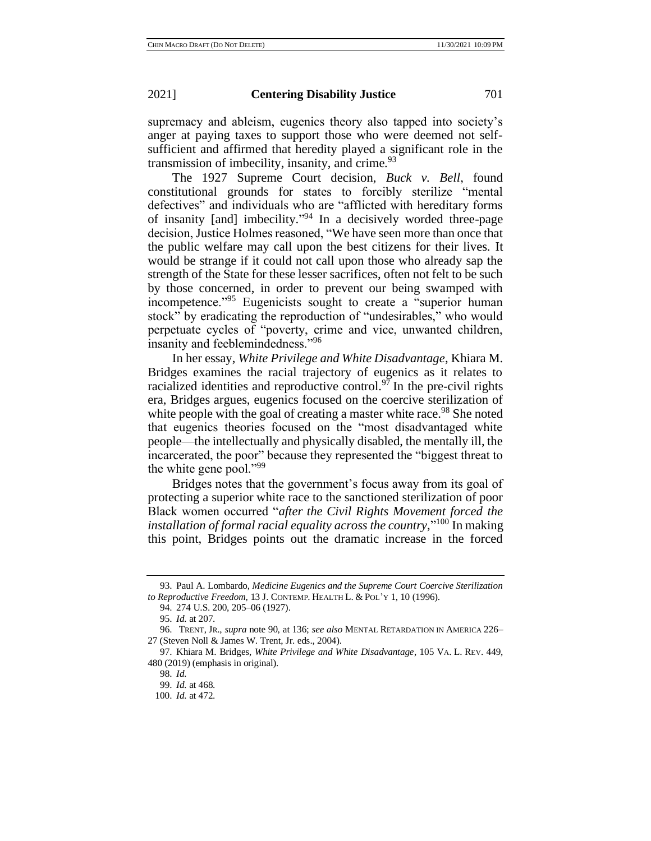supremacy and ableism, eugenics theory also tapped into society's anger at paying taxes to support those who were deemed not selfsufficient and affirmed that heredity played a significant role in the transmission of imbecility, insanity, and crime. $93$ 

The 1927 Supreme Court decision, *Buck v. Bell*, found constitutional grounds for states to forcibly sterilize "mental defectives" and individuals who are "afflicted with hereditary forms of insanity [and] imbecility." <sup>94</sup> In a decisively worded three-page decision, Justice Holmes reasoned, "We have seen more than once that the public welfare may call upon the best citizens for their lives. It would be strange if it could not call upon those who already sap the strength of the State for these lesser sacrifices, often not felt to be such by those concerned, in order to prevent our being swamped with incompetence."<sup>95</sup> Eugenicists sought to create a "superior human stock" by eradicating the reproduction of "undesirables," who would perpetuate cycles of "poverty, crime and vice, unwanted children, insanity and feeblemindedness."<sup>96</sup>

In her essay, *White Privilege and White Disadvantage*, Khiara M. Bridges examines the racial trajectory of eugenics as it relates to racialized identities and reproductive control.<sup>97</sup> In the pre-civil rights era, Bridges argues, eugenics focused on the coercive sterilization of white people with the goal of creating a master white race.<sup>98</sup> She noted that eugenics theories focused on the "most disadvantaged white people—the intellectually and physically disabled, the mentally ill, the incarcerated, the poor" because they represented the "biggest threat to the white gene pool."<sup>99</sup>

Bridges notes that the government's focus away from its goal of protecting a superior white race to the sanctioned sterilization of poor Black women occurred "*after the Civil Rights Movement forced the*  installation of formal racial equality across the country,"<sup>100</sup> In making this point, Bridges points out the dramatic increase in the forced

<sup>93.</sup> Paul A. Lombardo, *Medicine Eugenics and the Supreme Court Coercive Sterilization to Reproductive Freedom,* 13 J. CONTEMP. HEALTH L. & POL'Y 1, 10 (1996).

<sup>94.</sup> 274 U.S. 200, 205–06 (1927).

<sup>95.</sup> *Id.* at 207.

<sup>96.</sup> TRENT, JR., *supra* note 90, at 136; *see also* MENTAL RETARDATION IN AMERICA 226– 27 (Steven Noll & James W. Trent, Jr. eds., 2004).

<sup>97.</sup> Khiara M. Bridges, *White Privilege and White Disadvantage*, 105 VA. L. REV. 449, 480 (2019) (emphasis in original).

<sup>98.</sup> *Id.*

 <sup>99.</sup> *Id.* at 468.

<sup>100.</sup> *Id.* at 472.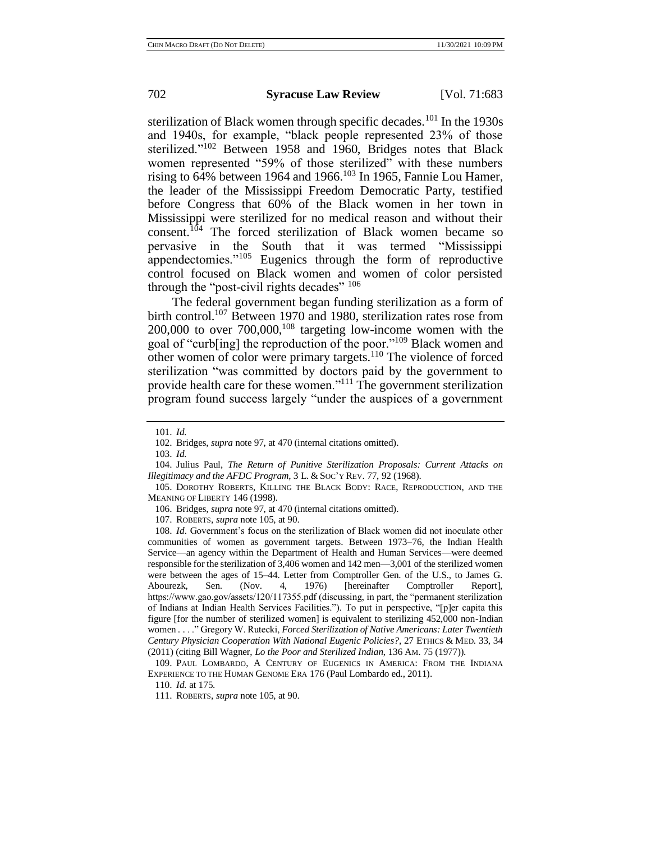sterilization of Black women through specific decades.<sup>101</sup> In the 1930s and 1940s, for example, "black people represented 23% of those sterilized."<sup>102</sup> Between 1958 and 1960, Bridges notes that Black women represented "59% of those sterilized" with these numbers rising to  $64\%$  between 1964 and 1966.<sup>103</sup> In 1965, Fannie Lou Hamer, the leader of the Mississippi Freedom Democratic Party, testified before Congress that 60% of the Black women in her town in Mississippi were sterilized for no medical reason and without their consent.<sup>104</sup> The forced sterilization of Black women became so pervasive in the South that it was termed "Mississippi appendectomies."<sup>105</sup> Eugenics through the form of reproductive control focused on Black women and women of color persisted through the "post-civil rights decades" <sup>106</sup>

The federal government began funding sterilization as a form of birth control.<sup>107</sup> Between 1970 and 1980, sterilization rates rose from  $200,000$  to over  $700,000$ ,  $108$  targeting low-income women with the goal of "curb[ing] the reproduction of the poor."<sup>109</sup> Black women and other women of color were primary targets.<sup>110</sup> The violence of forced sterilization "was committed by doctors paid by the government to provide health care for these women."<sup>111</sup> The government sterilization program found success largely "under the auspices of a government

110. *Id.* at 175.

<sup>101.</sup> *Id.*

<sup>102.</sup> Bridges, *supra* note 97, at 470 (internal citations omitted).

<sup>103.</sup> *Id.*

<sup>104.</sup> Julius Paul, *The Return of Punitive Sterilization Proposals: Current Attacks on Illegitimacy and the AFDC Program*, 3 L. & SOC'Y REV. 77, 92 (1968).

<sup>105.</sup> DOROTHY ROBERTS, KILLING THE BLACK BODY: RACE, REPRODUCTION, AND THE MEANING OF LIBERTY 146 (1998).

<sup>106.</sup> Bridges, *supra* note 97, at 470 (internal citations omitted).

<sup>107.</sup> ROBERTS, *supra* note 105, at 90.

<sup>108.</sup> *Id*. Government's focus on the sterilization of Black women did not inoculate other communities of women as government targets. Between 1973–76, the Indian Health Service—an agency within the Department of Health and Human Services—were deemed responsible for the sterilization of 3,406 women and 142 men—3,001 of the sterilized women were between the ages of 15–44. Letter from Comptroller Gen. of the U.S., to James G. Abourezk, Sen. (Nov. 4, 1976) [hereinafter Comptroller Report], https://www.gao.gov/assets/120/117355.pdf (discussing, in part, the "permanent sterilization of Indians at Indian Health Services Facilities."). To put in perspective, "[p]er capita this figure [for the number of sterilized women] is equivalent to sterilizing 452,000 non-Indian women . . . ." Gregory W. Rutecki, *Forced Sterilization of Native Americans: Later Twentieth Century Physician Cooperation With National Eugenic Policies?*, 27 ETHICS & MED. 33, 34 (2011) (citing Bill Wagner, *Lo the Poor and Sterilized Indian*, 136 AM. 75 (1977)).

<sup>109.</sup> PAUL LOMBARDO, A CENTURY OF EUGENICS IN AMERICA: FROM THE INDIANA EXPERIENCE TO THE HUMAN GENOME ERA 176 (Paul Lombardo ed., 2011).

<sup>111.</sup> ROBERTS, *supra* note 105, at 90.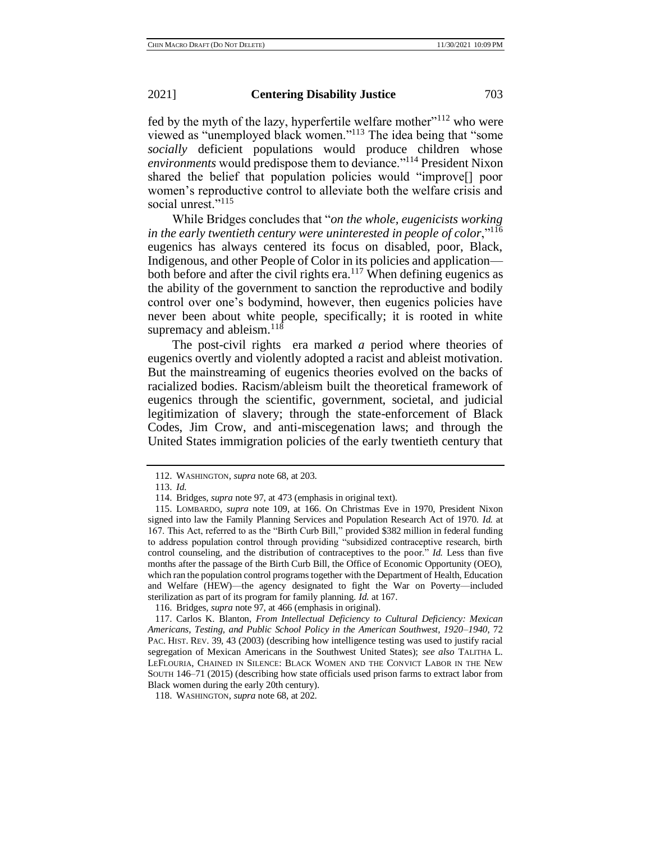fed by the myth of the lazy, hyperfertile welfare mother $"$ <sup>112</sup> who were viewed as "unemployed black women."<sup>113</sup> The idea being that "some *socially* deficient populations would produce children whose *environments* would predispose them to deviance."<sup>114</sup> President Nixon shared the belief that population policies would "improve[] poor women's reproductive control to alleviate both the welfare crisis and social unrest."<sup>115</sup>

While Bridges concludes that "*on the whole, eugenicists working in the early twentieth century were uninterested in people of color*,"<sup>116</sup> eugenics has always centered its focus on disabled, poor, Black, Indigenous, and other People of Color in its policies and application both before and after the civil rights era.<sup>117</sup> When defining eugenics as the ability of the government to sanction the reproductive and bodily control over one's bodymind, however, then eugenics policies have never been about white people, specifically; it is rooted in white supremacy and ableism. $^{118}$ 

The post-civil rights era marked *a* period where theories of eugenics overtly and violently adopted a racist and ableist motivation. But the mainstreaming of eugenics theories evolved on the backs of racialized bodies. Racism/ableism built the theoretical framework of eugenics through the scientific, government, societal, and judicial legitimization of slavery; through the state-enforcement of Black Codes, Jim Crow, and anti-miscegenation laws; and through the United States immigration policies of the early twentieth century that

<sup>112.</sup> WASHINGTON, *supra* note 68, at 203.

<sup>113.</sup> *Id.*

<sup>114.</sup> Bridges, *supra* note 97, at 473 (emphasis in original text).

<sup>115.</sup> LOMBARDO, *supra* note 109, at 166. On Christmas Eve in 1970, President Nixon signed into law the Family Planning Services and Population Research Act of 1970. *Id.* at 167. This Act, referred to as the "Birth Curb Bill," provided \$382 million in federal funding to address population control through providing "subsidized contraceptive research, birth control counseling, and the distribution of contraceptives to the poor." *Id.* Less than five months after the passage of the Birth Curb Bill, the Office of Economic Opportunity (OEO), which ran the population control programs together with the Department of Health, Education and Welfare (HEW)—the agency designated to fight the War on Poverty—included sterilization as part of its program for family planning. *Id.* at 167.

<sup>116.</sup> Bridges, *supra* note 97, at 466 (emphasis in original).

<sup>117.</sup> Carlos K. Blanton, *From Intellectual Deficiency to Cultural Deficiency: Mexican Americans, Testing, and Public School Policy in the American Southwest, 1920–1940*, 72 PAC. HIST. REV. 39, 43 (2003) (describing how intelligence testing was used to justify racial segregation of Mexican Americans in the Southwest United States); *see also* TALITHA L. LEFLOURIA, CHAINED IN SILENCE: BLACK WOMEN AND THE CONVICT LABOR IN THE NEW SOUTH 146–71 (2015) (describing how state officials used prison farms to extract labor from Black women during the early 20th century).

<sup>118.</sup> WASHINGTON, *supra* note 68, at 202.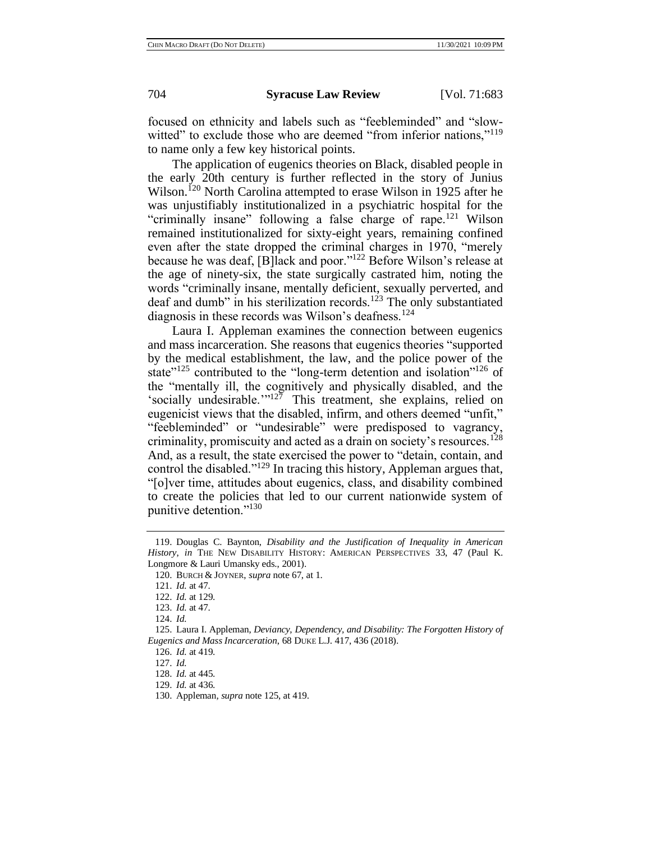focused on ethnicity and labels such as "feebleminded" and "slowwitted" to exclude those who are deemed "from inferior nations,"<sup>119</sup> to name only a few key historical points.

The application of eugenics theories on Black, disabled people in the early 20th century is further reflected in the story of Junius Wilson.<sup>120</sup> North Carolina attempted to erase Wilson in 1925 after he was unjustifiably institutionalized in a psychiatric hospital for the "criminally insane" following a false charge of rape.<sup>121</sup> Wilson remained institutionalized for sixty-eight years, remaining confined even after the state dropped the criminal charges in 1970, "merely because he was deaf, [B]lack and poor."<sup>122</sup> Before Wilson's release at the age of ninety-six, the state surgically castrated him, noting the words "criminally insane, mentally deficient, sexually perverted, and deaf and dumb" in his sterilization records.<sup>123</sup> The only substantiated diagnosis in these records was Wilson's deafness.<sup>124</sup>

Laura I. Appleman examines the connection between eugenics and mass incarceration. She reasons that eugenics theories "supported by the medical establishment, the law, and the police power of the state<sup>"125</sup> contributed to the "long-term detention and isolation"<sup>126</sup> of the "mentally ill, the cognitively and physically disabled, and the 'socially undesirable.'" $12\overline{7}$  This treatment, she explains, relied on eugenicist views that the disabled, infirm, and others deemed "unfit," "feebleminded" or "undesirable" were predisposed to vagrancy, criminality, promiscuity and acted as a drain on society's resources.<sup>128</sup> And, as a result, the state exercised the power to "detain, contain, and control the disabled."<sup>129</sup> In tracing this history, Appleman argues that, "[o]ver time, attitudes about eugenics, class, and disability combined to create the policies that led to our current nationwide system of punitive detention."<sup>130</sup>

<sup>119.</sup> Douglas C. Baynton, *Disability and the Justification of Inequality in American History*, *in* THE NEW DISABILITY HISTORY: AMERICAN PERSPECTIVES 33, 47 (Paul K. Longmore & Lauri Umansky eds., 2001).

<sup>120.</sup> BURCH & JOYNER, *supra* note 67, at 1.

<sup>121.</sup> *Id.* at 47.

<sup>122.</sup> *Id.* at 129.

<sup>123.</sup> *Id.* at 47.

<sup>124.</sup> *Id.* 

<sup>125.</sup> Laura I. Appleman, *Deviancy, Dependency, and Disability: The Forgotten History of Eugenics and Mass Incarceration*, 68 DUKE L.J. 417, 436 (2018).

<sup>126.</sup> *Id.* at 419.

<sup>127.</sup> *Id.*

<sup>128.</sup> *Id.* at 445.

<sup>129.</sup> *Id.* at 436.

<sup>130.</sup> Appleman*, supra* note 125, at 419.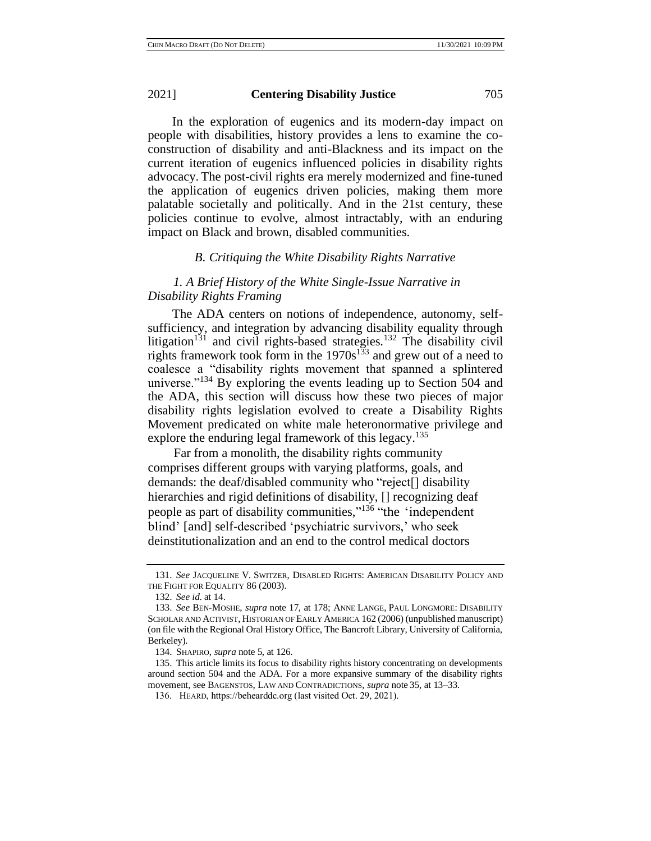In the exploration of eugenics and its modern-day impact on people with disabilities, history provides a lens to examine the coconstruction of disability and anti-Blackness and its impact on the current iteration of eugenics influenced policies in disability rights advocacy. The post-civil rights era merely modernized and fine-tuned the application of eugenics driven policies, making them more palatable societally and politically. And in the 21st century, these policies continue to evolve, almost intractably, with an enduring impact on Black and brown, disabled communities.

## *B. Critiquing the White Disability Rights Narrative*

# *1. A Brief History of the White Single-Issue Narrative in Disability Rights Framing*

The ADA centers on notions of independence, autonomy, selfsufficiency, and integration by advancing disability equality through litigation<sup>131</sup> and civil rights-based strategies.<sup>132</sup> The disability civil rights framework took form in the  $1970s^{133}$  and grew out of a need to coalesce a "disability rights movement that spanned a splintered universe."<sup>134</sup> By exploring the events leading up to Section 504 and the ADA, this section will discuss how these two pieces of major disability rights legislation evolved to create a Disability Rights Movement predicated on white male heteronormative privilege and explore the enduring legal framework of this legacy.<sup>135</sup>

 Far from a monolith, the disability rights community comprises different groups with varying platforms, goals, and demands: the deaf/disabled community who "reject[] disability hierarchies and rigid definitions of disability,  $\prod$  recognizing deaf people as part of disability communities,"<sup>136</sup> "the 'independent blind' [and] self-described 'psychiatric survivors,' who seek deinstitutionalization and an end to the control medical doctors

<sup>131.</sup> *See* JACQUELINE V. SWITZER, DISABLED RIGHTS: AMERICAN DISABILITY POLICY AND THE FIGHT FOR EQUALITY 86 (2003).

<sup>132.</sup> *See id*. at 14.

<sup>133.</sup> *See* BEN-MOSHE, *supra* note 17, at 178; ANNE LANGE, PAUL LONGMORE: DISABILITY SCHOLAR AND ACTIVIST, HISTORIAN OF EARLY AMERICA 162 (2006) (unpublished manuscript) (on file with the Regional Oral History Office, The Bancroft Library, University of California, Berkeley).

<sup>134.</sup> SHAPIRO, *supra* note 5, at 126.

<sup>135.</sup> This article limits its focus to disability rights history concentrating on developments around section 504 and the ADA. For a more expansive summary of the disability rights movement, see BAGENSTOS, LAW AND CONTRADICTIONS, *supra* note 35, at 13–33.

 <sup>136.</sup> HEARD, https://behearddc.org (last visited Oct. 29, 2021).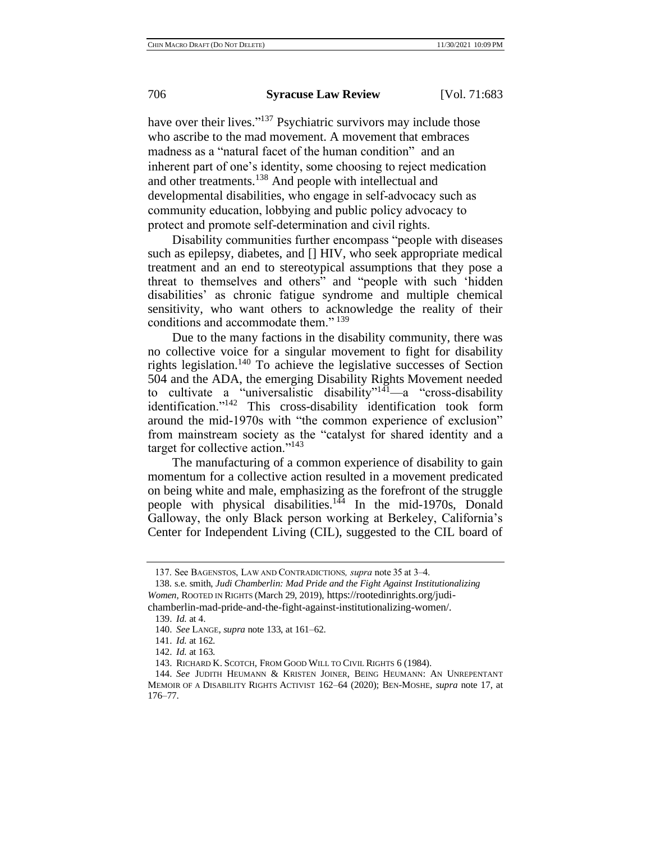have over their lives."<sup>137</sup> Psychiatric survivors may include those who ascribe to the mad movement. A movement that embraces madness as a "natural facet of the human condition" and an inherent part of one's identity, some choosing to reject medication and other treatments.<sup>138</sup> And people with intellectual and developmental disabilities, who engage in self-advocacy such as community education, lobbying and public policy advocacy to protect and promote self-determination and civil rights.

Disability communities further encompass "people with diseases such as epilepsy, diabetes, and [] HIV, who seek appropriate medical treatment and an end to stereotypical assumptions that they pose a threat to themselves and others" and "people with such 'hidden disabilities' as chronic fatigue syndrome and multiple chemical sensitivity, who want others to acknowledge the reality of their conditions and accommodate them."<sup>139</sup>

Due to the many factions in the disability community, there was no collective voice for a singular movement to fight for disability rights legislation.<sup>140</sup> To achieve the legislative successes of Section 504 and the ADA, the emerging Disability Rights Movement needed to cultivate a "universalistic disability" $141$ —a "cross-disability identification."<sup>142</sup> This cross-disability identification took form around the mid-1970s with "the common experience of exclusion" from mainstream society as the "catalyst for shared identity and a target for collective action."<sup>143</sup>

The manufacturing of a common experience of disability to gain momentum for a collective action resulted in a movement predicated on being white and male, emphasizing as the forefront of the struggle people with physical disabilities.<sup>144</sup> In the mid-1970s, Donald Galloway, the only Black person working at Berkeley, California's Center for Independent Living (CIL), suggested to the CIL board of

<sup>137.</sup> See BAGENSTOS, LAW AND CONTRADICTIONS*, supra* note 35 at 3–4.

<sup>138.</sup> s.e. smith, *Judi Chamberlin: Mad Pride and the Fight Against Institutionalizing Women*, ROOTED IN RIGHTS (March 29, 2019), https://rootedinrights.org/judichamberlin-mad-pride-and-the-fight-against-institutionalizing-women/.

<sup>139.</sup> *Id.* at 4.

<sup>140.</sup> *See* LANGE, *supra* note 133, at 161–62.

<sup>141.</sup> *Id.* at 162.

<sup>142.</sup> *Id.* at 163.

<sup>143.</sup> RICHARD K. SCOTCH, FROM GOOD WILL TO CIVIL RIGHTS 6 (1984).

<sup>144.</sup> *See* JUDITH HEUMANN & KRISTEN JOINER, BEING HEUMANN: AN UNREPENTANT MEMOIR OF A DISABILITY RIGHTS ACTIVIST 162–64 (2020); BEN-MOSHE, *supra* note 17, at 176–77.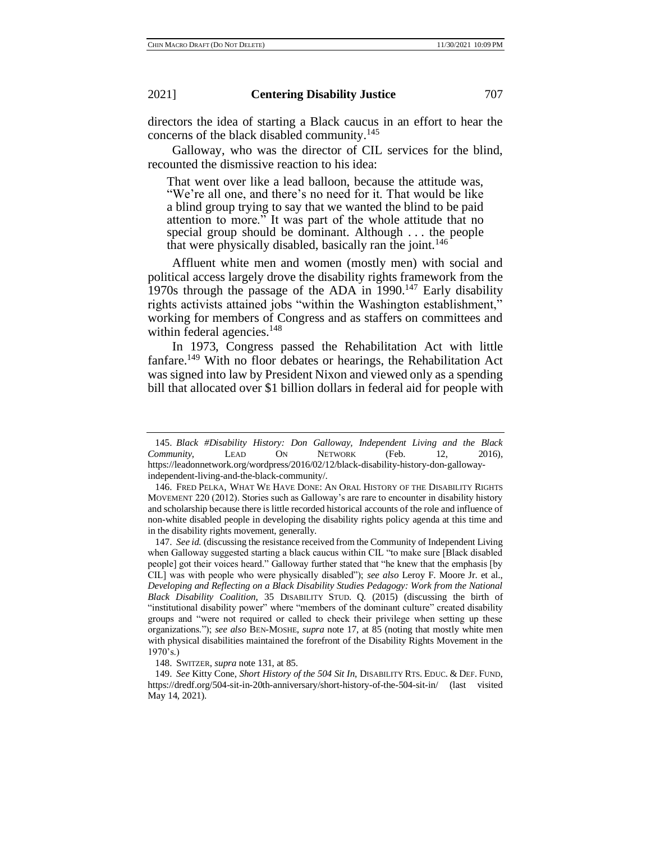directors the idea of starting a Black caucus in an effort to hear the concerns of the black disabled community.<sup>145</sup>

Galloway, who was the director of CIL services for the blind, recounted the dismissive reaction to his idea:

That went over like a lead balloon, because the attitude was, "We're all one, and there's no need for it. That would be like a blind group trying to say that we wanted the blind to be paid attention to more." It was part of the whole attitude that no special group should be dominant. Although . . . the people that were physically disabled, basically ran the joint.<sup>146</sup>

Affluent white men and women (mostly men) with social and political access largely drove the disability rights framework from the 1970s through the passage of the ADA in 1990. <sup>147</sup> Early disability rights activists attained jobs "within the Washington establishment," working for members of Congress and as staffers on committees and within federal agencies.<sup>148</sup>

In 1973, Congress passed the Rehabilitation Act with little fanfare.<sup>149</sup> With no floor debates or hearings, the Rehabilitation Act was signed into law by President Nixon and viewed only as a spending bill that allocated over \$1 billion dollars in federal aid for people with

<sup>145.</sup> *Black #Disability History: Don Galloway, Independent Living and the Black Community*, LEAD ON NETWORK (Feb. 12, 2016), https://leadonnetwork.org/wordpress/2016/02/12/black-disability-history-don-gallowayindependent-living-and-the-black-community/.

<sup>146.</sup> FRED PELKA, WHAT WE HAVE DONE: AN ORAL HISTORY OF THE DISABILITY RIGHTS MOVEMENT 220 (2012). Stories such as Galloway's are rare to encounter in disability history and scholarship because there is little recorded historical accounts of the role and influence of non-white disabled people in developing the disability rights policy agenda at this time and in the disability rights movement, generally.

<sup>147.</sup> *See id.* (discussing the resistance received from the Community of Independent Living when Galloway suggested starting a black caucus within CIL "to make sure [Black disabled people] got their voices heard." Galloway further stated that "he knew that the emphasis [by CIL] was with people who were physically disabled"); *see also* Leroy F. Moore Jr. et al., *Developing and Reflecting on a Black Disability Studies Pedagogy: Work from the National Black Disability Coalition*, 35 DISABILITY STUD. Q. (2015) (discussing the birth of "institutional disability power" where "members of the dominant culture" created disability groups and "were not required or called to check their privilege when setting up these organizations."); *see also* BEN-MOSHE, *supra* note 17, at 85 (noting that mostly white men with physical disabilities maintained the forefront of the Disability Rights Movement in the 1970's.)

<sup>148.</sup> SWITZER, *supra* note 131, at 85.

<sup>149.</sup> *See* Kitty Cone, *Short History of the 504 Sit In*, DISABILITY RTS. EDUC. & DEF. FUND, https://dredf.org/504-sit-in-20th-anniversary/short-history-of-the-504-sit-in/ (last visited May 14, 2021).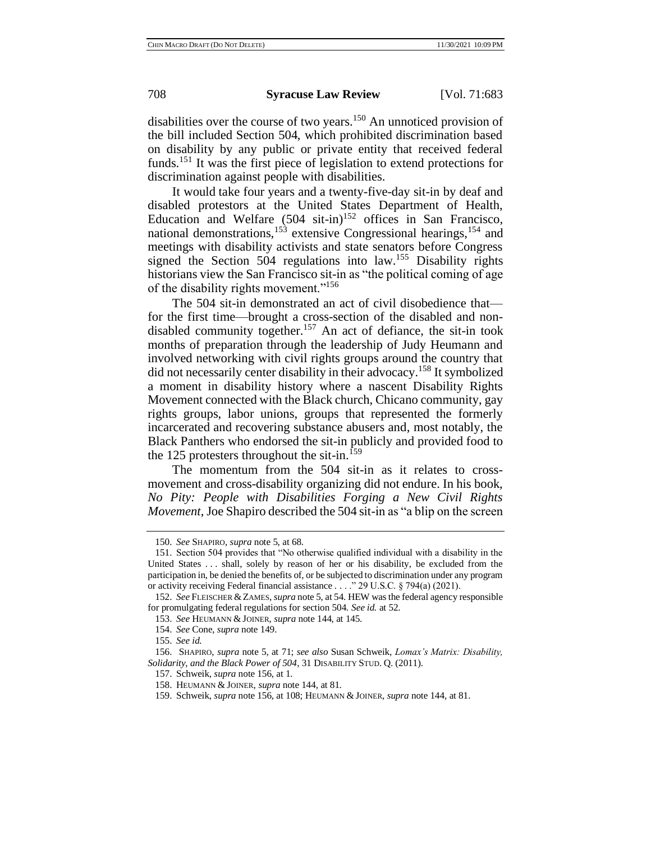disabilities over the course of two years.<sup>150</sup> An unnoticed provision of the bill included Section 504, which prohibited discrimination based on disability by any public or private entity that received federal funds.<sup>151</sup> It was the first piece of legislation to extend protections for discrimination against people with disabilities.

It would take four years and a twenty-five-day sit-in by deaf and disabled protestors at the United States Department of Health, Education and Welfare  $(504 \text{ sit-in})^{152}$  offices in San Francisco, national demonstrations,  $153$  extensive Congressional hearings,  $154$  and meetings with disability activists and state senators before Congress signed the Section 504 regulations into law.<sup>155</sup> Disability rights historians view the San Francisco sit-in as "the political coming of age of the disability rights movement."<sup>156</sup>

The 504 sit-in demonstrated an act of civil disobedience that for the first time—brought a cross-section of the disabled and nondisabled community together.<sup>157</sup> An act of defiance, the sit-in took months of preparation through the leadership of Judy Heumann and involved networking with civil rights groups around the country that did not necessarily center disability in their advocacy.<sup>158</sup> It symbolized a moment in disability history where a nascent Disability Rights Movement connected with the Black church, Chicano community, gay rights groups, labor unions, groups that represented the formerly incarcerated and recovering substance abusers and, most notably, the Black Panthers who endorsed the sit-in publicly and provided food to the 125 protesters throughout the sit-in.<sup>159</sup>

The momentum from the 504 sit-in as it relates to crossmovement and cross-disability organizing did not endure. In his book, *No Pity: People with Disabilities Forging a New Civil Rights Movement*, Joe Shapiro described the 504 sit-in as "a blip on the screen

<sup>150.</sup> *See* SHAPIRO, *supra* note 5, at 68.

<sup>151.</sup> Section 504 provides that "No otherwise qualified individual with a disability in the United States . . . shall, solely by reason of her or his disability, be excluded from the participation in, be denied the benefits of, or be subjected to discrimination under any program or activity receiving Federal financial assistance . . . ." 29 U.S.C. § 794(a) (2021).

<sup>152.</sup> *See* FLEISCHER &ZAMES, *supra* note 5, at 54. HEW was the federal agency responsible for promulgating federal regulations for section 504. *See id.* at 52.

<sup>153.</sup> *See* HEUMANN & JOINER, *supra* note 144, at 145.

<sup>154.</sup> *See* Cone, *supra* note 149.

<sup>155.</sup> *See id.*

<sup>156.</sup> SHAPIRO, *supra* note 5, at 71; *see also* Susan Schweik, *Lomax's Matrix: Disability, Solidarity, and the Black Power of 504*, 31 DISABILITY STUD. Q. (2011).

<sup>157.</sup> Schweik, *supra* note 156, at 1.

<sup>158.</sup> HEUMANN & JOINER, *supra* note 144, at 81.

<sup>159.</sup> Schweik, *supra* note 156, at 108; HEUMANN & JOINER, *supra* note 144, at 81.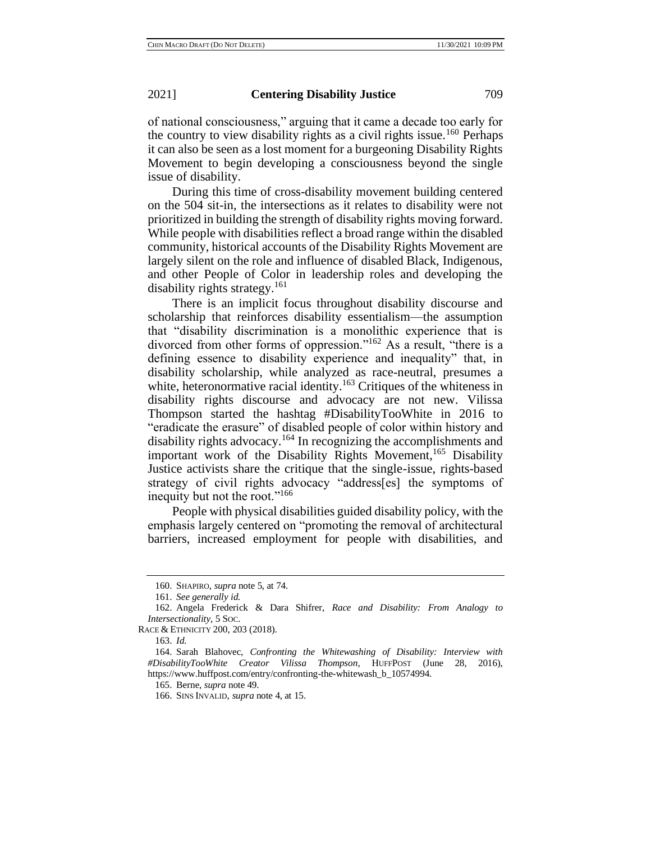of national consciousness," arguing that it came a decade too early for the country to view disability rights as a civil rights issue.<sup>160</sup> Perhaps it can also be seen as a lost moment for a burgeoning Disability Rights Movement to begin developing a consciousness beyond the single issue of disability.

During this time of cross-disability movement building centered on the 504 sit-in, the intersections as it relates to disability were not prioritized in building the strength of disability rights moving forward. While people with disabilities reflect a broad range within the disabled community, historical accounts of the Disability Rights Movement are largely silent on the role and influence of disabled Black, Indigenous, and other People of Color in leadership roles and developing the disability rights strategy.<sup>161</sup>

There is an implicit focus throughout disability discourse and scholarship that reinforces disability essentialism—the assumption that "disability discrimination is a monolithic experience that is divorced from other forms of oppression."<sup>162</sup> As a result, "there is a defining essence to disability experience and inequality" that, in disability scholarship, while analyzed as race-neutral, presumes a white, heteronormative racial identity.<sup>163</sup> Critiques of the whiteness in disability rights discourse and advocacy are not new. Vilissa Thompson started the hashtag #DisabilityTooWhite in 2016 to "eradicate the erasure" of disabled people of color within history and disability rights advocacy.<sup>164</sup> In recognizing the accomplishments and important work of the Disability Rights Movement,<sup>165</sup> Disability Justice activists share the critique that the single-issue, rights-based strategy of civil rights advocacy "address[es] the symptoms of inequity but not the root."<sup>166</sup>

People with physical disabilities guided disability policy, with the emphasis largely centered on "promoting the removal of architectural barriers, increased employment for people with disabilities, and

<sup>160.</sup> SHAPIRO, *supra* note 5, at 74.

<sup>161.</sup> *See generally id.*

<sup>162.</sup> Angela Frederick & Dara Shifrer, *Race and Disability: From Analogy to Intersectionality*, 5 SOC.

RACE & ETHNICITY 200, 203 (2018).

<sup>163.</sup> *Id.*

<sup>164.</sup> Sarah Blahovec, *Confronting the Whitewashing of Disability: Interview with #DisabilityTooWhite Creator Vilissa Thompson*, HUFFPOST (June 28, 2016), https://www.huffpost.com/entry/confronting-the-whitewash\_b\_10574994.

<sup>165.</sup> Berne, *supra* note 49.

<sup>166.</sup> SINS INVALID, *supra* note 4, at 15.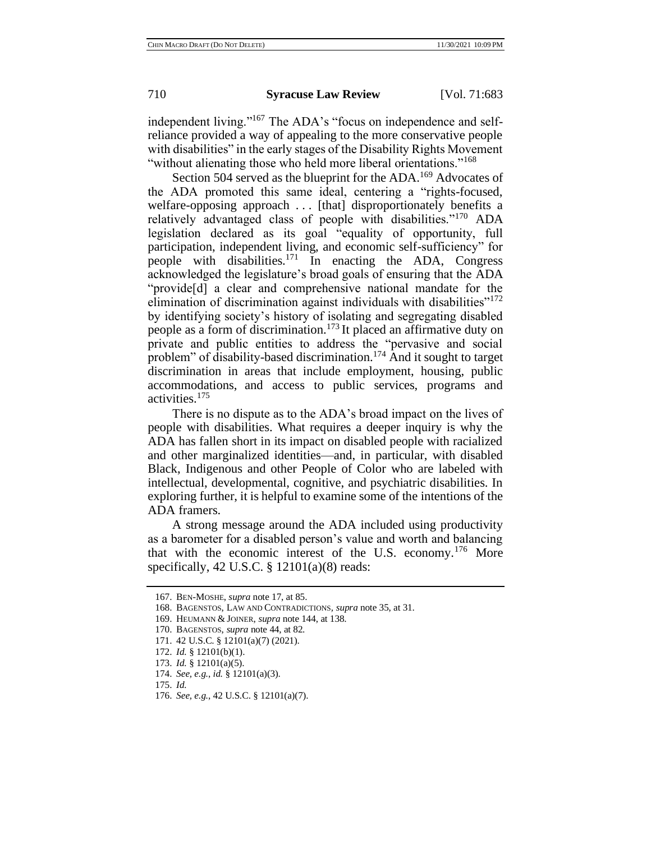independent living."<sup>167</sup> The ADA's "focus on independence and selfreliance provided a way of appealing to the more conservative people with disabilities" in the early stages of the Disability Rights Movement "without alienating those who held more liberal orientations."<sup>168</sup>

Section 504 served as the blueprint for the ADA.<sup>169</sup> Advocates of the ADA promoted this same ideal, centering a "rights-focused, welfare-opposing approach ... [that] disproportionately benefits a relatively advantaged class of people with disabilities."<sup>170</sup> ADA legislation declared as its goal "equality of opportunity, full participation, independent living, and economic self-sufficiency" for people with disabilities.<sup>171</sup> In enacting the ADA, Congress acknowledged the legislature's broad goals of ensuring that the ADA "provide[d] a clear and comprehensive national mandate for the elimination of discrimination against individuals with disabilities"<sup>172</sup> by identifying society's history of isolating and segregating disabled people as a form of discrimination.<sup>173</sup> It placed an affirmative duty on private and public entities to address the "pervasive and social problem" of disability-based discrimination.<sup>174</sup> And it sought to target discrimination in areas that include employment, housing, public accommodations, and access to public services, programs and activities.<sup>175</sup>

There is no dispute as to the ADA's broad impact on the lives of people with disabilities. What requires a deeper inquiry is why the ADA has fallen short in its impact on disabled people with racialized and other marginalized identities—and, in particular, with disabled Black, Indigenous and other People of Color who are labeled with intellectual, developmental, cognitive, and psychiatric disabilities. In exploring further, it is helpful to examine some of the intentions of the ADA framers.

A strong message around the ADA included using productivity as a barometer for a disabled person's value and worth and balancing that with the economic interest of the U.S. economy.<sup>176</sup> More specifically, 42 U.S.C. § 12101(a)(8) reads:

<sup>167.</sup> BEN-MOSHE, *supra* note 17, at 85.

<sup>168.</sup> BAGENSTOS, LAW AND CONTRADICTIONS*, supra* note 35, at 31.

<sup>169.</sup> HEUMANN & JOINER, *supra* note 144, at 138.

<sup>170.</sup> BAGENSTOS, *supra* note 44, at 82.

<sup>171.</sup> 42 U.S.C. § 12101(a)(7) (2021).

<sup>172.</sup> *Id.* § 12101(b)(1).

<sup>173.</sup> *Id.* § 12101(a)(5).

<sup>174.</sup> *See, e.g.*, *id.* § 12101(a)(3).

<sup>175.</sup> *Id.*

<sup>176.</sup> *See, e.g.*, 42 U.S.C. § 12101(a)(7).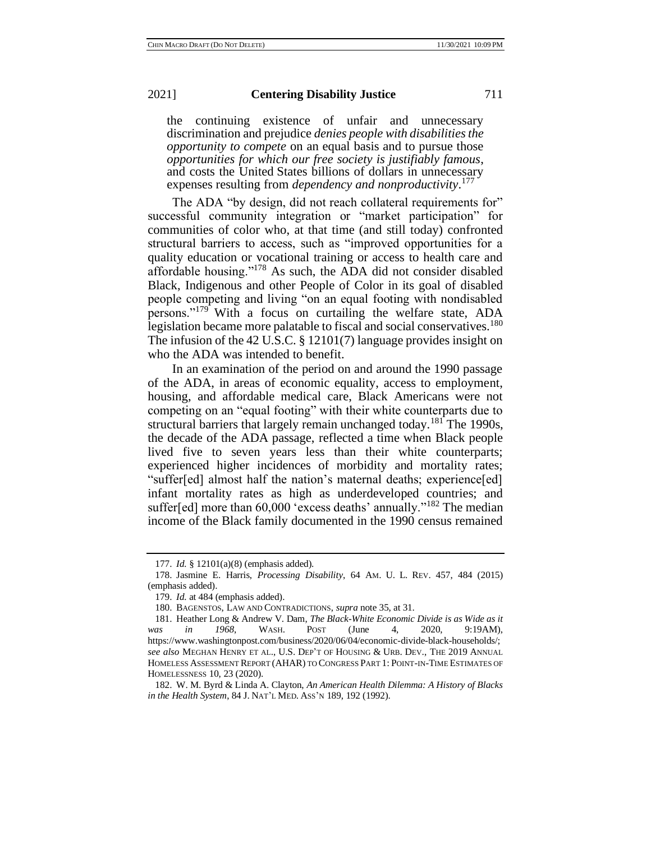the continuing existence of unfair and unnecessary discrimination and prejudice *denies people with disabilities the opportunity to compete* on an equal basis and to pursue those *opportunities for which our free society is justifiably famous*, and costs the United States billions of dollars in unnecessary expenses resulting from *dependency and nonproductivity*. 177

The ADA "by design, did not reach collateral requirements for" successful community integration or "market participation" for communities of color who, at that time (and still today) confronted structural barriers to access, such as "improved opportunities for a quality education or vocational training or access to health care and affordable housing."<sup>178</sup> As such, the ADA did not consider disabled Black, Indigenous and other People of Color in its goal of disabled people competing and living "on an equal footing with nondisabled persons."<sup>179</sup> With a focus on curtailing the welfare state, ADA legislation became more palatable to fiscal and social conservatives.<sup>180</sup> The infusion of the 42 U.S.C. § 12101(7) language provides insight on who the ADA was intended to benefit.

In an examination of the period on and around the 1990 passage of the ADA, in areas of economic equality, access to employment, housing, and affordable medical care, Black Americans were not competing on an "equal footing" with their white counterparts due to structural barriers that largely remain unchanged today.<sup>181</sup> The 1990s, the decade of the ADA passage, reflected a time when Black people lived five to seven years less than their white counterparts; experienced higher incidences of morbidity and mortality rates; "suffer[ed] almost half the nation's maternal deaths; experience[ed] infant mortality rates as high as underdeveloped countries; and suffer[ed] more than 60,000 'excess deaths' annually."<sup>182</sup> The median income of the Black family documented in the 1990 census remained

<sup>177.</sup> *Id.* § 12101(a)(8) (emphasis added).

<sup>178.</sup> Jasmine E. Harris, *Processing Disability*, 64 AM. U. L. REV. 457, 484 (2015) (emphasis added).

<sup>179.</sup> *Id.* at 484 (emphasis added).

<sup>180.</sup> BAGENSTOS, LAW AND CONTRADICTIONS, *supra* note 35, at 31.

<sup>181.</sup> Heather Long & Andrew V. Dam, *The Black-White Economic Divide is as Wide as it was in 1968*, WASH. POST (June 4, 2020, 9:19AM), https://www.washingtonpost.com/business/2020/06/04/economic-divide-black-households/; *see also* MEGHAN HENRY ET AL., U.S. DEP'T OF HOUSING & URB. DEV., THE 2019 ANNUAL HOMELESS ASSESSMENT REPORT (AHAR) TO CONGRESS PART 1: POINT-IN-TIME ESTIMATES OF HOMELESSNESS 10, 23 (2020).

<sup>182.</sup> W. M. Byrd & Linda A. Clayton, *An American Health Dilemma: A History of Blacks in the Health System*, 84 J. NAT'L MED. ASS'N 189, 192 (1992).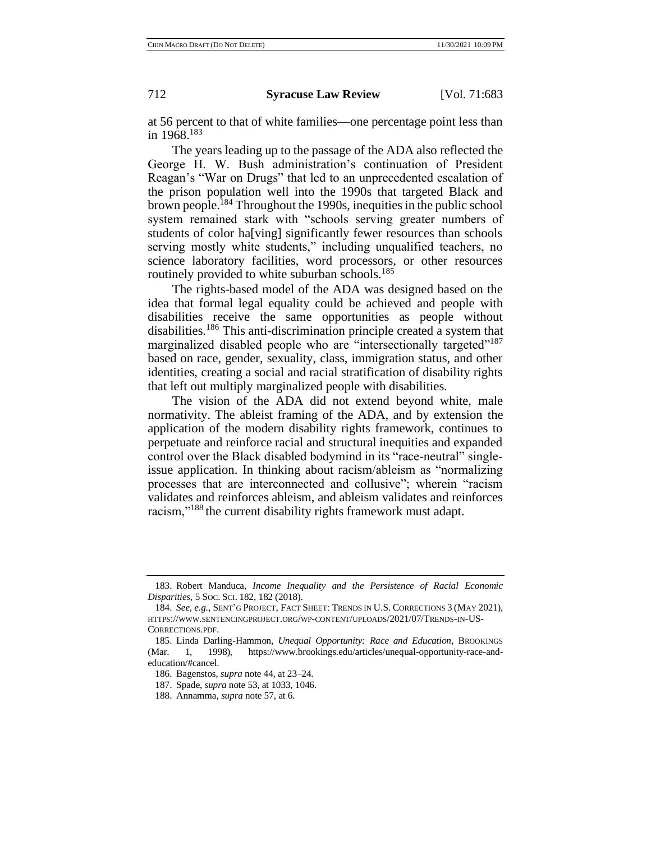at 56 percent to that of white families—one percentage point less than in 1968.<sup>183</sup>

The years leading up to the passage of the ADA also reflected the George H. W. Bush administration's continuation of President Reagan's "War on Drugs" that led to an unprecedented escalation of the prison population well into the 1990s that targeted Black and brown people.<sup>184</sup> Throughout the 1990s, inequities in the public school system remained stark with "schools serving greater numbers of students of color ha[ving] significantly fewer resources than schools serving mostly white students," including unqualified teachers, no science laboratory facilities, word processors, or other resources routinely provided to white suburban schools.<sup>185</sup>

The rights-based model of the ADA was designed based on the idea that formal legal equality could be achieved and people with disabilities receive the same opportunities as people without disabilities.<sup>186</sup> This anti-discrimination principle created a system that marginalized disabled people who are "intersectionally targeted"<sup>187</sup> based on race, gender, sexuality, class, immigration status, and other identities, creating a social and racial stratification of disability rights that left out multiply marginalized people with disabilities.

The vision of the ADA did not extend beyond white, male normativity. The ableist framing of the ADA, and by extension the application of the modern disability rights framework, continues to perpetuate and reinforce racial and structural inequities and expanded control over the Black disabled bodymind in its "race-neutral" singleissue application. In thinking about racism/ableism as "normalizing processes that are interconnected and collusive"; wherein "racism validates and reinforces ableism, and ableism validates and reinforces racism,"<sup>188</sup> the current disability rights framework must adapt.

<sup>183.</sup> Robert Manduca, *Income Inequality and the Persistence of Racial Economic Disparities*, 5 SOC. SCI. 182, 182 (2018).

<sup>184.</sup> *See, e.g.*, SENT'G PROJECT, FACT SHEET: TRENDS IN U.S. CORRECTIONS 3 (MAY 2021), HTTPS://WWW.SENTENCINGPROJECT.ORG/WP-CONTENT/UPLOADS/2021/07/TRENDS-IN-US-CORRECTIONS.PDF.

<sup>185.</sup> Linda Darling-Hammon, *Unequal Opportunity: Race and Education*, BROOKINGS (Mar. 1, 1998), https://www.brookings.edu/articles/unequal-opportunity-race-andeducation/#cancel.

<sup>186.</sup> Bagenstos, *supra* note 44, at 23–24.

<sup>187.</sup> Spade, *supra* note 53, at 1033, 1046.

<sup>188.</sup> Annamma, *supra* note 57, at 6.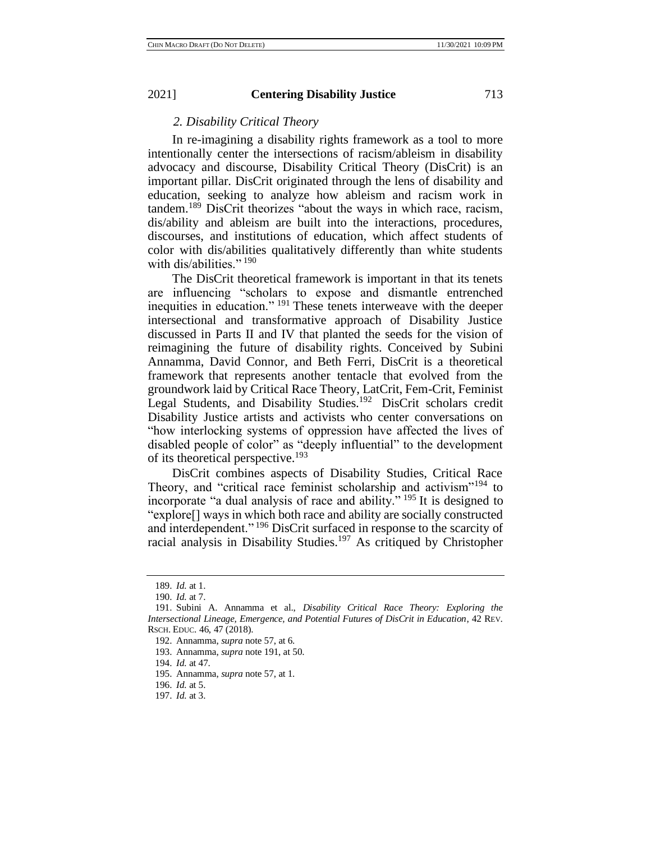# *2. Disability Critical Theory*

In re-imagining a disability rights framework as a tool to more intentionally center the intersections of racism/ableism in disability advocacy and discourse, Disability Critical Theory (DisCrit) is an important pillar. DisCrit originated through the lens of disability and education, seeking to analyze how ableism and racism work in tandem.<sup>189</sup> DisCrit theorizes "about the ways in which race, racism, dis/ability and ableism are built into the interactions, procedures, discourses, and institutions of education, which affect students of color with dis/abilities qualitatively differently than white students with dis/abilities."<sup>190</sup>

The DisCrit theoretical framework is important in that its tenets are influencing "scholars to expose and dismantle entrenched inequities in education." <sup>191</sup> These tenets interweave with the deeper intersectional and transformative approach of Disability Justice discussed in Parts II and IV that planted the seeds for the vision of reimagining the future of disability rights. Conceived by Subini Annamma, David Connor, and Beth Ferri, DisCrit is a theoretical framework that represents another tentacle that evolved from the groundwork laid by Critical Race Theory, LatCrit, Fem-Crit, Feminist Legal Students, and Disability Studies.<sup>192</sup> DisCrit scholars credit Disability Justice artists and activists who center conversations on "how interlocking systems of oppression have affected the lives of disabled people of color" as "deeply influential" to the development of its theoretical perspective.<sup>193</sup>

DisCrit combines aspects of Disability Studies, Critical Race Theory, and "critical race feminist scholarship and activism"<sup>194</sup> to incorporate "a dual analysis of race and ability." <sup>195</sup> It is designed to "explore[] ways in which both race and ability are socially constructed and interdependent."<sup>196</sup> DisCrit surfaced in response to the scarcity of racial analysis in Disability Studies.<sup>197</sup> As critiqued by Christopher

194. *Id.* at 47.

<sup>189.</sup> *Id.* at 1.

<sup>190.</sup> *Id.* at 7.

<sup>191.</sup> Subini A. Annamma et al., *Disability Critical Race Theory: Exploring the Intersectional Lineage, Emergence, and Potential Futures of DisCrit in Education*, 42 REV. RSCH. EDUC. 46, 47 (2018).

<sup>192.</sup> Annamma, *supra* note 57, at 6.

<sup>193.</sup> Annamma, *supra* note 191, at 50.

<sup>195.</sup> Annamma, *supra* note 57, at 1.

<sup>196.</sup> *Id.* at 5.

<sup>197.</sup> *Id.* at 3.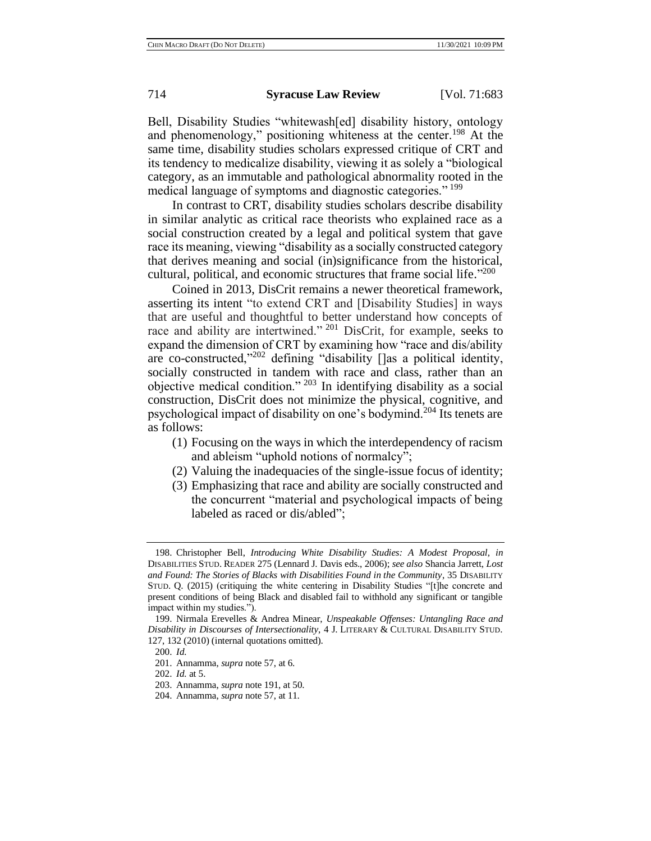Bell, Disability Studies "whitewash[ed] disability history, ontology and phenomenology," positioning whiteness at the center.<sup>198</sup> At the same time, disability studies scholars expressed critique of CRT and its tendency to medicalize disability, viewing it as solely a "biological category, as an immutable and pathological abnormality rooted in the medical language of symptoms and diagnostic categories." <sup>199</sup>

In contrast to CRT, disability studies scholars describe disability in similar analytic as critical race theorists who explained race as a social construction created by a legal and political system that gave race its meaning, viewing "disability as a socially constructed category that derives meaning and social (in)significance from the historical, cultural, political, and economic structures that frame social life."200

Coined in 2013, DisCrit remains a newer theoretical framework, asserting its intent "to extend CRT and [Disability Studies] in ways that are useful and thoughtful to better understand how concepts of race and ability are intertwined." <sup>201</sup> DisCrit, for example, seeks to expand the dimension of CRT by examining how "race and dis/ability are co-constructed,"<sup>202</sup> defining "disability []as a political identity, socially constructed in tandem with race and class, rather than an objective medical condition." <sup>203</sup> In identifying disability as a social construction, DisCrit does not minimize the physical, cognitive, and psychological impact of disability on one's bodymind.<sup>204</sup> Its tenets are as follows:

- (1) Focusing on the ways in which the interdependency of racism and ableism "uphold notions of normalcy";
- (2) Valuing the inadequacies of the single-issue focus of identity;
- (3) Emphasizing that race and ability are socially constructed and the concurrent "material and psychological impacts of being labeled as raced or dis/abled";

<sup>198.</sup> Christopher Bell, *Introducing White Disability Studies: A Modest Proposal*, *in*  DISABILITIES STUD. READER 275 (Lennard J. Davis eds., 2006); *see also* Shancia Jarrett, *Lost and Found: The Stories of Blacks with Disabilities Found in the Community*, 35 DISABILITY STUD. Q. (2015) (critiquing the white centering in Disability Studies "[t]he concrete and present conditions of being Black and disabled fail to withhold any significant or tangible impact within my studies.").

<sup>199.</sup> Nirmala Erevelles & Andrea Minear, *Unspeakable Offenses: Untangling Race and Disability in Discourses of Intersectionality*, 4 J. LITERARY & CULTURAL DISABILITY STUD. 127, 132 (2010) (internal quotations omitted).

<sup>200.</sup> *Id.*

<sup>201.</sup> Annamma, *supra* note 57, at 6.

<sup>202.</sup> *Id.* at 5.

<sup>203.</sup> Annamma, *supra* note 191, at 50.

<sup>204.</sup> Annamma, *supra* note 57, at 11.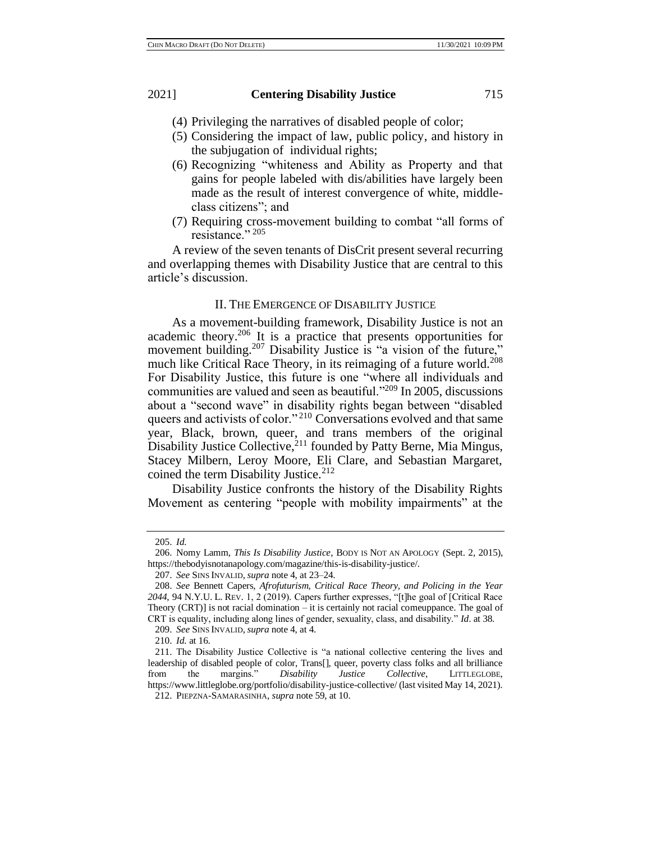- (4) Privileging the narratives of disabled people of color;
- (5) Considering the impact of law, public policy, and history in the subjugation of individual rights;
- (6) Recognizing "whiteness and Ability as Property and that gains for people labeled with dis/abilities have largely been made as the result of interest convergence of white, middleclass citizens"; and
- (7) Requiring cross-movement building to combat "all forms of resistance." 205

A review of the seven tenants of DisCrit present several recurring and overlapping themes with Disability Justice that are central to this article's discussion.

# II. THE EMERGENCE OF DISABILITY JUSTICE

As a movement-building framework, Disability Justice is not an academic theory.<sup>206</sup> It is a practice that presents opportunities for movement building.<sup>207</sup> Disability Justice is "a vision of the future," much like Critical Race Theory, in its reimaging of a future world.<sup>208</sup> For Disability Justice, this future is one "where all individuals and communities are valued and seen as beautiful."<sup>209</sup> In 2005, discussions about a "second wave" in disability rights began between "disabled queers and activists of color."<sup>210</sup> Conversations evolved and that same year, Black, brown, queer, and trans members of the original Disability Justice Collective,<sup>211</sup> founded by Patty Berne, Mia Mingus, Stacey Milbern, Leroy Moore, Eli Clare, and Sebastian Margaret, coined the term Disability Justice. $212$ 

Disability Justice confronts the history of the Disability Rights Movement as centering "people with mobility impairments" at the

<sup>205.</sup> *Id.*

<sup>206.</sup> Nomy Lamm, *This Is Disability Justice*, BODY IS NOT AN APOLOGY (Sept. 2, 2015), https://thebodyisnotanapology.com/magazine/this-is-disability-justice/.

<sup>207.</sup> *See* SINS INVALID, *supra* note 4, at 23–24.

<sup>208.</sup> *See* Bennett Capers, *Afrofuturism, Critical Race Theory, and Policing in the Year 2044*, 94 N.Y.U. L. REV. 1, 2 (2019). Capers further expresses, "[t]he goal of [Critical Race Theory  $(CRT)$ ] is not racial domination – it is certainly not racial comeuppance. The goal of CRT is equality, including along lines of gender, sexuality, class, and disability." *Id*. at 38.

<sup>209.</sup> *See* SINS INVALID, *supra* note 4, at 4.

<sup>210.</sup> *Id.* at 16.

<sup>211.</sup> The Disability Justice Collective is "a national collective centering the lives and leadership of disabled people of color, Trans[], queer, poverty class folks and all brilliance from the margins." *Disability Justice Collective*, LITTLEGLOBE, https://www.littleglobe.org/portfolio/disability-justice-collective/ (last visited May 14, 2021). 212. PIEPZNA-SAMARASINHA, *supra* note 59, at 10.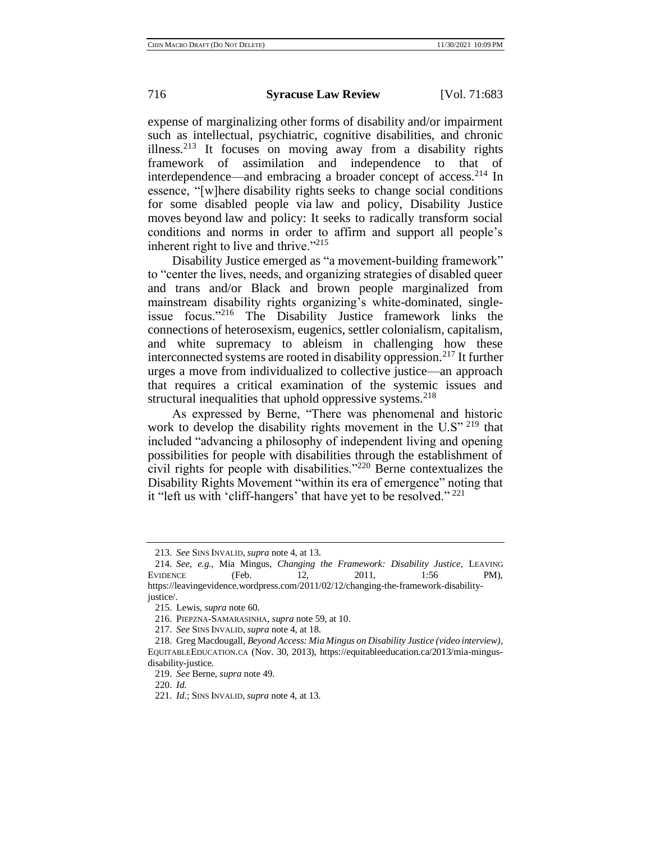expense of marginalizing other forms of disability and/or impairment such as intellectual, psychiatric, cognitive disabilities, and chronic illness.<sup>213</sup> It focuses on moving away from a disability rights framework of assimilation and independence to that of interdependence—and embracing a broader concept of access.<sup>214</sup> In essence, "[w]here disability rights seeks to change social conditions for some disabled people via [law an](https://docs.google.com/document/d/1zac8cR-0sN4WMfMGj3ka5bN8PpwJll7Z774klynevzo/edit?fbclid=IwAR0cttFKmvPAvHOQNNnVrAe8PHW06u7kjmkHYd2i8UKWM2otv7SwkOksLLI)d policy, Disability Justice moves beyond law and policy: It seeks to radically transform social conditions and norms in order to affirm and support all people's inherent right to live and thrive."<sup>215</sup>

Disability Justice emerged as "a movement-building framework" to "center the lives, needs, and organizing strategies of disabled queer and trans and/or Black and brown people marginalized from mainstream disability rights organizing's white-dominated, singleissue focus."<sup>216</sup> The Disability Justice framework links the connections of heterosexism, eugenics, settler colonialism, capitalism, and white supremacy to ableism in challenging how these interconnected systems are rooted in disability oppression.<sup>217</sup> It further urges a move from individualized to collective justice—an approach that requires a critical examination of the systemic issues and structural inequalities that uphold oppressive systems.<sup>218</sup>

As expressed by Berne, "There was phenomenal and historic work to develop the disability rights movement in the U.S" <sup>219</sup> that included "advancing a philosophy of independent living and opening possibilities for people with disabilities through the establishment of civil rights for people with disabilities."<sup>220</sup> Berne contextualizes the Disability Rights Movement "within its era of emergence" noting that it "left us with 'cliff-hangers' that have yet to be resolved."<sup>221</sup>

<sup>213.</sup> *See* SINS INVALID, *supra* note 4, at 13.

<sup>214.</sup> *See, e.g.*, Mia Mingus, *Changing the Framework: Disability Justice*, LEAVING EVIDENCE (Feb. 12, 2011, 1:56 PM), https://leavingevidence.wordpress.com/2011/02/12/changing-the-framework-disabilityjustice/.

<sup>215.</sup> Lewis, *supra* note 60.

<sup>216.</sup> PIEPZNA-SAMARASINHA, *supra* note 59, at 10.

<sup>217.</sup> *See* SINS INVALID, *supra* note 4, at 18.

<sup>218.</sup> Greg Macdougall, *Beyond Access: Mia Mingus on Disability Justice (video interview)*, EQUITABLEEDUCATION.CA (Nov. 30, 2013), https://equitableeducation.ca/2013/mia-mingusdisability-justice.

<sup>219.</sup> *See* Berne, *supra* note 49.

<sup>220.</sup> *Id.*

<sup>221.</sup> *Id.*; SINS INVALID, *supra* note 4, at 13.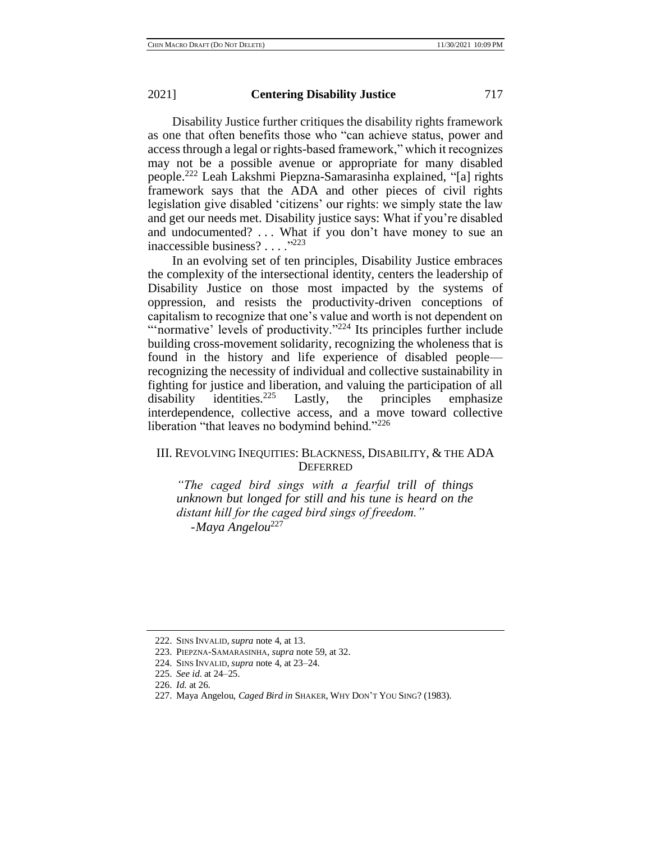Disability Justice further critiques the disability rights framework as one that often benefits those who "can achieve status, power and access through a legal or rights-based framework," which it recognizes may not be a possible avenue or appropriate for many disabled people.<sup>222</sup> Leah Lakshmi Piepzna-Samarasinha explained, "[a] rights framework says that the ADA and other pieces of civil rights legislation give disabled 'citizens' our rights: we simply state the law and get our needs met. Disability justice says: What if you're disabled and undocumented? ... What if you don't have money to sue an inaccessible business? . . . ."<sup>223</sup>

In an evolving set of ten principles, Disability Justice embraces the complexity of the intersectional identity, centers the leadership of Disability Justice on those most impacted by the systems of oppression, and resists the productivity-driven conceptions of capitalism to recognize that one's value and worth is not dependent on "'normative' levels of productivity."<sup>224</sup> Its principles further include building cross-movement solidarity, recognizing the wholeness that is found in the history and life experience of disabled people recognizing the necessity of individual and collective sustainability in fighting for justice and liberation, and valuing the participation of all disability identities.<sup>225</sup> Lastly, the principles emphasize interdependence, collective access, and a move toward collective liberation "that leaves no bodymind behind."<sup>226</sup>

# III. REVOLVING INEQUITIES: BLACKNESS, DISABILITY, & THE ADA **DEFERRED**

*"The caged bird sings with a fearful trill of things unknown but longed for still and his tune is heard on the distant hill for the caged bird sings of freedom." -Maya Angelou*<sup>227</sup>

<sup>222.</sup> SINS INVALID, *supra* note 4, at 13.

<sup>223.</sup> PIEPZNA-SAMARASINHA, *supra* note 59, at 32.

<sup>224.</sup> SINS INVALID, *supra* note 4, at 23–24.

<sup>225.</sup> *See id*. at 24–25.

<sup>226.</sup> *Id.* at 26.

<sup>227.</sup> Maya Angelou, *Caged Bird in* SHAKER, WHY DON'T YOU SING? (1983).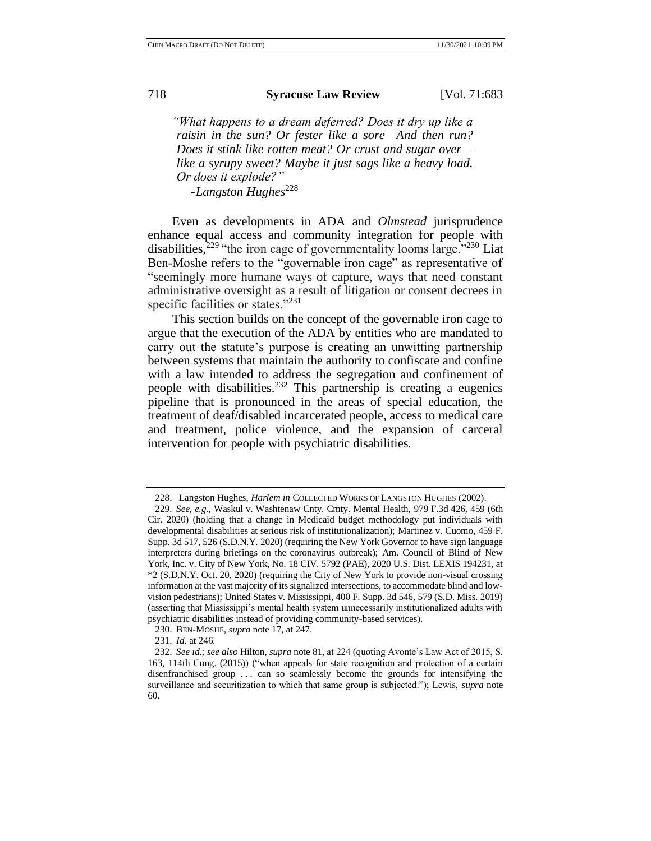*"What happens to a dream deferred? Does it dry up like a raisin in the sun? Or fester like a sore—And then run? Does it stink like rotten meat? Or crust and sugar over like a syrupy sweet? Maybe it just sags like a heavy load. Or does it explode?" -Langston Hughes*<sup>228</sup>

Even as developments in ADA and *Olmstead* jurisprudence enhance equal access and community integration for people with disabilities,<sup>229</sup> "the iron cage of governmentality looms large."<sup>230</sup> Liat Ben-Moshe refers to the "governable iron cage" as representative of "seemingly more humane ways of capture, ways that need constant administrative oversight as a result of litigation or consent decrees in specific facilities or states."<sup>231</sup>

This section builds on the concept of the governable iron cage to argue that the execution of the ADA by entities who are mandated to carry out the statute's purpose is creating an unwitting partnership between systems that maintain the authority to confiscate and confine with a law intended to address the segregation and confinement of people with disabilities. <sup>232</sup> This partnership is creating a eugenics pipeline that is pronounced in the areas of special education, the treatment of deaf/disabled incarcerated people, access to medical care and treatment, police violence, and the expansion of carceral intervention for people with psychiatric disabilities.

<sup>228.</sup> Langston Hughes, *Harlem in* COLLECTED WORKS OF LANGSTON HUGHES (2002).

<sup>229.</sup> *See, e.g.*, Waskul v. Washtenaw Cnty. Cmty. Mental Health, 979 F.3d 426, 459 (6th Cir. 2020) (holding that a change in Medicaid budget methodology put individuals with developmental disabilities at serious risk of institutionalization); Martinez v. Cuomo, 459 F. Supp. 3d 517, 526 (S.D.N.Y. 2020) (requiring the New York Governor to have sign language interpreters during briefings on the coronavirus outbreak); Am. Council of Blind of New York, Inc. v. City of New York, No. 18 CIV. 5792 (PAE), 2020 U.S. Dist. LEXIS 194231, at \*2 (S.D.N.Y. Oct. 20, 2020) (requiring the City of New York to provide non-visual crossing information at the vast majority of its signalized intersections, to accommodate blind and lowvision pedestrians); United States v. Mississippi, 400 F. Supp. 3d 546, 579 (S.D. Miss. 2019) (asserting that Mississippi's mental health system unnecessarily institutionalized adults with psychiatric disabilities instead of providing community-based services).

<sup>230.</sup> BEN-MOSHE, *supra* note 17, at 247.

<sup>231.</sup> *Id.* at 246.

<sup>232.</sup> *See id.*; *see also* Hilton, *supra* note 81, at 224 (quoting Avonte's Law Act of 2015, S. 163, 114th Cong. (2015)) ("when appeals for state recognition and protection of a certain disenfranchised group . . . can so seamlessly become the grounds for intensifying the surveillance and securitization to which that same group is subjected."); Lewis, *supra* note 60.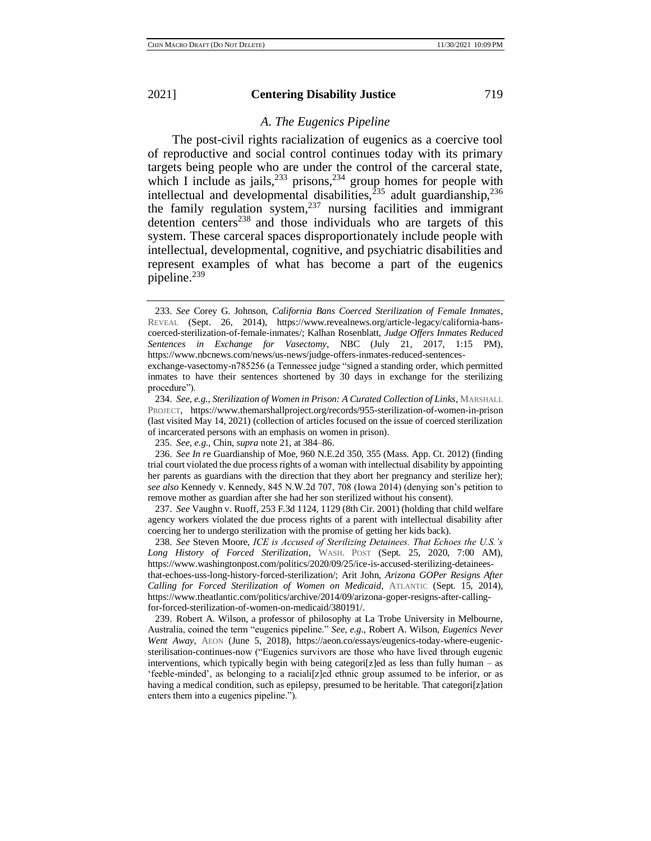# *A. The Eugenics Pipeline*

The post-civil rights racialization of eugenics as a coercive tool of reproductive and social control continues today with its primary targets being people who are under the control of the carceral state, which I include as jails,  $233$  prisons,  $234$  group homes for people with intellectual and developmental disabilities,<sup>235</sup> adult guardianship,<sup>236</sup> the family regulation system, $237$  nursing facilities and immigrant detention centers<sup>238</sup> and those individuals who are targets of this system. These carceral spaces disproportionately include people with intellectual, developmental, cognitive, and psychiatric disabilities and represent examples of what has become a part of the eugenics pipeline.<sup>239</sup>

<sup>233.</sup> *See* Corey G. Johnson, *California Bans Coerced Sterilization of Female Inmates*, REVEAL (Sept. 26, 2014), https://www.revealnews.org/article-legacy/california-banscoerced-sterilization-of-female-inmates/; Kalhan Rosenblatt, *Judge Offers Inmates Reduced Sentences in Exchange for Vasectomy*, NBC (July 21, 2017, 1:15 PM), https://www.nbcnews.com/news/us-news/judge-offers-inmates-reduced-sentences-

exchange-vasectomy-n785256 (a Tennessee judge "signed a standing order, which permitted inmates to have their sentences shortened by 30 days in exchange for the sterilizing procedure").

<sup>234.</sup> *See, e.g.*, *Sterilization of Women in Prison: A Curated Collection of Links*, MARSHALL PROJECT, https://www.themarshallproject.org/records/955-sterilization-of-women-in-prison (last visited May 14, 2021) (collection of articles focused on the issue of coerced sterilization of incarcerated persons with an emphasis on women in prison).

<sup>235.</sup> *See, e.g*., Chin, *supra* note 21, at 384–86.

<sup>236.</sup> *See In r*e Guardianship of Moe, 960 N.E.2d 350, 355 (Mass. App. Ct. 2012) (finding trial court violated the due process rights of a woman with intellectual disability by appointing her parents as guardians with the direction that they abort her pregnancy and sterilize her); *see also* Kennedy v. Kennedy, 845 N.W.2d 707, 708 (Iowa 2014) (denying son's petition to remove mother as guardian after she had her son sterilized without his consent).

<sup>237.</sup> *See* Vaughn v. Ruoff, 253 F.3d 1124, 1129 (8th Cir. 2001) (holding that child welfare agency workers violated the due process rights of a parent with intellectual disability after coercing her to undergo sterilization with the promise of getting her kids back).

<sup>238.</sup> *See* Steven Moore, *ICE is Accused of Sterilizing Detainees. That Echoes the U.S.'s Long History of Forced Sterilization*, WASH. POST (Sept. 25, 2020, 7:00 AM), https://www.washingtonpost.com/politics/2020/09/25/ice-is-accused-sterilizing-detaineesthat-echoes-uss-long-history-forced-sterilization/; Arit John, *Arizona GOPer Resigns After Calling for Forced Sterilization of Women on Medicaid*, ATLANTIC (Sept. 15, 2014), https://www.theatlantic.com/politics/archive/2014/09/arizona-goper-resigns-after-callingfor-forced-sterilization-of-women-on-medicaid/380191/.

<sup>239.</sup> Robert A. Wilson, a professor of philosophy at La Trobe University in Melbourne, Australia, coined the term "eugenics pipeline." *See, e.g.*, Robert A. Wilson, *Eugenics Never Went Away*, AEON (June 5, 2018), https://aeon.co/essays/eugenics-today-where-eugenicsterilisation-continues-now ("Eugenics survivors are those who have lived through eugenic interventions, which typically begin with being categori $[z]$ ed as less than fully human – as 'feeble-minded', as belonging to a raciali[z]ed ethnic group assumed to be inferior, or as having a medical condition, such as epilepsy, presumed to be heritable. That categori[z]ation enters them into a eugenics pipeline.").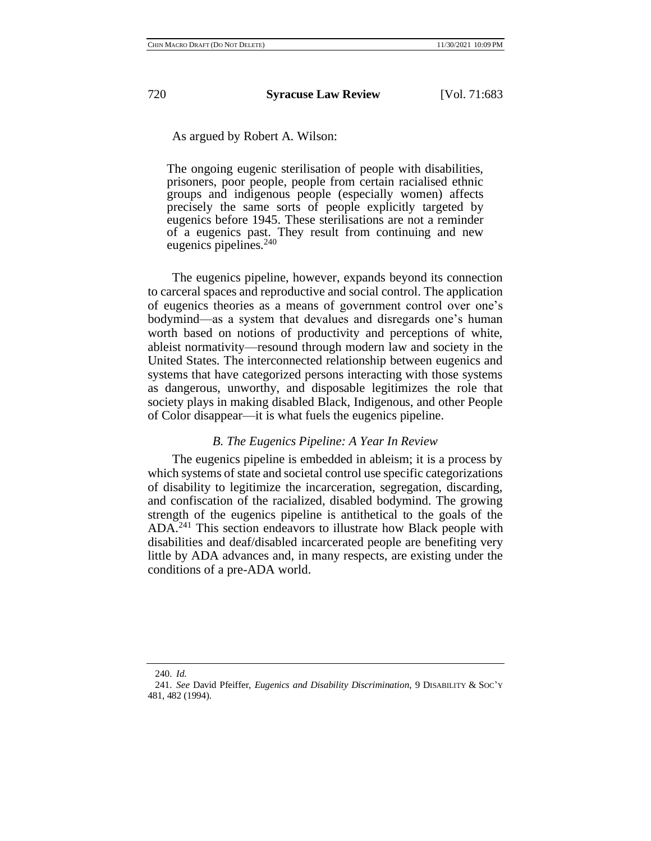As argued by Robert A. Wilson:

The ongoing eugenic sterilisation of people with disabilities, prisoners, poor people, people from certain racialised ethnic groups and indigenous people (especially women) affects precisely the same sorts of people explicitly targeted by eugenics before 1945. These sterilisations are not a reminder of a eugenics past. They result from continuing and new eugenics pipelines.<sup>240</sup>

The eugenics pipeline, however, expands beyond its connection to carceral spaces and reproductive and social control. The application of eugenics theories as a means of government control over one's bodymind—as a system that devalues and disregards one's human worth based on notions of productivity and perceptions of white, ableist normativity—resound through modern law and society in the United States. The interconnected relationship between eugenics and systems that have categorized persons interacting with those systems as dangerous, unworthy, and disposable legitimizes the role that society plays in making disabled Black, Indigenous, and other People of Color disappear—it is what fuels the eugenics pipeline.

## *B. The Eugenics Pipeline: A Year In Review*

The eugenics pipeline is embedded in ableism; it is a process by which systems of state and societal control use specific categorizations of disability to legitimize the incarceration, segregation, discarding, and confiscation of the racialized, disabled bodymind. The growing strength of the eugenics pipeline is antithetical to the goals of the ADA.<sup>241</sup> This section endeavors to illustrate how Black people with disabilities and deaf/disabled incarcerated people are benefiting very little by ADA advances and, in many respects, are existing under the conditions of a pre-ADA world.

<sup>240.</sup> *Id.*

<sup>241.</sup> *See* David Pfeiffer, *Eugenics and Disability Discrimination*, 9 DISABILITY & SOC'Y 481, 482 (1994).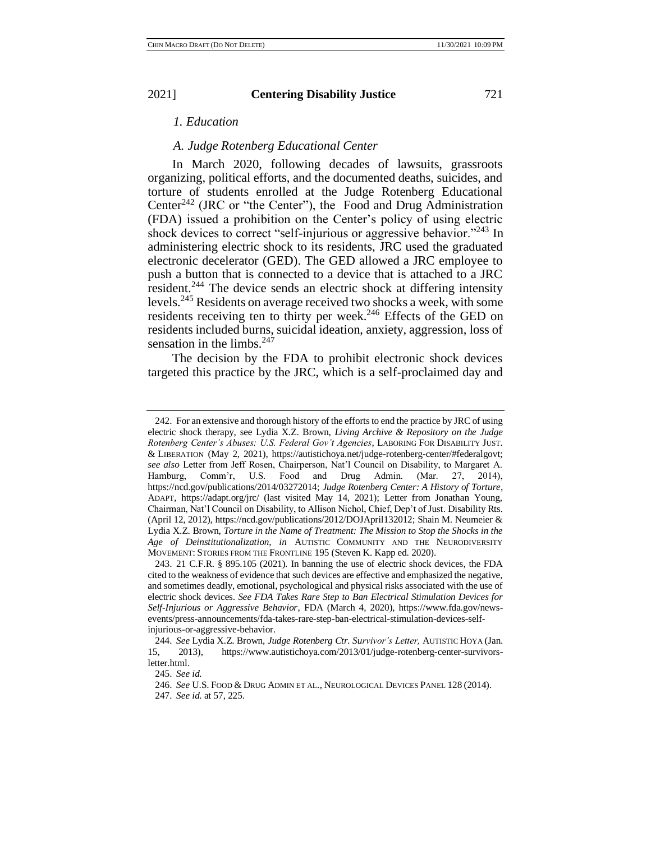# *1. Education*

# *A. Judge Rotenberg Educational Center*

In March 2020, following decades of lawsuits, grassroots organizing, political efforts, and the documented deaths, suicides, and torture of students enrolled at the Judge Rotenberg Educational Center<sup>242</sup> (JRC or "the Center"), the Food and Drug Administration (FDA) issued a prohibition on the Center's policy of using electric shock devices to correct "self-injurious or aggressive behavior."<sup>243</sup> In administering electric shock to its residents, JRC used the graduated electronic decelerator (GED). The GED allowed a JRC employee to push a button that is connected to a device that is attached to a JRC resident.<sup>244</sup> The device sends an electric shock at differing intensity levels.<sup>245</sup> Residents on average received two shocks a week, with some residents receiving ten to thirty per week.<sup>246</sup> Effects of the GED on residents included burns, suicidal ideation, anxiety, aggression, loss of sensation in the limbs. $247$ 

The decision by the FDA to prohibit electronic shock devices targeted this practice by the JRC, which is a self-proclaimed day and

<sup>242.</sup> For an extensive and thorough history of the efforts to end the practice by JRC of using electric shock therapy, see Lydia X.Z. Brown, *Living Archive & Repository on the Judge Rotenberg Center's Abuses: U.S. Federal Gov't Agencies*, LABORING FOR DISABILITY JUST. & LIBERATION (May 2, 2021), https://autistichoya.net/judge-rotenberg-center/#federalgovt; *see also* Letter from Jeff Rosen, Chairperson, Nat'l Council on Disability, to Margaret A. Hamburg, Comm'r, U.S. Food and Drug Admin. (Mar. 27, 2014), https://ncd.gov/publications/2014/03272014; *Judge Rotenberg Center: A History of Torture*, ADAPT, https://adapt.org/jrc/ (last visited May 14, 2021); Letter from Jonathan Young, Chairman, Nat'l Council on Disability, to Allison Nichol, Chief, Dep't of Just. Disability Rts. (April 12, 2012), https://ncd.gov/publications/2012/DOJApril132012; Shain M. Neumeier & Lydia X.Z. Brown, *Torture in the Name of Treatment: The Mission to Stop the Shocks in the Age of Deinstitutionalization, in* AUTISTIC COMMUNITY AND THE NEURODIVERSITY MOVEMENT: STORIES FROM THE FRONTLINE 195 (Steven K. Kapp ed. 2020).

<sup>243.</sup> 21 C.F.R. § 895.105 (2021). In banning the use of electric shock devices, the FDA cited to the weakness of evidence that such devices are effective and emphasized the negative, and sometimes deadly, emotional, psychological and physical risks associated with the use of electric shock devices. *See FDA Takes Rare Step to Ban Electrical Stimulation Devices for Self-Injurious or Aggressive Behavior*, FDA (March 4, 2020), https://www.fda.gov/newsevents/press-announcements/fda-takes-rare-step-ban-electrical-stimulation-devices-selfinjurious-or-aggressive-behavior.

<sup>244.</sup> *See* Lydia X.Z. Brown, *Judge Rotenberg Ctr. Survivor's Letter,* AUTISTIC HOYA (Jan. 15, 2013), https://www.autistichoya.com/2013/01/judge-rotenberg-center-survivorsletter.html.

<sup>245.</sup> *See id.*

<sup>246.</sup> *See* U.S. FOOD & DRUG ADMIN ET AL., NEUROLOGICAL DEVICES PANEL 128 (2014).

<sup>247.</sup> *See id.* at 57, 225.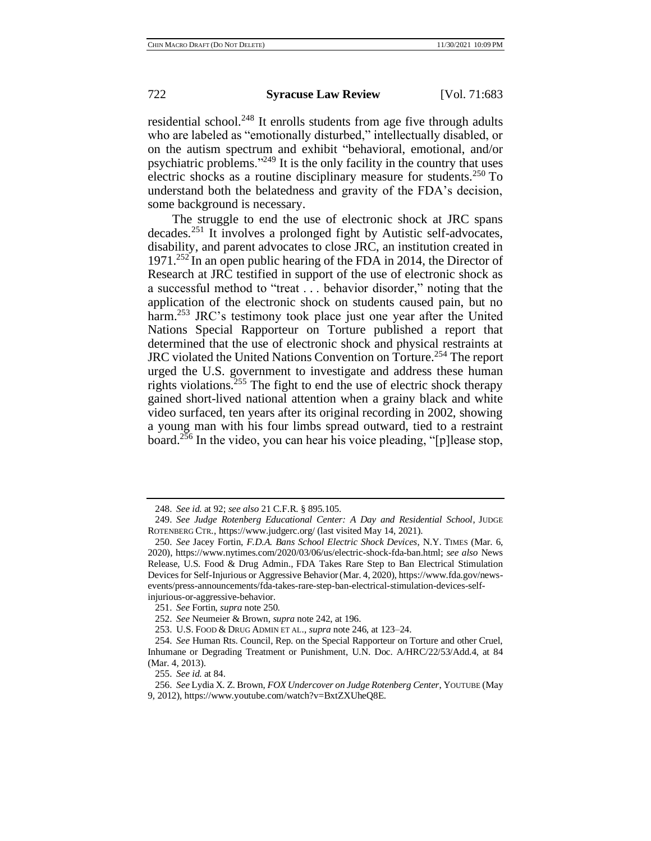residential school.<sup>248</sup> It enrolls students from age five through adults who are labeled as "emotionally disturbed," intellectually disabled, or on the autism spectrum and exhibit "behavioral, emotional, and/or psychiatric problems."<sup>249</sup> It is the only facility in the country that uses electric shocks as a routine disciplinary measure for students.<sup>250</sup> To understand both the belatedness and gravity of the FDA's decision, some background is necessary.

The struggle to end the use of electronic shock at JRC spans decades.<sup>251</sup> It involves a prolonged fight by Autistic self-advocates, disability, and parent advocates to close JRC, an institution created in 1971.<sup>252</sup> In an open public hearing of the FDA in 2014, the Director of Research at JRC testified in support of the use of electronic shock as a successful method to "treat . . . behavior disorder," noting that the application of the electronic shock on students caused pain, but no harm.<sup>253</sup> JRC's testimony took place just one year after the United Nations Special Rapporteur on Torture published a report that determined that the use of electronic shock and physical restraints at JRC violated the United Nations Convention on Torture.<sup>254</sup> The report urged the U.S. government to investigate and address these human rights violations.<sup>255</sup> The fight to end the use of electric shock therapy gained short-lived national attention when a grainy black and white video surfaced, ten years after its original recording in 2002, showing a young man with his four limbs spread outward, tied to a restraint board.<sup>256</sup> In the video, you can hear his voice pleading, "[p]lease stop,

<sup>248.</sup> *See id.* at 92; *see also* 21 C.F.R. § 895.105.

<sup>249.</sup> *See Judge Rotenberg Educational Center: A Day and Residential School*, JUDGE ROTENBERG CTR[.,](https://www.judgerc.org/) https://www.judgerc.org/ (last visited May 14, 2021).

<sup>250.</sup> *See* Jacey Fortin, *F.D.A. Bans School Electric Shock Devices*, N.Y. TIMES (Mar. 6, 2020), https://www.nytimes.com/2020/03/06/us/electric-shock-fda-ban.html; *see also* News Release, U.S. Food & Drug Admin., FDA Takes Rare Step to Ban Electrical Stimulation Devices for Self-Injurious or Aggressive Behavior(Mar. 4, 2020), https://www.fda.gov/newsevents/press-announcements/fda-takes-rare-step-ban-electrical-stimulation-devices-selfinjurious-or-aggressive-behavior.

<sup>251.</sup> *See* Fortin, *supra* note 250.

<sup>252.</sup> *See* Neumeier & Brown, *supra* note 242, at 196.

<sup>253.</sup> U.S. FOOD & DRUG ADMIN ET AL., *supra* note 246, at 123–24.

<sup>254.</sup> *See* Human Rts. Council, Rep. on the Special Rapporteur on Torture and other Cruel, Inhumane or Degrading Treatment or Punishment, U.N. Doc. A/HRC/22/53/Add.4, at 84 (Mar. 4, 2013).

<sup>255.</sup> *See id.* at 84.

<sup>256.</sup> *See* Lydia X. Z. Brown, *FOX Undercover on Judge Rotenberg Center*, YOUTUBE (May 9, 2012), https://www.youtube.com/watch?v=BxtZXUheQ8E.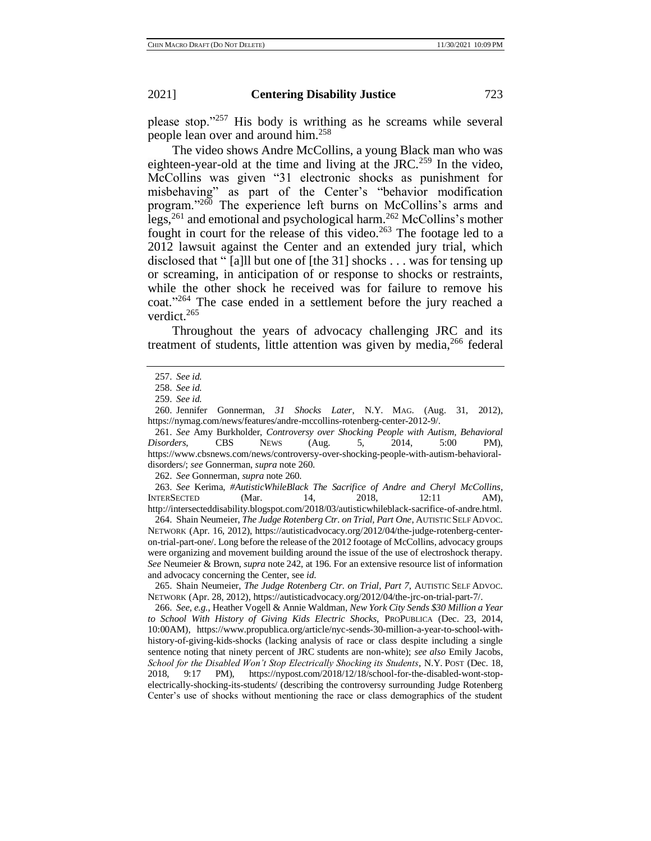please stop."<sup>257</sup> His body is writhing as he screams while several people lean over and around him.<sup>258</sup>

The video shows Andre McCollins, a young Black man who was eighteen-year-old at the time and living at the JRC.<sup>259</sup> In the video, McCollins was given "31 electronic shocks as punishment for misbehaving" as part of the Center's "behavior modification program."<sup>260</sup> The experience left burns on McCollins's arms and legs,<sup>261</sup> and emotional and psychological harm.<sup>262</sup> McCollins's mother fought in court for the release of this video.<sup>263</sup> The footage led to a 2012 lawsuit against the Center and an extended jury trial, which disclosed that " [a]ll but one of [the 31] shocks . . . was for tensing up or screaming, in anticipation of or response to shocks or restraints, while the other shock he received was for failure to remove his coat."<sup>264</sup> The case ended in a settlement before the jury reached a verdict.<sup>265</sup>

Throughout the years of advocacy challenging JRC and its treatment of students, little attention was given by media,  $266$  federal

261. *See* Amy Burkholder, *Controversy over Shocking People with Autism, Behavioral Disorders*, CBS NEWS (Aug. 5, 2014, 5:00 PM), https://www.cbsnews.com/news/controversy-over-shocking-people-with-autism-behavioraldisorders/; *see* Gonnerman, *supra* note 260.

262. *See* Gonnerman, *supra* note 260.

263. *See* Kerima, *#AutisticWhileBlack The Sacrifice of Andre and Cheryl McCollins*, INTERSECTED (Mar. 14[,](http://intersecteddisability.blogspot.com/2018/03/autisticwhileblack-sacrifice-of-andre.html) 2018, 12:11 AM), http://intersecteddisability.blogspot.com/2018/03/autisticwhileblack-sacrifice-of-andre.html.

264. Shain Neumeier, *The Judge Rotenberg Ctr. on Trial, Part One*, AUTISTIC SELF ADVOC. NETWORK (Apr. 16, 2012), https://autisticadvocacy.org/2012/04/the-judge-rotenberg-centeron-trial-part-one/. Long before the release of the 2012 footage of McCollins, advocacy groups were organizing and movement building around the issue of the use of electroshock therapy. *See* Neumeier & Brown, *supra* note 242, at 196. For an extensive resource list of information and advocacy concerning the Center, see *id*.

265. Shain Neumeier, *The Judge Rotenberg Ctr. on Trial, Part 7*, AUTISTIC SELF ADVOC. NETWORK (Apr. 28, 2012)[,](https://autisticadvocacy.org/2012/04/the-jrc-on-trial-part-7/) https://autisticadvocacy.org/2012/04/the-jrc-on-trial-part-7/.

266. *See, e.g.*, Heather Vogell & Annie Waldman, *New York City Sends \$30 Million a Year to School With History of Giving Kids Electric Shocks,* PROPUBLICA (Dec. 23, 2014, 10:00AM), https://www.propublica.org/article/nyc-sends-30-million-a-year-to-school-withhistory-of-giving-kids-shocks (lacking analysis of race or class despite including a single sentence noting that ninety percent of JRC students are non-white); *see also* Emily Jacobs, *School for the Disabled Won't Stop Electrically Shocking its Students*, N.Y. POST (Dec. 18, 2018, 9:17 PM), https://nypost.com/2018/12/18/school-for-the-disabled-wont-stopelectrically-shocking-its-students/ (describing the controversy surrounding Judge Rotenberg Center's use of shocks without mentioning the race or class demographics of the student

<sup>257.</sup> *See id.*

<sup>258.</sup> *See id.*

<sup>259.</sup> *See id.*

<sup>260.</sup> Jennifer Gonnerman, *31 Shocks Later*, N.Y. MAG. (Aug. 31, 2012), https://nymag.com/news/features/andre-mccollins-rotenberg-center-2012-9/.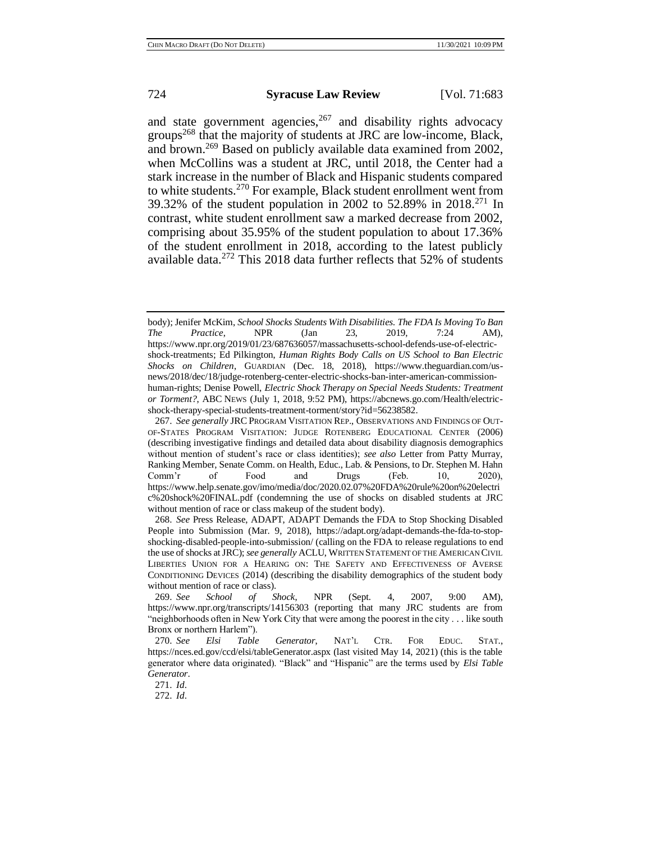and state government agencies,  $267$  and disability rights advocacy groups<sup>268</sup> that the majority of students at JRC are low-income, Black, and brown.<sup>269</sup> Based on publicly available data examined from 2002, when McCollins was a student at JRC, until 2018, the Center had a stark increase in the number of Black and Hispanic students compared to white students.<sup>270</sup> For example, Black student enrollment went from 39.32% of the student population in 2002 to 52.89% in 2018.<sup>271</sup> In contrast, white student enrollment saw a marked decrease from 2002, comprising about 35.95% of the student population to about 17.36% of the student enrollment in 2018, according to the latest publicly available data.<sup>272</sup> This 2018 data further reflects that 52% of students

268. *See* Press Release, ADAPT, ADAPT Demands the FDA to Stop Shocking Disabled People into Submission (Mar. 9, 2018), https://adapt.org/adapt-demands-the-fda-to-stopshocking-disabled-people-into-submission/ (calling on the FDA to release regulations to end the use of shocks at JRC); *see generally* ACLU, WRITTEN STATEMENT OF THE AMERICAN CIVIL LIBERTIES UNION FOR A HEARING ON: THE SAFETY AND EFFECTIVENESS OF AVERSE CONDITIONING DEVICES (2014) (describing the disability demographics of the student body without mention of race or class).

body); Jenifer McKim, *School Shocks Students With Disabilities. The FDA Is Moving To Ban The Practice*, NPR (Jan 23, 2019, 7:24 AM), https://www.npr.org/2019/01/23/687636057/massachusetts-school-defends-use-of-electricshock-treatments; Ed Pilkington, *Human Rights Body Calls on US School to Ban Electric Shocks on Children*, GUARDIAN (Dec. 18, 2018), https://www.theguardian.com/usnews/2018/dec/18/judge-rotenberg-center-electric-shocks-ban-inter-american-commissionhuman-rights; Denise Powell, *Electric Shock Therapy on Special Needs Students: Treatment or Torment?*, ABC NEWS (July 1, 2018, 9:52 PM), https://abcnews.go.com/Health/electricshock-therapy-special-students-treatment-torment/story?id=56238582.

<sup>267.</sup> *See generally* JRC PROGRAM VISITATION REP., OBSERVATIONS AND FINDINGS OF OUT-OF-STATES PROGRAM VISITATION: JUDGE ROTENBERG EDUCATIONAL CENTER (2006) (describing investigative findings and detailed data about disability diagnosis demographics without mention of student's race or class identities); *see also* Letter from Patty Murray, Ranking Member, Senate Comm. on Health, Educ., Lab. & Pensions, to Dr. Stephen M. Hahn Comm'r of Food and Drugs (Feb. 10, 2020), https://www.help.senate.gov/imo/media/doc/2020.02.07%20FDA%20rule%20on%20electri c%20shock%20FINAL.pdf (condemning the use of shocks on disabled students at JRC without mention of race or class makeup of the student body).

<sup>269.</sup> *See School of Shock*, NPR (Sept. 4, 2007, 9:00 AM), https://www.npr.org/transcripts/14156303 (reporting that many JRC students are from "neighborhoods often in New York City that were among the poorest in the city . . . like south Bronx or northern Harlem").

<sup>270.</sup> *See Elsi Table Generator*, NAT'L CTR. FOR EDUC. STAT., https://nces.ed.gov/ccd/elsi/tableGenerator.aspx (last visited May 14, 2021) (this is the table generator where data originated). "Black" and "Hispanic" are the terms used by *Elsi Table Generator*.

<sup>271.</sup> *Id*.

<sup>272.</sup> *Id*.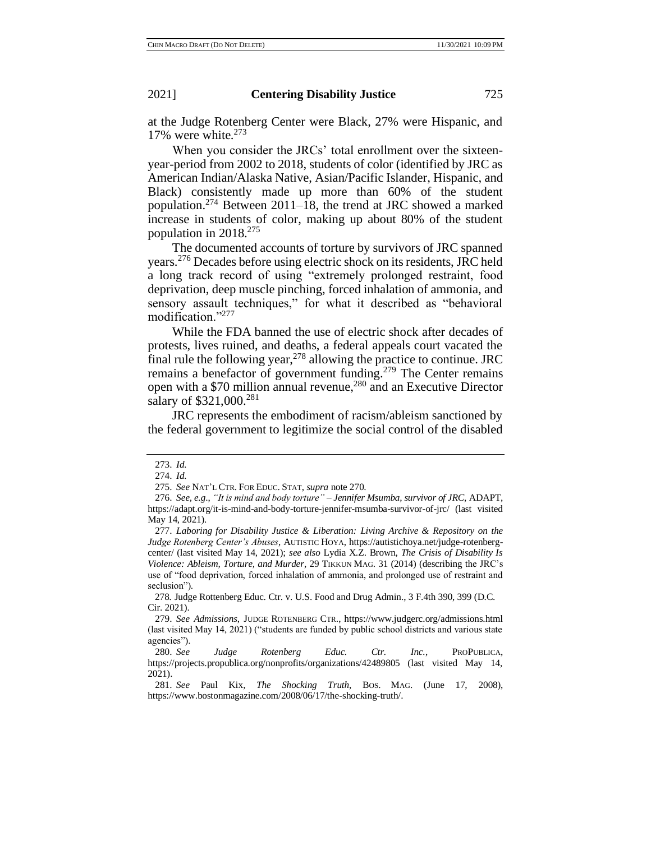at the Judge Rotenberg Center were Black, 27% were Hispanic, and 17% were white. $273$ 

When you consider the JRCs' total enrollment over the sixteenyear-period from 2002 to 2018, students of color (identified by JRC as American Indian/Alaska Native, Asian/Pacific Islander, Hispanic, and Black) consistently made up more than 60% of the student population.<sup>274</sup> Between 2011–18, the trend at JRC showed a marked increase in students of color, making up about 80% of the student population in  $2018.<sup>275</sup>$ 

The documented accounts of torture by survivors of JRC spanned years.<sup>276</sup> Decades before using electric shock on its residents, JRC held a long track record of using "extremely prolonged restraint, food deprivation, deep muscle pinching, forced inhalation of ammonia, and sensory assault techniques," for what it described as "behavioral modification."<sup>277</sup>

While the FDA banned the use of electric shock after decades of protests, lives ruined, and deaths, a federal appeals court vacated the final rule the following year,  $^{278}$  allowing the practice to continue. JRC remains a benefactor of government funding.<sup>279</sup> The Center remains open with a \$70 million annual revenue,<sup>280</sup> and an Executive Director salary of \$321,000.<sup>281</sup>

JRC represents the embodiment of racism/ableism sanctioned by the federal government to legitimize the social control of the disabled

<sup>273.</sup> *Id.*

<sup>274.</sup> *Id.*

<sup>275.</sup> *See* NAT'L CTR. FOR EDUC. STAT, *supra* note 270.

<sup>276.</sup> *See, e.g*., *"It is mind and body torture" – Jennifer Msumba, survivor of JRC*, ADAPT, https://adapt.org/it-is-mind-and-body-torture-jennifer-msumba-survivor-of-jrc/ (last visited May 14, 2021).

<sup>277.</sup> *Laboring for Disability Justice & Liberation: Living Archive & Repository on the Judge Rotenberg Center's Abuses*, AUTISTIC HOYA, https://autistichoya.net/judge-rotenbergcenter/ (last visited May 14, 2021); *see also* Lydia X.Z. Brown, *The Crisis of Disability Is Violence: Ableism, Torture, and Murder*, 29 TIKKUN MAG. 31 (2014) (describing the JRC's use of "food deprivation, forced inhalation of ammonia, and prolonged use of restraint and seclusion").

<sup>278</sup>*.* Judge Rottenberg Educ. Ctr. v. U.S. Food and Drug Admin., 3 F.4th 390, 399 (D.C. Cir. 2021).

<sup>279.</sup> *See Admissions*, JUDGE ROTENBERG CTR., https://www.judgerc.org/admissions.html (last visited May 14, 2021) ("students are funded by public school districts and various state agencies").

<sup>280.</sup> *See Judge Rotenberg Educ. Ctr. Inc.*, PROPUBLICA[,](https://projects.propublica.org/nonprofits/organizations/42489805) https://projects.propublica.org/nonprofits/organizations/42489805 (last visited May 14, 2021).

<sup>281.</sup> *See* Paul Kix, *The Shocking Truth*, BOS. MAG. (June 17, 2008[\),](https://www.bostonmagazine.com/2008/06/17/the-shocking-truth/) https://www.bostonmagazine.com/2008/06/17/the-shocking-truth/.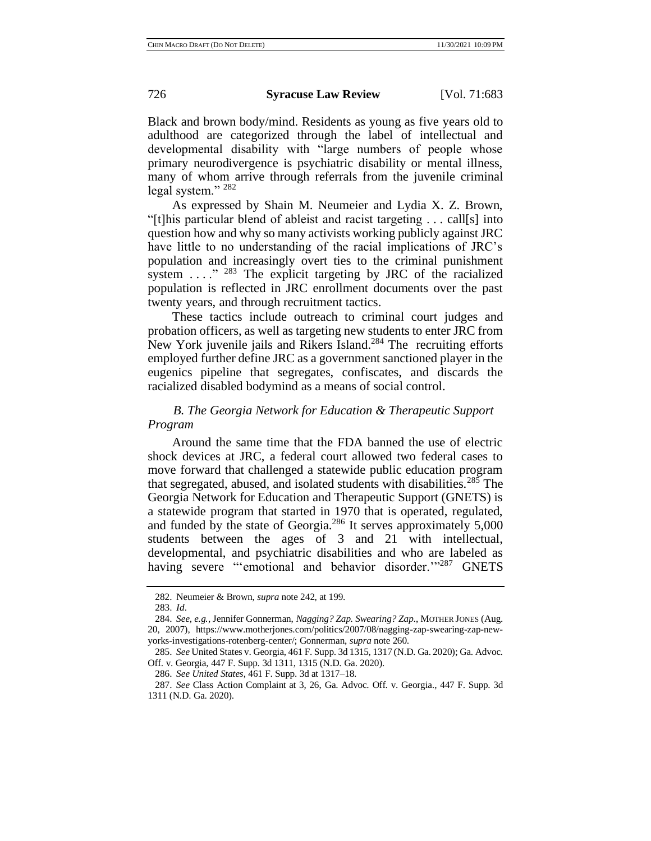Black and brown body/mind. Residents as young as five years old to adulthood are categorized through the label of intellectual and developmental disability with "large numbers of people whose primary neurodivergence is psychiatric disability or mental illness, many of whom arrive through referrals from the juvenile criminal legal system."<sup>282</sup>

As expressed by Shain M. Neumeier and Lydia X. Z. Brown, "[t]his particular blend of ableist and racist targeting . . . call[s] into question how and why so many activists working publicly against JRC have little to no understanding of the racial implications of JRC's population and increasingly overt ties to the criminal punishment system  $\ldots$ ." <sup>283</sup> The explicit targeting by JRC of the racialized population is reflected in JRC enrollment documents over the past twenty years, and through recruitment tactics.

These tactics include outreach to criminal court judges and probation officers, as well as targeting new students to enter JRC from New York juvenile jails and Rikers Island.<sup>284</sup> The recruiting efforts employed further define JRC as a government sanctioned player in the eugenics pipeline that segregates, confiscates, and discards the racialized disabled bodymind as a means of social control.

# *B. The Georgia Network for Education & Therapeutic Support Program*

Around the same time that the FDA banned the use of electric shock devices at JRC, a federal court allowed two federal cases to move forward that challenged a statewide public education program that segregated, abused, and isolated students with disabilities.<sup>285</sup> The Georgia Network for Education and Therapeutic Support (GNETS) is a statewide program that started in 1970 that is operated, regulated, and funded by the state of Georgia. $286$  It serves approximately 5,000 students between the ages of 3 and 21 with intellectual, developmental, and psychiatric disabilities and who are labeled as having severe "'emotional and behavior disorder."<sup>287</sup> GNETS

<sup>282.</sup> Neumeier & Brown, *supra* note 242, at 199.

<sup>283.</sup> *Id*.

<sup>284.</sup> *See, e.g.*, Jennifer Gonnerman, *Nagging? Zap. Swearing? Zap*., MOTHER JONES (Aug. 20, 2007), https://www.motherjones.com/politics/2007/08/nagging-zap-swearing-zap-newyorks-investigations-rotenberg-center/; Gonnerman, *supra* note 260.

<sup>285.</sup> *See* United States v. Georgia, 461 F. Supp. 3d 1315, 1317 (N.D. Ga. 2020); Ga. Advoc. Off. v. Georgia, 447 F. Supp. 3d 1311, 1315 (N.D. Ga. 2020).

<sup>286.</sup> *See United States*, 461 F. Supp. 3d at 1317–18.

<sup>287.</sup> *See* Class Action Complaint at 3, 26, Ga. Advoc. Off. v. Georgia*.*, 447 F. Supp. 3d 1311 (N.D. Ga. 2020).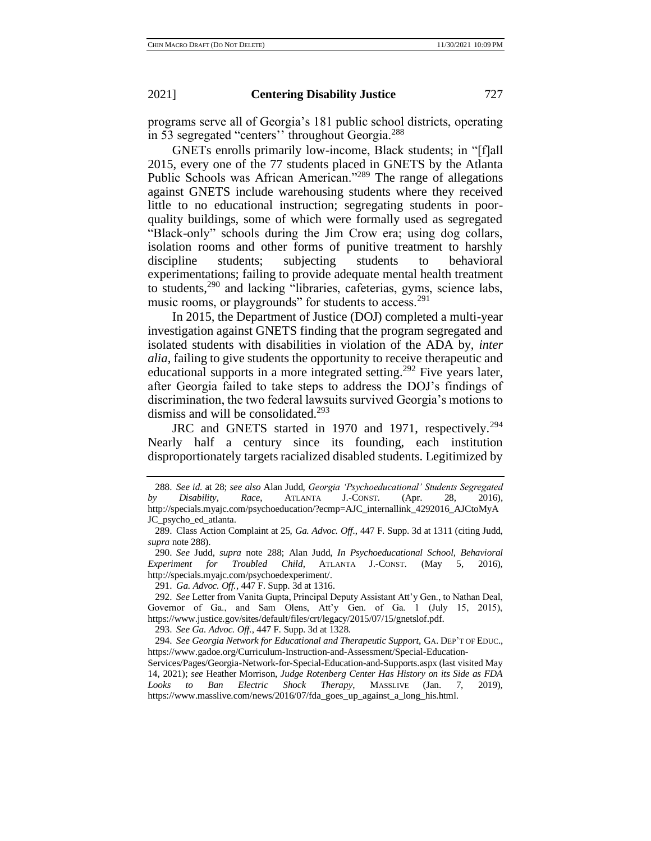programs serve all of Georgia's 181 public school districts, operating in 53 segregated "centers'' throughout Georgia.<sup>288</sup>

GNETs enrolls primarily low-income, Black students; in "[f]all 2015, every one of the 77 students placed in GNETS by the Atlanta Public Schools was African American."<sup>289</sup> The range of allegations against GNETS include warehousing students where they received little to no educational instruction; segregating students in poorquality buildings, some of which were formally used as segregated "Black-only" schools during the Jim Crow era; using dog collars, isolation rooms and other forms of punitive treatment to harshly discipline students; subjecting students to behavioral experimentations; failing to provide adequate mental health treatment to students,<sup>290</sup> and lacking "libraries, cafeterias, gyms, science labs, music rooms, or playgrounds" for students to access.<sup>291</sup>

In 2015, the Department of Justice (DOJ) completed a multi-year investigation against GNETS finding that the program segregated and isolated students with disabilities in violation of the ADA by, *inter alia*, failing to give students the opportunity to receive therapeutic and educational supports in a more integrated setting.<sup>292</sup> Five years later, after Georgia failed to take steps to address the DOJ's findings of discrimination, the two federal lawsuits survived Georgia's motions to dismiss and will be consolidated.<sup>293</sup>

JRC and GNETS started in 1970 and 1971, respectively.<sup>294</sup> Nearly half a century since its founding, each institution disproportionately targets racialized disabled students. Legitimized by

291. *Ga. Advoc. Off.*, 447 F. Supp. 3d at 1316.

293. *See Ga. Advoc. Off.*, 447 F. Supp. 3d at 1328.

294. *See Georgia Network for Educational and Therapeutic Support,* GA. DEP'T OF EDUC., https://www.gadoe.org/Curriculum-Instruction-and-Assessment/Special-Education-

<sup>288.</sup> *See id*. at 28; *see also* Alan Judd, *Georgia 'Psychoeducational' Students Segregated by Disability, Race*, ATLANTA J.-CONST. (Apr. 28, 2016), http://specials.myajc.com/psychoeducation/?ecmp=AJC\_internallink\_4292016\_AJCtoMyA JC\_psycho\_ed\_atlanta.

<sup>289.</sup> Class Action Complaint at 25, *Ga. Advoc. Off.*, 447 F. Supp. 3d at 1311 (citing Judd, *supra* note 288).

<sup>290.</sup> *See* Judd, *supra* note 288; Alan Judd, *In Psychoeducational School, Behavioral Experiment for Troubled Child*, ATLANTA J.-CONST. (May 5, 2016)[,](http://specials.myajc.com/psychoedexperiment/) http://specials.myajc.com/psychoedexperiment/.

<sup>292.</sup> *See* Letter from Vanita Gupta, Principal Deputy Assistant Att'y Gen., to Nathan Deal, Governor of Ga., and Sam Olens, Att'y Gen. of Ga. 1 (July 15, 2015), https://www.justice.gov/sites/default/files/crt/legacy/2015/07/15/gnetslof.pdf.

Services/Pages/Georgia-Network-for-Special-Education-and-Supports.aspx (last visited May 14, 2021); *see* Heather Morrison, *Judge Rotenberg Center Has History on its Side as FDA Looks to Ban Electric Shock Therapy*, MASSLIVE (Jan. 7, 2019), https://www.masslive.com/news/2016/07/fda\_goes\_up\_against\_a\_long\_his.html.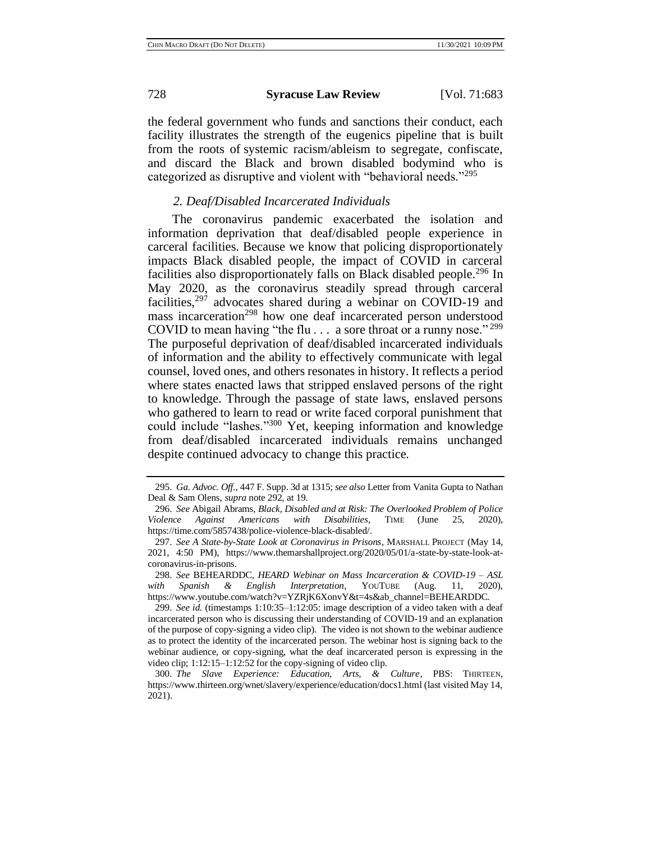the federal government who funds and sanctions their conduct, each facility illustrates the strength of the eugenics pipeline that is built from the roots of systemic racism/ableism to segregate, confiscate, and discard the Black and brown disabled bodymind who is categorized as disruptive and violent with "behavioral needs."<sup>295</sup>

# *2. Deaf/Disabled Incarcerated Individuals*

The coronavirus pandemic exacerbated the isolation and information deprivation that deaf/disabled people experience in carceral facilities. Because we know that policing disproportionately impacts Black disabled people, the impact of COVID in carceral facilities also disproportionately falls on Black disabled people.<sup>296</sup> In May 2020, as the coronavirus steadily spread through carceral facilities, $297$  advocates shared during a webinar on COVID-19 and mass incarceration<sup>298</sup> how one deaf incarcerated person understood COVID to mean having "the flu... a sore throat or a runny nose." <sup>299</sup> The purposeful deprivation of deaf/disabled incarcerated individuals of information and the ability to effectively communicate with legal counsel, loved ones, and others resonates in history. It reflects a period where states enacted laws that stripped enslaved persons of the right to knowledge. Through the passage of state laws, enslaved persons who gathered to learn to read or write faced corporal punishment that could include "lashes." <sup>300</sup> Yet, keeping information and knowledge from deaf/disabled incarcerated individuals remains unchanged despite continued advocacy to change this practice.

<sup>295.</sup> *Ga. Advoc. Off.*, 447 F. Supp. 3d at 1315; *see also* Letter from Vanita Gupta to Nathan Deal & Sam Olens, *supra* note 292, at 19.

<sup>296.</sup> *See* Abigail Abrams, *Black, Disabled and at Risk: The Overlooked Problem of Police Violence Against Americans with Disabilities*, TIME (June 25, 2020), https://time.com/5857438/police-violence-black-disabled/.

<sup>297.</sup> *See A State-by-State Look at Coronavirus in Prisons*, MARSHALL PROJECT (May 14, 2021, 4:50 PM), https://www.themarshallproject.org/2020/05/01/a-state-by-state-look-atcoronavirus-in-prisons.

<sup>298.</sup> *See* BEHEARDDC, *HEARD Webinar on Mass Incarceration & COVID-19 – ASL with Spanish & English Interpretation*, YOUTUBE (Aug. 11, 2020), https://www.youtube.com/watch?v=YZRjK6XonvY&t=4s&ab\_channel=BEHEARDDC.

<sup>299.</sup> *See id.* (timestamps 1:10:35–1:12:05: image description of a video taken with a deaf incarcerated person who is discussing their understanding of COVID-19 and an explanation of the purpose of copy-signing a video clip). The video is not shown to the webinar audience as to protect the identity of the incarcerated person. The webinar host is signing back to the webinar audience, or copy-signing, what the deaf incarcerated person is expressing in the video clip; 1:12:15–1:12:52 for the copy-signing of video clip.

<sup>300.</sup> *The Slave Experience: Education, Arts, & Culture*, PBS: THIRTEEN, https://www.thirteen.org/wnet/slavery/experience/education/docs1.html (last visited May 14, 2021).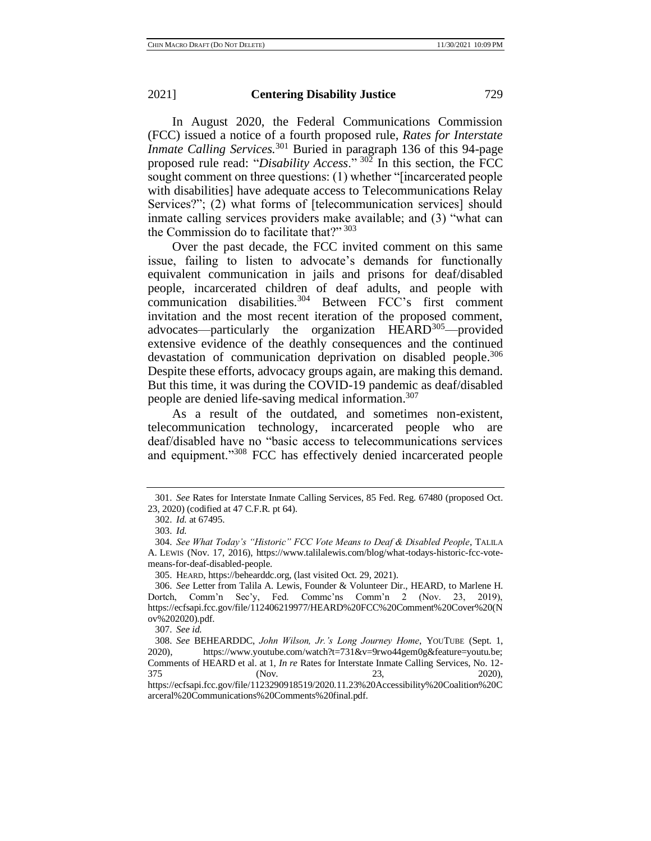In August 2020, the Federal Communications Commission (FCC) issued a notice of a fourth proposed rule, *Rates for Interstate Inmate Calling Services.*<sup>301</sup> Buried in paragraph 136 of this 94-page proposed rule read: "*Disability Access*." <sup>302</sup> In this section, the FCC sought comment on three questions: (1) whether "[incarcerated people with disabilities] have adequate access to Telecommunications Relay Services?"; (2) what forms of [telecommunication services] should inmate calling services providers make available; and (3) "what can the Commission do to facilitate that?"<sup>303</sup>

Over the past decade, the FCC invited comment on this same issue, failing to listen to advocate's demands for functionally equivalent communication in jails and prisons for deaf/disabled people, incarcerated children of deaf adults, and people with communication disabilities.<sup>304</sup> Between FCC's first comment invitation and the most recent iteration of the proposed comment, advocates—particularly the organization HEARD<sup>305</sup>—provided extensive evidence of the deathly consequences and the continued devastation of communication deprivation on disabled people.<sup>306</sup> Despite these efforts, advocacy groups again, are making this demand. But this time, it was during the COVID-19 pandemic as deaf/disabled people are denied life-saving medical information.<sup>307</sup>

As a result of the outdated, and sometimes non-existent, telecommunication technology, incarcerated people who are deaf/disabled have no "basic access to telecommunications services and equipment."<sup>308</sup> FCC has effectively denied incarcerated people

<sup>301.</sup> *See* Rates for Interstate Inmate Calling Services, 85 Fed. Reg. 67480 (proposed Oct. 23, 2020) (codified at 47 C.F.R. pt 64).

<sup>302.</sup> *Id.* at 67495.

<sup>303.</sup> *Id.*

<sup>304.</sup> *See What Today's "Historic" FCC Vote Means to Deaf & Disabled People*, TALILA A. LEWIS (Nov. 17, 2016), https://www.talilalewis.com/blog/what-todays-historic-fcc-votemeans-for-deaf-disabled-people.

<sup>305.</sup> HEARD, https://behearddc.org, (last visited Oct. 29, 2021).

<sup>306.</sup> *See* Letter from Talila A. Lewis, Founder & Volunteer Dir., HEARD, to Marlene H. Dortch, Comm'n Sec'y, Fed. Commc'ns Comm'n 2 (Nov. 23, 2019), https://ecfsapi.fcc.gov/file/112406219977/HEARD%20FCC%20Comment%20Cover%20(N ov%202020).pdf.

<sup>307.</sup> *See id.*

<sup>308.</sup> *See* BEHEARDDC, *John Wilson, Jr.'s Long Journey Home*, YOUTUBE (Sept. 1, 2020), https://www.youtube.com/watch?t=731&v=9rwo44gem0g&feature=youtu.be; Comments of HEARD et al. at 1, *In re* Rates for Interstate Inmate Calling Services, No. 12- 375 (Nov. 23, 2020), https://ecfsapi.fcc.gov/file/1123290918519/2020.11.23%20Accessibility%20Coalition%20C arceral%20Communications%20Comments%20final.pdf.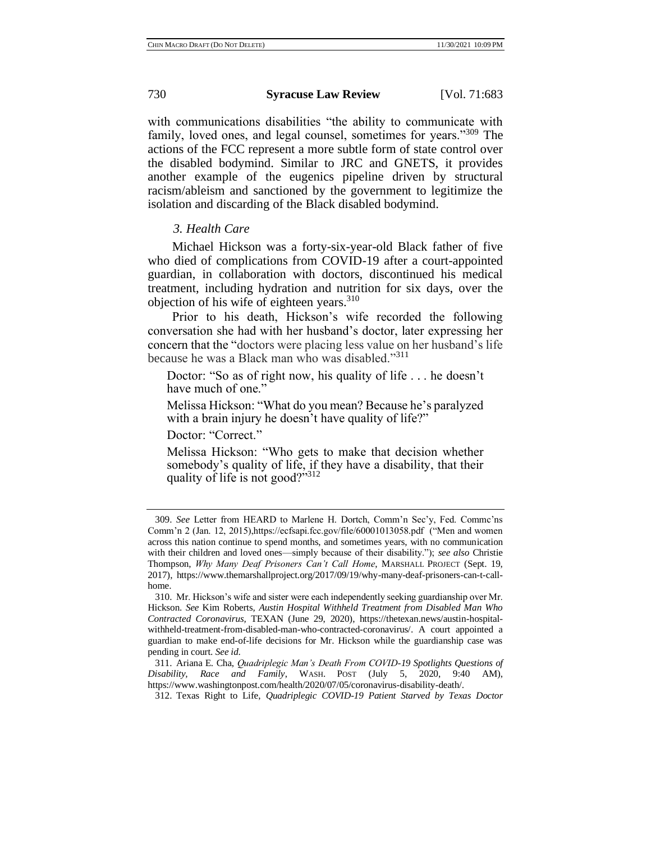with communications disabilities "the ability to communicate with family, loved ones, and legal counsel, sometimes for years."<sup>309</sup> The actions of the FCC represent a more subtle form of state control over the disabled bodymind. Similar to JRC and GNETS, it provides another example of the eugenics pipeline driven by structural racism/ableism and sanctioned by the government to legitimize the isolation and discarding of the Black disabled bodymind.

# *3. Health Care*

Michael Hickson was a forty-six-year-old Black father of five who died of complications from COVID-19 after a court-appointed guardian, in collaboration with doctors, discontinued his medical treatment, including hydration and nutrition for six days, over the objection of his wife of eighteen years. $310$ 

Prior to his death, Hickson's wife recorded the following conversation she had with her husband's doctor, later expressing her concern that the "doctors were placing less value on her husband's life because he was a Black man who was disabled."<sup>311</sup>

Doctor: "So as of right now, his quality of life . . . he doesn't have much of one."

Melissa Hickson: "What do you mean? Because he's paralyzed with a brain injury he doesn't have quality of life?"

Doctor: "Correct."

Melissa Hickson: "Who gets to make that decision whether somebody's quality of life, if they have a disability, that their quality of life is not good?"312

<sup>309.</sup> *See* Letter from HEARD to Marlene H. Dortch, Comm'n Sec'y, Fed. Commc'ns Comm'n 2 (Jan. 12, 2015),https://ecfsapi.fcc.gov/file/60001013058.pdf ("Men and women across this nation continue to spend months, and sometimes years, with no communication with their children and loved ones—simply because of their disability."); *see also* Christie Thompson, *Why Many Deaf Prisoners Can't Call Home*, MARSHALL PROJECT (Sept. 19, 2017), https://www.themarshallproject.org/2017/09/19/why-many-deaf-prisoners-can-t-callhome.

<sup>310.</sup> Mr. Hickson's wife and sister were each independently seeking guardianship over Mr. Hickson. *See* Kim Roberts*, Austin Hospital Withheld Treatment from Disabled Man Who Contracted Coronavirus,* TEXAN (June 29, 2020), https://thetexan.news/austin-hospitalwithheld-treatment-from-disabled-man-who-contracted-coronavirus/. A court appointed a guardian to make end-of-life decisions for Mr. Hickson while the guardianship case was pending in court. *See id*.

<sup>311.</sup> Ariana E. Cha, *Quadriplegic Man's Death From COVID-19 Spotlights Questions of Disability, Race and Family*, WASH. POST (July 5, 2020, 9:40 AM), https://www.washingtonpost.com/health/2020/07/05/coronavirus-disability-death/.

<sup>312.</sup> Texas Right to Life, *Quadriplegic COVID-19 Patient Starved by Texas Doctor*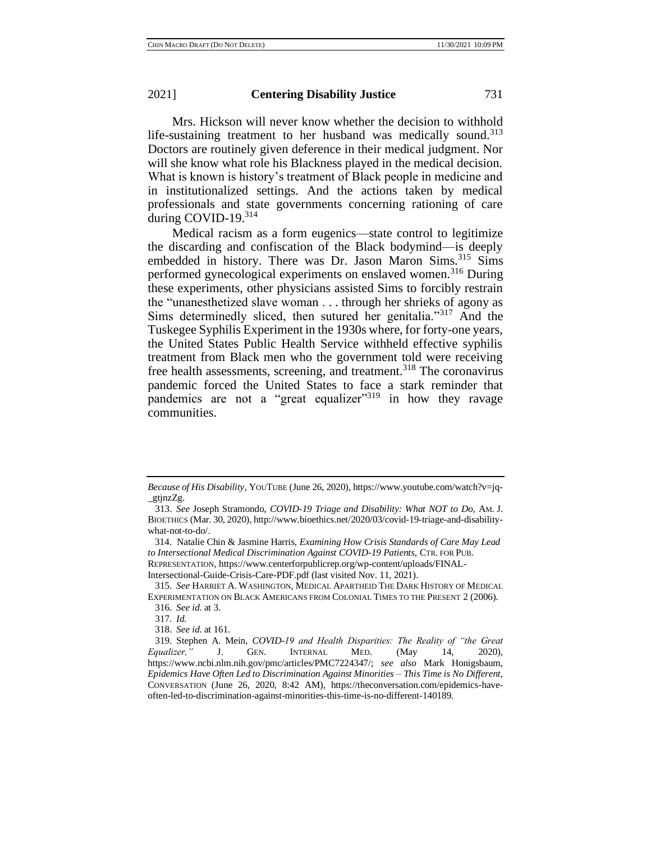Mrs. Hickson will never know whether the decision to withhold life-sustaining treatment to her husband was medically sound.<sup>313</sup> Doctors are routinely given deference in their medical judgment. Nor will she know what role his Blackness played in the medical decision. What is known is history's treatment of Black people in medicine and in institutionalized settings. And the actions taken by medical professionals and state governments concerning rationing of care during COVID-19.<sup>314</sup>

Medical racism as a form eugenics—state control to legitimize the discarding and confiscation of the Black bodymind—is deeply embedded in history. There was Dr. Jason Maron Sims.<sup>315</sup> Sims performed gynecological experiments on enslaved women.<sup>316</sup> During these experiments, other physicians assisted Sims to forcibly restrain the "unanesthetized slave woman . . . through her shrieks of agony as Sims determinedly sliced, then sutured her genitalia."<sup>317</sup> And the Tuskegee Syphilis Experiment in the 1930s where, for forty-one years, the United States Public Health Service withheld effective syphilis treatment from Black men who the government told were receiving free health assessments, screening, and treatment.<sup>318</sup> The coronavirus pandemic forced the United States to face a stark reminder that pandemics are not a "great equalizer"<sup>319</sup> in how they ravage communities.

315. *See* HARRIET A. WASHINGTON, MEDICAL APARTHEID THE DARK HISTORY OF MEDICAL EXPERIMENTATION ON BLACK AMERICANS FROM COLONIAL TIMES TO THE PRESENT 2 (2006). 316. *See id*. at 3.

*Because of His Disability*, YOUTUBE (June 26, 2020)[,](https://www.youtube.com/watch?v=jq-_gtjnzZg) https://www.youtube.com/watch?v=jq- \_gtjnzZg.

<sup>313.</sup> *See* Joseph Stramondo, *COVID-19 Triage and Disability: What NOT to Do*, AM. J. BIOETHICS (Mar. 30, 2020), http://www.bioethics.net/2020/03/covid-19-triage-and-disabilitywhat-not-to-do/.

<sup>314.</sup> Natalie Chin & Jasmine Harris, *Examining How Crisis Standards of Care May Lead to Intersectional Medical Discrimination Against COVID-19 Patients*, CTR. FOR PUB. REPRESENTATION, https://www.centerforpublicrep.org/wp-content/uploads/FINAL-Intersectional-Guide-Crisis-Care-PDF.pdf (last visited Nov. 11, 2021).

<sup>317</sup>*. Id.*

<sup>318.</sup> *See id*. at 161.

<sup>319.</sup> Stephen A. Mein, *COVID-19 and Health Disparities: The Reality of "the Great Equalizer,"* J. GEN. INTERNAL MED. (May 14, 2020), https://www.ncbi.nlm.nih.gov/pmc/articles/PMC7224347/; *see also* Mark Honigsbaum, *Epidemics Have Often Led to Discrimination Against Minorities – This Time is No Different*, CONVERSATION (June 26, 2020, 8:42 AM), https://theconversation.com/epidemics-haveoften-led-to-discrimination-against-minorities-this-time-is-no-different-140189.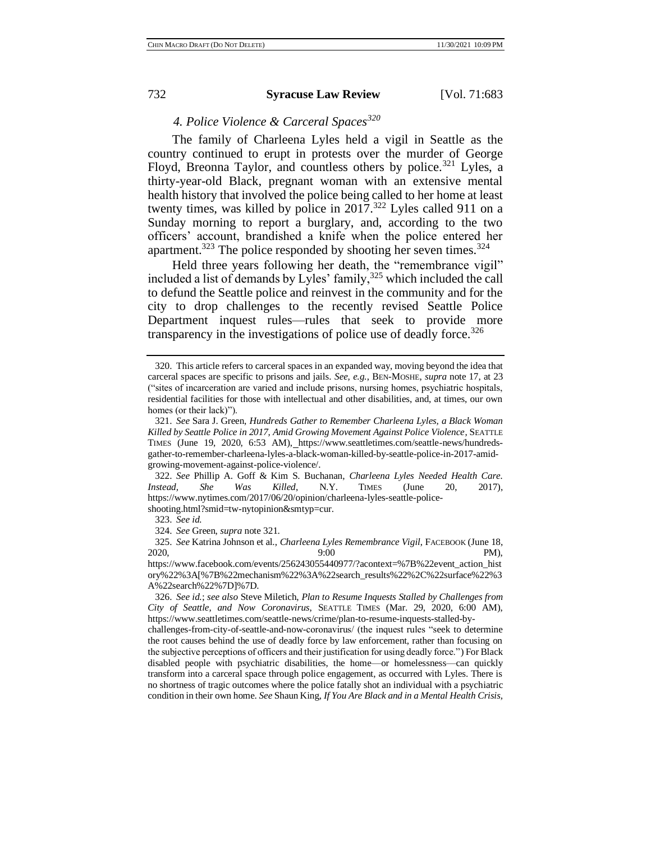*4. Police Violence & Carceral Spaces<sup>320</sup>*

The family of Charleena Lyles held a vigil in Seattle as the country continued to erupt in protests over the murder of George Floyd, Breonna Taylor, and countless others by police.<sup>321</sup> Lyles, a thirty-year-old Black, pregnant woman with an extensive mental health history that involved the police being called to her home at least twenty times, was killed by police in  $2017$ .<sup>322</sup> Lyles called 911 on a Sunday morning to report a burglary, and, according to the two officers' account, brandished a knife when the police entered her apartment.<sup>323</sup> The police responded by shooting her seven times.<sup>324</sup>

Held three years following her death, the "remembrance vigil" included a list of demands by Lyles' family,<sup>325</sup> which included the call to defund the Seattle police and reinvest in the community and for the city to drop challenges to the recently revised Seattle Police Department inquest rules—rules that seek to provide more transparency in the investigations of police use of deadly force.<sup>326</sup>

322. *See* Phillip A. Goff & Kim S. Buchanan, *Charleena Lyles Needed Health Care. Instead, She Was Killed*, N.Y. TIMES (June 20, 2017)[,](https://www.nytimes.com/2017/06/20/opinion/charleena-lyles-seattle-police-shooting.html?smid=tw-nytopinion&smtyp=cur) https://www.nytimes.com/2017/06/20/opinion/charleena-lyles-seattle-police-

shooting.html?smid=tw-nytopinion&smtyp=cur.

325. *See* Katrina Johnson et al., *Charleena Lyles Remembrance Vigil*, FACEBOOK (June 18, 2020, 9:00 PM)[,](https://www.facebook.com/events/256243055440977/?active_tab=discussion)

<sup>320.</sup> This article refers to carceral spaces in an expanded way, moving beyond the idea that carceral spaces are specific to prisons and jails. *See, e.g.*, BEN-MOSHE, *supra* note 17, at 23 ("sites of incarceration are varied and include prisons, nursing homes, psychiatric hospitals, residential facilities for those with intellectual and other disabilities, and, at times, our own homes (or their lack)").

<sup>321.</sup> *See* Sara J. Green, *Hundreds Gather to Remember Charleena Lyles, a Black Woman Killed by Seattle Police in 2017, Amid Growing Movement Against Police Violence*, SEATTLE TIMES (June 19, 2020, 6:53 AM), [h](https://www.seattletimes.com/seattle-news/hundreds-gather-to-remember-charleena-lyles-a-black-woman-killed-by-seattle-police-in-2017-amid-growing-movement-against-police-violence/)ttps://www.seattletimes.com/seattle-news/hundredsgather-to-remember-charleena-lyles-a-black-woman-killed-by-seattle-police-in-2017-amidgrowing-movement-against-police-violence/.

<sup>323.</sup> *See id.*

<sup>324.</sup> *See* Green, *supra* note 321.

https://www.facebook.com/events/256243055440977/?acontext=%7B%22event\_action\_hist ory%22%3A[%7B%22mechanism%22%3A%22search\_results%22%2C%22surface%22%3 A%22search%22%7D]%7D.

<sup>326.</sup> *See id.*; *see also* Steve Miletich, *Plan to Resume Inquests Stalled by Challenges from City of Seattle, and Now Coronavirus*, SEATTLE TIMES (Mar. 29, 2020, 6:00 AM), https://www.seattletimes.com/seattle-news/crime/plan-to-resume-inquests-stalled-by-

challenges-from-city-of-seattle-and-now-coronavirus/ (the inquest rules "seek to determine the root causes behind the use of deadly force by law enforcement, rather than focusing on the subjective perceptions of officers and their justification for using deadly force.") For Black disabled people with psychiatric disabilities, the home—or homelessness—can quickly transform into a carceral space through police engagement, as occurred with Lyles. There is no shortness of tragic outcomes where the police fatally shot an individual with a psychiatric condition in their own home. *See* Shaun King, *If You Are Black and in a Mental Health Crisis,*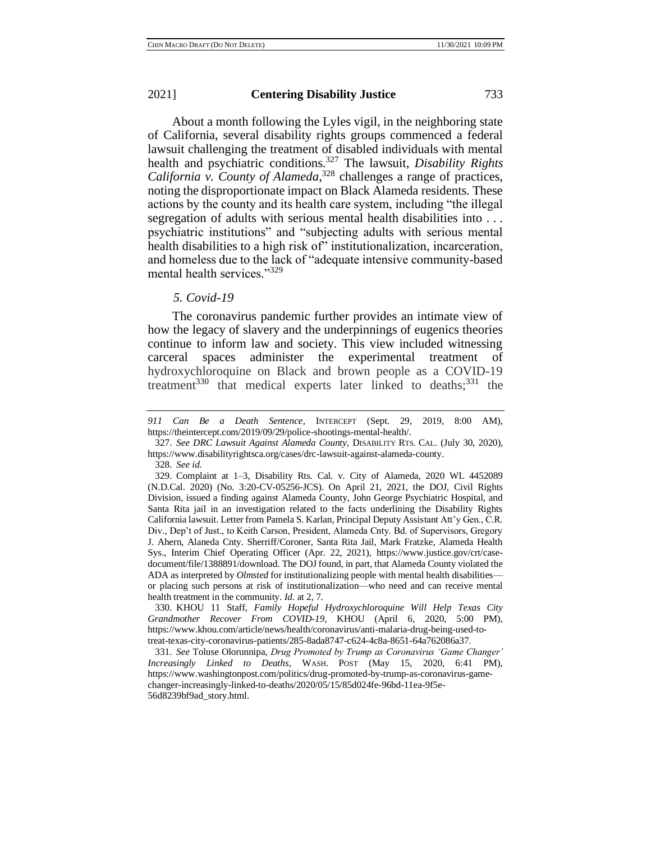About a month following the Lyles vigil, in the neighboring state of California, several disability rights groups commenced a federal lawsuit challenging the treatment of disabled individuals with mental health and psychiatric conditions.<sup>327</sup> The lawsuit, *Disability Rights California v. County of Alameda*, <sup>328</sup> challenges a range of practices, noting the disproportionate impact on Black Alameda residents. These actions by the county and its health care system, including "the illegal segregation of adults with serious mental health disabilities into . . . psychiatric institutions" and "subjecting adults with serious mental health disabilities to a high risk of" institutionalization, incarceration, and homeless due to the lack of "adequate intensive community-based mental health services."329

# *5. Covid-19*

The coronavirus pandemic further provides an intimate view of how the legacy of slavery and the underpinnings of eugenics theories continue to inform law and society. This view included witnessing carceral spaces administer the experimental treatment of hydroxychloroquine on Black and brown people as a COVID-19 treatment<sup>330</sup> that medical experts later linked to deaths;<sup>331</sup> the

327. *See DRC Lawsuit Against Alameda County*, DISABILITY RTS. CAL. (July 30, 2020), https://www.disabilityrightsca.org/cases/drc-lawsuit-against-alameda-county.

328. *See id.* 

330. KHOU 11 Staff, *Family Hopeful Hydroxychloroquine Will Help Texas City Grandmother Recover From COVID-19*, KHOU (April 6, 2020, 5:00 PM), https://www.khou.com/article/news/health/coronavirus/anti-malaria-drug-being-used-totreat-texas-city-coronavirus-patients/285-8ada8747-c624-4c8a-8651-64a762086a37.

331. *See* Toluse Olorunnipa, *Drug Promoted by Trump as Coronavirus 'Game Changer' Increasingly Linked to Deaths*, WASH. POST (May 15, 2020, 6:41 PM), https://www.washingtonpost.com/politics/drug-promoted-by-trump-as-coronavirus-gamechanger-increasingly-linked-to-deaths/2020/05/15/85d024fe-96bd-11ea-9f5e-56d8239bf9ad\_story.html.

*<sup>911</sup> Can Be a Death Sentence*, INTERCEPT (Sept. 29, 2019, 8:00 AM), https://theintercept.com/2019/09/29/police-shootings-mental-health/.

<sup>329.</sup> Complaint at 1–3, Disability Rts. Cal. v. City of Alameda, 2020 WL 4452089 (N.D.Cal. 2020) (No. 3:20-CV-05256-JCS). On April 21, 2021, the DOJ, Civil Rights Division, issued a finding against Alameda County, John George Psychiatric Hospital, and Santa Rita jail in an investigation related to the facts underlining the Disability Rights California lawsuit. Letter from Pamela S. Karlan, Principal Deputy Assistant Att'y Gen., C.R. Div., Dep't of Just., to Keith Carson, President, Alameda Cnty. Bd. of Supervisors, Gregory J. Ahern, Alaneda Cnty. Sherriff/Coroner, Santa Rita Jail, Mark Fratzke, Alameda Health Sys., Interim Chief Operating Officer (Apr. 22, 2021), https://www.justice.gov/crt/casedocument/file/1388891/download. The DOJ found, in part, that Alameda County violated the ADA as interpreted by *Olmsted* for institutionalizing people with mental health disabilities or placing such persons at risk of institutionalization—who need and can receive mental health treatment in the community*. Id.* at 2, 7.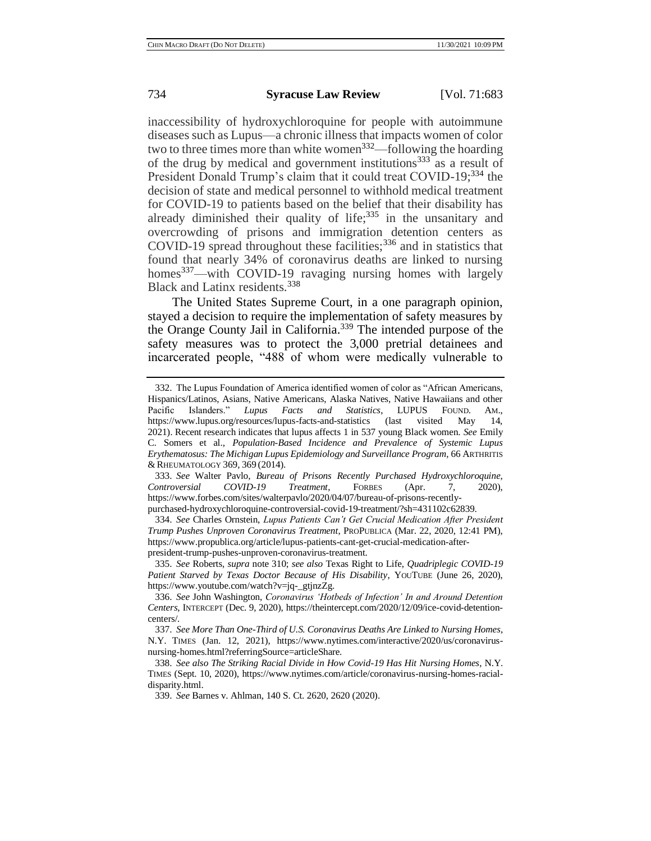inaccessibility of hydroxychloroquine for people with autoimmune diseases such as Lupus—a chronic illness that impacts women of color two to three times more than white women<sup>332</sup>—following the hoarding of the drug by medical and government institutions<sup>333</sup> as a result of President Donald Trump's claim that it could treat COVID-19;<sup>334</sup> the decision of state and medical personnel to withhold medical treatment for COVID-19 to patients based on the belief that their disability has already diminished their quality of life;<sup>335</sup> in the unsanitary and overcrowding of prisons and immigration detention centers as COVID-19 spread throughout these facilities;<sup>336</sup> and in statistics that found that nearly 34% of coronavirus deaths are linked to nursing homes<sup>337</sup>—with COVID-19 ravaging nursing homes with largely Black and Latinx residents.<sup>338</sup>

The United States Supreme Court, in a one paragraph opinion, stayed a decision to require the implementation of safety measures by the Orange County Jail in California.<sup>339</sup> The intended purpose of the safety measures was to protect the 3,000 pretrial detainees and incarcerated people, "488 of whom were medically vulnerable to

<sup>332.</sup> The Lupus Foundation of America identified women of color as "African Americans, Hispanics/Latinos, Asians, Native Americans, Alaska Natives, Native Hawaiians and other Pacific Islanders." *Lupus Facts and Statistics*, LUPUS FOUND. AM., https://www.lupus.org/resources/lupus-facts-and-statistics (last visited May 14, 2021). Recent research indicates that lupus affects 1 in 537 young Black women. *See* Emily C. Somers et al., *Population-Based Incidence and Prevalence of Systemic Lupus Erythematosus: The Michigan Lupus Epidemiology and Surveillance Program*, 66 ARTHRITIS & RHEUMATOLOGY 369, 369 (2014).

<sup>333.</sup> *See* Walter Pavlo, *Bureau of Prisons Recently Purchased Hydroxychloroquine, Controversial COVID-19 Treatment*, FORBES (Apr. 7, 2020), https://www.forbes.com/sites/walterpavlo/2020/04/07/bureau-of-prisons-recently-

purchased-hydroxychloroquine-controversial-covid-19-treatment/?sh=431102c62839. 334. *See* Charles Ornstein, *Lupus Patients Can't Get Crucial Medication After President* 

*Trump Pushes Unproven Coronavirus Treatment*, PROPUBLICA (Mar. 22, 2020, 12:41 PM), https://www.propublica.org/article/lupus-patients-cant-get-crucial-medication-afterpresident-trump-pushes-unproven-coronavirus-treatment.

<sup>335.</sup> *See* Roberts, *supra* note 310; *see also* Texas Right to Life, *Quadriplegic COVID-19 Patient Starved by Texas Doctor Because of His Disability*, YOUTUBE (June 26, 2020), https://www.youtube.com/watch?v=jq-\_gtjnzZg.

<sup>336.</sup> *See* John Washington, *Coronavirus 'Hotbeds of Infection' In and Around Detention Centers*, INTERCEPT (Dec. 9, 2020), https://theintercept.com/2020/12/09/ice-covid-detentioncenters/*.* 

<sup>337.</sup> *See More Than One-Third of U.S. Coronavirus Deaths Are Linked to Nursing Homes*, N.Y. TIMES (Jan. 12, 2021), https://www.nytimes.com/interactive/2020/us/coronavirusnursing-homes.html?referringSource=articleShare.

<sup>338.</sup> *See also The Striking Racial Divide in How Covid-19 Has Hit Nursing Homes*, N.Y. TIMES (Sept. 10, 2020), https://www.nytimes.com/article/coronavirus-nursing-homes-racialdisparity.html.

<sup>339.</sup> *See* Barnes v. Ahlman, 140 S. Ct. 2620, 2620 (2020).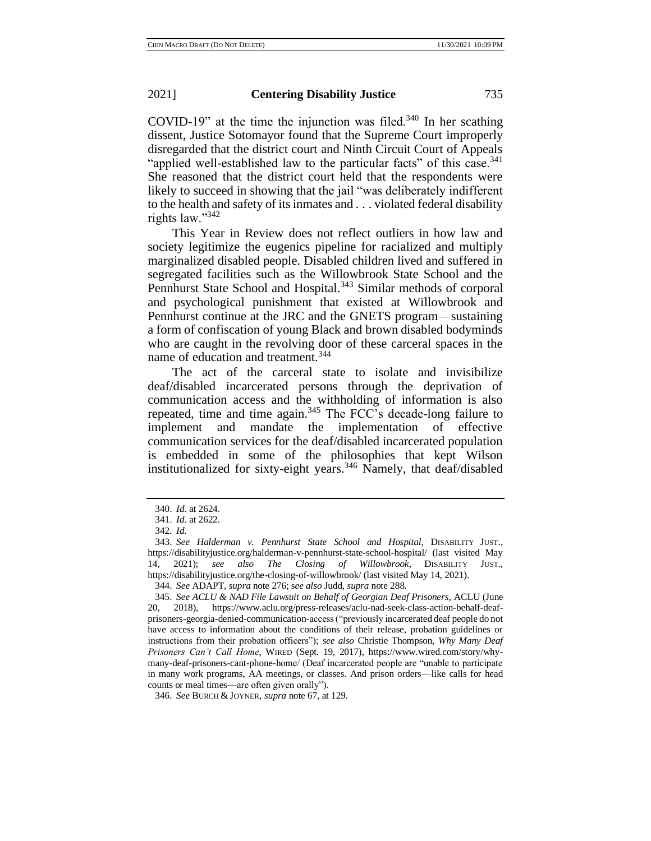COVID-19" at the time the injunction was filed.<sup>340</sup> In her scathing dissent, Justice Sotomayor found that the Supreme Court improperly disregarded that the district court and Ninth Circuit Court of Appeals "applied well-established law to the particular facts" of this case.<sup>341</sup> She reasoned that the district court held that the respondents were likely to succeed in showing that the jail "was deliberately indifferent to the health and safety of its inmates and . . . violated federal disability rights law."<sup>342</sup>

This Year in Review does not reflect outliers in how law and society legitimize the eugenics pipeline for racialized and multiply marginalized disabled people. Disabled children lived and suffered in segregated facilities such as the Willowbrook State School and the Pennhurst State School and Hospital.<sup>343</sup> Similar methods of corporal and psychological punishment that existed at Willowbrook and Pennhurst continue at the JRC and the GNETS program—sustaining a form of confiscation of young Black and brown disabled bodyminds who are caught in the revolving door of these carceral spaces in the name of education and treatment.<sup>344</sup>

The act of the carceral state to isolate and invisibilize deaf/disabled incarcerated persons through the deprivation of communication access and the withholding of information is also repeated, time and time again.<sup>345</sup> The FCC's decade-long failure to implement and mandate the implementation of effective communication services for the deaf/disabled incarcerated population is embedded in some of the philosophies that kept Wilson institutionalized for sixty-eight years.<sup>346</sup> Namely, that deaf/disabled

346. *See* BURCH & JOYNER, *supra* note 67, at 129.

<sup>340.</sup> *Id.* at 2624.

<sup>341.</sup> *Id*. at 2622.

<sup>342.</sup> *Id.*

<sup>343.</sup> *See Halderman v. Pennhurst State School and Hospital*, DISABILITY JUST., https://disabilityjustice.org/halderman-v-pennhurst-state-school-hospital/ (last visited May 14, 2021); *see also The Closing of Willowbrook*, DISABILITY JUST., https://disabilityjustice.org/the-closing-of-willowbrook/ (last visited May 14, 2021).

<sup>344.</sup> *See* ADAPT, *supra* note 276; s*ee also* Judd, *supra* note 288.

<sup>345.</sup> *See ACLU & NAD File Lawsuit on Behalf of Georgian Deaf Prisoners*, ACLU (June 20, 2018), https://www.aclu.org/press-releases/aclu-nad-seek-class-action-behalf-deafprisoners-georgia-denied-communication-access ("previously incarcerated deaf people do not have access to information about the conditions of their release, probation guidelines or instructions from their probation officers"); *see also* Christie Thompson, *Why Many Deaf Prisoners Can't Call Home*, WIRED (Sept. 19, 2017), https://www.wired.com/story/whymany-deaf-prisoners-cant-phone-home/ (Deaf incarcerated people are "unable to participate in many work programs, AA meetings, or classes. And prison orders—like calls for head counts or meal times—are often given orally").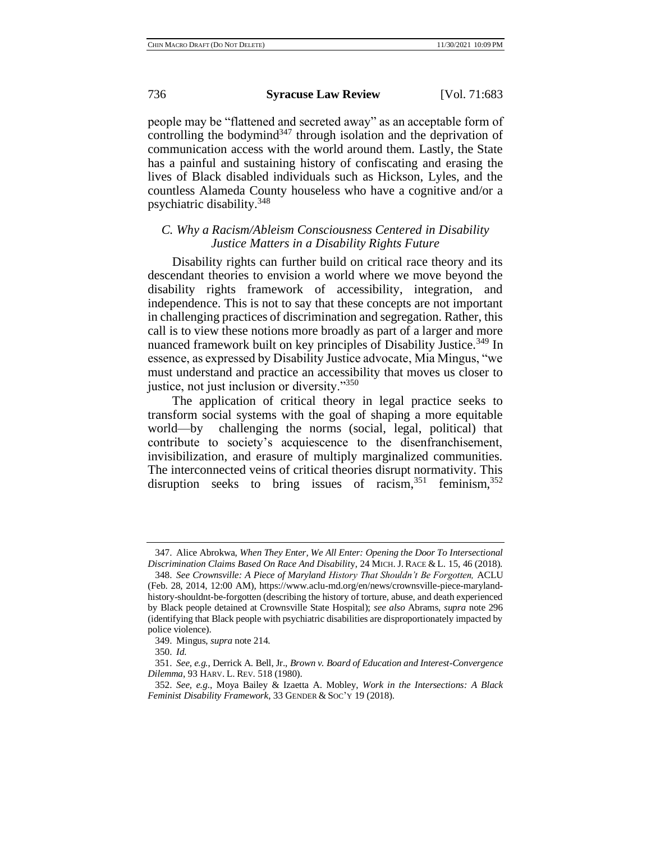people may be "flattened and secreted away" as an acceptable form of controlling the bodymind $347$  through isolation and the deprivation of communication access with the world around them. Lastly, the State has a painful and sustaining history of confiscating and erasing the lives of Black disabled individuals such as Hickson, Lyles, and the countless Alameda County houseless who have a cognitive and/or a psychiatric disability.<sup>348</sup>

# *C. Why a Racism/Ableism Consciousness Centered in Disability Justice Matters in a Disability Rights Future*

Disability rights can further build on critical race theory and its descendant theories to envision a world where we move beyond the disability rights framework of accessibility, integration, and independence. This is not to say that these concepts are not important in challenging practices of discrimination and segregation. Rather, this call is to view these notions more broadly as part of a larger and more nuanced framework built on key principles of Disability Justice.<sup>349</sup> In essence, as expressed by Disability Justice advocate, Mia Mingus, "we must understand and practice an accessibility that moves us closer to justice, not just inclusion or diversity."<sup>350</sup>

The application of critical theory in legal practice seeks to transform social systems with the goal of shaping a more equitable world—by challenging the norms (social, legal, political) that contribute to society's acquiescence to the disenfranchisement, invisibilization, and erasure of multiply marginalized communities. The interconnected veins of critical theories disrupt normativity. This disruption seeks to bring issues of racism,  $351$  feminism,  $352$ 

<sup>347.</sup> Alice Abrokwa, *When They Enter, We All Enter: Opening the Door To Intersectional Discrimination Claims Based On Race And Disabilit*y, 24 MICH. J. RACE & L. 15, 46 (2018).

<sup>348.</sup> *See Crownsville: A Piece of Maryland History That Shouldn't Be Forgotten,* ACLU (Feb. 28, 2014, 12:00 AM), https://www.aclu-md.org/en/news/crownsville-piece-marylandhistory-shouldnt-be-forgotten (describing the history of torture, abuse, and death experienced by Black people detained at Crownsville State Hospital); *see also* Abrams, *supra* note 296 (identifying that Black people with psychiatric disabilities are disproportionately impacted by police violence).

<sup>349.</sup> Mingus, *supra* note 214.

<sup>350.</sup> *Id.*

<sup>351.</sup> *See, e.g.*, Derrick A. Bell, Jr., *Brown v. Board of Education and Interest-Convergence Dilemma*, 93 HARV. L. REV. 518 (1980).

<sup>352.</sup> *See, e.g.*, Moya Bailey & Izaetta A. Mobley, *Work in the Intersections: A Black Feminist Disability Framework*, 33 GENDER & SOC'Y 19 (2018).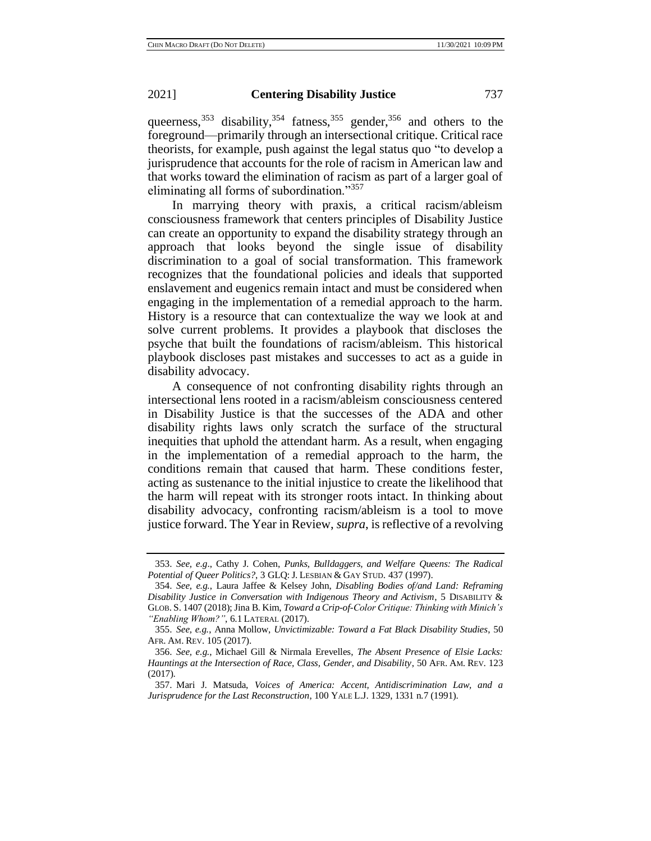queerness,  $353$  disability,  $354$  fatness,  $355$  gender,  $356$  and others to the foreground—primarily through an intersectional critique. Critical race theorists, for example, push against the legal status quo "to develop a jurisprudence that accounts for the role of racism in American law and that works toward the elimination of racism as part of a larger goal of eliminating all forms of subordination."<sup>357</sup>

In marrying theory with praxis, a critical racism/ableism consciousness framework that centers principles of Disability Justice can create an opportunity to expand the disability strategy through an approach that looks beyond the single issue of disability discrimination to a goal of social transformation. This framework recognizes that the foundational policies and ideals that supported enslavement and eugenics remain intact and must be considered when engaging in the implementation of a remedial approach to the harm. History is a resource that can contextualize the way we look at and solve current problems. It provides a playbook that discloses the psyche that built the foundations of racism/ableism. This historical playbook discloses past mistakes and successes to act as a guide in disability advocacy.

A consequence of not confronting disability rights through an intersectional lens rooted in a racism/ableism consciousness centered in Disability Justice is that the successes of the ADA and other disability rights laws only scratch the surface of the structural inequities that uphold the attendant harm. As a result, when engaging in the implementation of a remedial approach to the harm, the conditions remain that caused that harm. These conditions fester, acting as sustenance to the initial injustice to create the likelihood that the harm will repeat with its stronger roots intact. In thinking about disability advocacy, confronting racism/ableism is a tool to move justice forward. The Year in Review, *supra*, is reflective of a revolving

<sup>353.</sup> *See, e.g*., Cathy J. Cohen, *Punks, Bulldaggers, and Welfare Queens: The Radical Potential of Queer Politics?*, 3 GLQ: J. LESBIAN & GAY STUD. 437 (1997).

<sup>354.</sup> *See, e.g.*, Laura Jaffee & Kelsey John, *Disabling Bodies of/and Land: Reframing Disability Justice in Conversation with Indigenous Theory and Activism*, 5 DISABILITY & GLOB. S. 1407 (2018); Jina B. Kim, *Toward a Crip-of-Color Critique: Thinking with Minich's "Enabling Whom?"*, 6.1 LATERAL (2017).

<sup>355.</sup> *See, e.g.*, Anna Mollow, *Unvictimizable: Toward a Fat Black Disability Studies*, 50 AFR. AM. REV. 105 (2017).

<sup>356.</sup> *See, e.g.*, Michael Gill & Nirmala Erevelles, *The Absent Presence of Elsie Lacks: Hauntings at the Intersection of Race, Class, Gender, and Disability*, 50 AFR. AM. REV. 123 (2017).

<sup>357.</sup> Mari J. Matsuda, *Voices of America: Accent, Antidiscrimination Law, and a Jurisprudence for the Last Reconstruction*, 100 YALE L.J. 1329, 1331 n.7 (1991).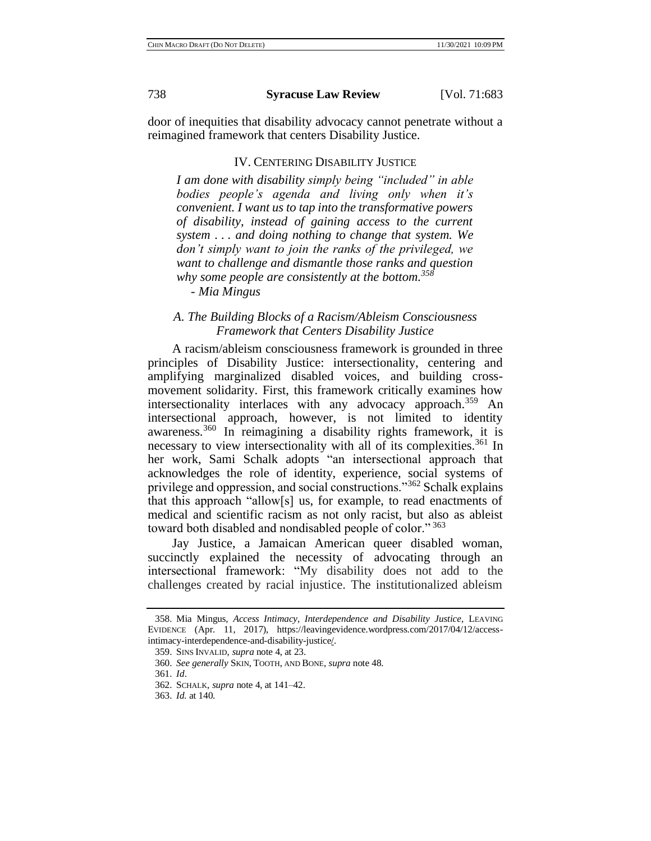door of inequities that disability advocacy cannot penetrate without a reimagined framework that centers Disability Justice.

# IV. CENTERING DISABILITY JUSTICE

*I am done with disability simply being "included" in able bodies people's agenda and living only when it's convenient. I want us to tap into the transformative powers of disability, instead of gaining access to the current system . . . and doing nothing to change that system. We don't simply want to join the ranks of the privileged, we want to challenge and dismantle those ranks and question why some people are consistently at the bottom.<sup>358</sup>*

*- Mia Mingus*

# *A. The Building Blocks of a Racism/Ableism Consciousness Framework that Centers Disability Justice*

A racism/ableism consciousness framework is grounded in three principles of Disability Justice: intersectionality, centering and amplifying marginalized disabled voices, and building crossmovement solidarity. First, this framework critically examines how intersectionality interlaces with any advocacy approach.<sup>359</sup> An intersectional approach, however, is not limited to identity awareness.<sup>360</sup> In reimagining a disability rights framework, it is necessary to view intersectionality with all of its complexities.<sup>361</sup> In her work, Sami Schalk adopts "an intersectional approach that acknowledges the role of identity, experience, social systems of privilege and oppression, and social constructions."<sup>362</sup> Schalk explains that this approach "allow[s] us, for example, to read enactments of medical and scientific racism as not only racist, but also as ableist toward both disabled and nondisabled people of color."<sup>363</sup>

Jay Justice, a Jamaican American queer disabled woman, succinctly explained the necessity of advocating through an intersectional framework: "My disability does not add to the challenges created by racial injustice. The institutionalized ableism

<sup>358.</sup> Mia Mingus, *Access Intimacy, Interdependence and Disability Justice*, LEAVING EVIDENCE (Apr. 11, 2017), https://leavingevidence.wordpress.com/2017/04/12/accessintimacy-interdependence-and-disability-justice/.

<sup>359.</sup> SINS INVALID, *supra* note 4, at 23.

<sup>360.</sup> *See generally* SKIN, TOOTH, AND BONE, *supra* note 48.

<sup>361.</sup> *Id*.

<sup>362.</sup> SCHALK, *supra* note 4, at 141–42.

<sup>363.</sup> *Id.* at 140.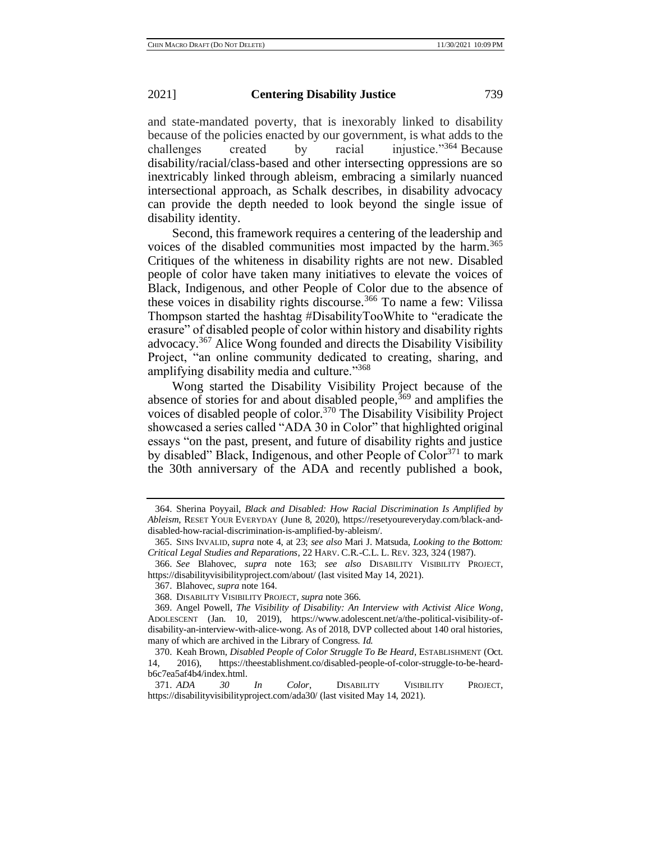and state-mandated poverty, that is inexorably linked to disability because of the policies enacted by our government, is what adds to the challenges created by racial injustice."<sup>364</sup> Because disability/racial/class-based and other intersecting oppressions are so inextricably linked through ableism, embracing a similarly nuanced intersectional approach, as Schalk describes, in disability advocacy can provide the depth needed to look beyond the single issue of disability identity.

Second, this framework requires a centering of the leadership and voices of the disabled communities most impacted by the harm.<sup>365</sup> Critiques of the whiteness in disability rights are not new. Disabled people of color have taken many initiatives to elevate the voices of Black, Indigenous, and other People of Color due to the absence of these voices in disability rights discourse.<sup>366</sup> To name a few: Vilissa Thompson started the hashtag #DisabilityTooWhite to "eradicate the erasure" of disabled people of color within history and disability rights advocacy.<sup>367</sup> Alice Wong founded and directs the Disability Visibility Project, "an online community dedicated to creating, sharing, and amplifying disability media and culture."368

Wong started the Disability Visibility Project because of the absence of stories for and about disabled people,  $369$  and amplifies the voices of disabled people of color.<sup>370</sup> The Disability Visibility Project showcased a series called "ADA 30 in Color" that highlighted original essays "on the past, present, and future of disability rights and justice by disabled" Black, Indigenous, and other People of Color<sup>371</sup> to mark the 30th anniversary of the ADA and recently published a book,

<sup>364.</sup> Sherina Poyyail, *Black and Disabled: How Racial Discrimination Is Amplified by Ableism*, RESET YOUR EVERYDAY (June 8, 2020), https://resetyoureveryday.com/black-anddisabled-how-racial-discrimination-is-amplified-by-ableism/.

<sup>365.</sup> SINS INVALID, *supra* note 4, at 23; *see also* Mari J. Matsuda, *Looking to the Bottom: Critical Legal Studies and Reparations*, 22 HARV. C.R.-C.L. L. REV. 323, 324 (1987).

<sup>366.</sup> *See* Blahovec, *supra* note 163; *see also* DISABILITY VISIBILITY PROJECT, https://disabilityvisibilityproject.com/about/ (last visited May 14, 2021).

<sup>367.</sup> Blahovec, *supra* note 164.

<sup>368.</sup> DISABILITY VISIBILITY PROJECT, *supra* note 366.

<sup>369.</sup> Angel Powell, *The Visibility of Disability: An Interview with Activist Alice Wong*, ADOLESCENT (Jan. 10, 2019), https://www.adolescent.net/a/the-political-visibility-ofdisability-an-interview-with-alice-wong. As of 2018, DVP collected about 140 oral histories, many of which are archived in the Library of Congress. *Id.*

<sup>370.</sup> Keah Brown, *Disabled People of Color Struggle To Be Heard*, ESTABLISHMENT (Oct. 14, 2016), https://theestablishment.co/disabled-people-of-color-struggle-to-be-heardb6c7ea5af4b4/index.html.

<sup>371.</sup> *ADA 30 In Color*, DISABILITY VISIBILITY PROJECT, https://disabilityvisibilityproject.com/ada30/ (last visited May 14, 2021).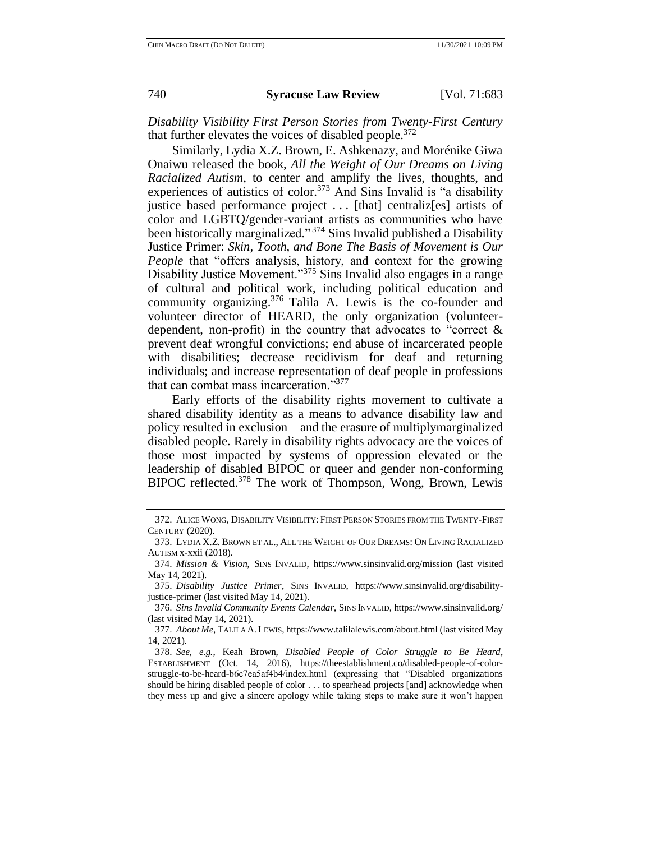*Disability Visibility First Person Stories from Twenty-First Century*  that further elevates the voices of disabled people.<sup>372</sup>

Similarly, Lydia X.Z. Brown, E. Ashkenazy, and Morénike Giwa Onaiwu released the book, *All the Weight of Our Dreams on Living Racialized Autism*, to center and amplify the lives, thoughts, and experiences of autistics of color.<sup>373</sup> And Sins Invalid is "a disability justice based performance project . . . [that] centraliz[es] artists of color and LGBTQ/gender-variant artists as communities who have been historically marginalized."<sup>374</sup> Sins Invalid published a Disability Justice Primer: *Skin, Tooth, and Bone The Basis of Movement is Our People* that "offers analysis, history, and context for the growing Disability Justice Movement."<sup>375</sup> Sins Invalid also engages in a range of cultural and political work, including political education and community organizing. $376$  Talila A. Lewis is the co-founder and volunteer director of HEARD, the only organization (volunteerdependent, non-profit) in the country that advocates to "correct & prevent deaf wrongful convictions; end abuse of incarcerated people with disabilities; decrease recidivism for deaf and returning individuals; and increase representation of deaf people in professions that can combat mass incarceration."<sup>377</sup>

Early efforts of the disability rights movement to cultivate a shared disability identity as a means to advance disability law and policy resulted in exclusion—and the erasure of multiplymarginalized disabled people. Rarely in disability rights advocacy are the voices of those most impacted by systems of oppression elevated or the leadership of disabled BIPOC or queer and gender non-conforming BIPOC reflected.<sup>378</sup> The work of Thompson, Wong, Brown, Lewis

<sup>372.</sup> ALICE WONG, DISABILITY VISIBILITY: FIRST PERSON STORIES FROM THE TWENTY-FIRST CENTURY (2020).

<sup>373.</sup> LYDIA X.Z. BROWN ET AL., ALL THE WEIGHT OF OUR DREAMS: ON LIVING RACIALIZED AUTISM x-xxii (2018).

<sup>374.</sup> *Mission & Vision*, SINS INVALID, https://www.sinsinvalid.org/mission (last visited May 14, 2021).

<sup>375.</sup> *Disability Justice Primer*, SINS INVALID, https://www.sinsinvalid.org/disabilityjustice-primer (last visited May 14, 2021).

<sup>376.</sup> *Sins Invalid Community Events Calendar*, SINS INVALID, https://www.sinsinvalid.org/ (last visited May 14, 2021).

<sup>377.</sup> *About Me*, TALILA A.LEWIS, https://www.talilalewis.com/about.html (last visited May 14, 2021).

<sup>378.</sup> *See, e.g.*, Keah Brown, *Disabled People of Color Struggle to Be Heard*, ESTABLISHMENT (Oct. 14, 2016), https://theestablishment.co/disabled-people-of-colorstruggle-to-be-heard-b6c7ea5af4b4/index.html (expressing that "Disabled organizations should be hiring disabled people of color . . . to spearhead projects [and] acknowledge when they mess up and give a sincere apology while taking steps to make sure it won't happen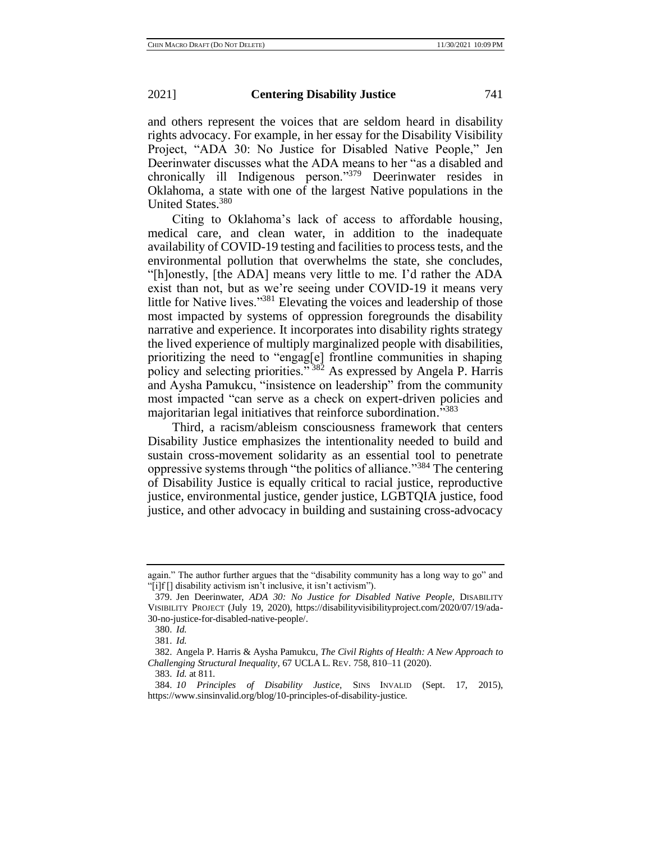and others represent the voices that are seldom heard in disability rights advocacy. For example, in her essay for the Disability Visibility Project, "ADA 30: No Justice for Disabled Native People," Jen Deerinwater discusses what the ADA means to her "as a disabled and chronically ill Indigenous person."<sup>379</sup> Deerinwater resides in Oklahoma, a state with one of the largest Native populations in the United States.<sup>380</sup>

Citing to Oklahoma's lack of access to affordable housing, medical care, and clean water, in addition to the inadequate availability of COVID-19 testing and facilities to process tests, and the environmental pollution that overwhelms the state, she concludes, "[h]onestly, [the ADA] means very little to me. I'd rather the ADA exist than not, but as we're seeing under COVID-19 it means very little for Native lives."<sup>381</sup> Elevating the voices and leadership of those most impacted by systems of oppression foregrounds the disability narrative and experience. It incorporates into disability rights strategy the lived experience of multiply marginalized people with disabilities, prioritizing the need to "engag[e] frontline communities in shaping policy and selecting priorities."<sup>382</sup> As expressed by Angela P. Harris and Aysha Pamukcu, "insistence on leadership" from the community most impacted "can serve as a check on expert-driven policies and majoritarian legal initiatives that reinforce subordination.<sup>5383</sup>

Third, a racism/ableism consciousness framework that centers Disability Justice emphasizes the intentionality needed to build and sustain cross-movement solidarity as an essential tool to penetrate oppressive systems through "the politics of alliance."<sup>384</sup> The centering of Disability Justice is equally critical to racial justice, reproductive justice, environmental justice, gender justice, LGBTQIA justice, food justice, and other advocacy in building and sustaining cross-advocacy

again." The author further argues that the "disability community has a long way to go" and "[i]f [] disability activism isn't inclusive, it isn't activism").

<sup>379.</sup> Jen Deerinwater, *ADA 30: No Justice for Disabled Native People*, DISABILITY VISIBILITY PROJECT (July 19, 2020), https://disabilityvisibilityproject.com/2020/07/19/ada-30-no-justice-for-disabled-native-people/.

<sup>380.</sup> *Id.*

<sup>381.</sup> *Id.*

<sup>382.</sup> Angela P. Harris & Aysha Pamukcu, *The Civil Rights of Health: A New Approach to Challenging Structural Inequality*, 67 UCLA L. REV. 758, 810–11 (2020).

<sup>383.</sup> *Id.* at 811.

<sup>384.</sup> *10 Principles of Disability Justice,* SINS INVALID (Sept. 17, 2015), https://www.sinsinvalid.org/blog/10-principles-of-disability-justice.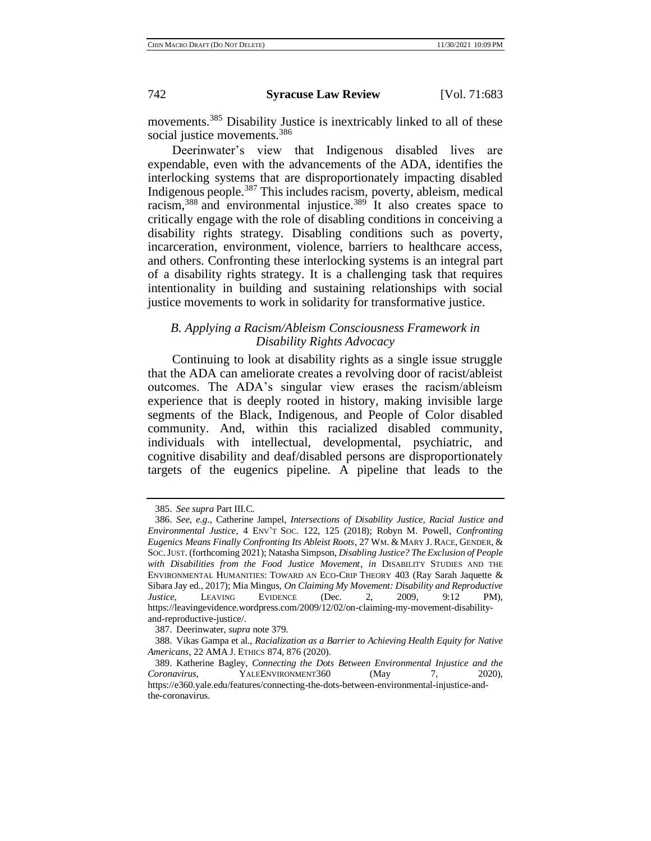movements.<sup>385</sup> Disability Justice is inextricably linked to all of these social justice movements.<sup>386</sup>

Deerinwater's view that Indigenous disabled lives are expendable, even with the advancements of the ADA, identifies the interlocking systems that are disproportionately impacting disabled Indigenous people.<sup>387</sup> This includes racism, poverty, ableism, medical racism, $388$  and environmental injustice. $389$  It also creates space to critically engage with the role of disabling conditions in conceiving a disability rights strategy. Disabling conditions such as poverty, incarceration, environment, violence, barriers to healthcare access, and others. Confronting these interlocking systems is an integral part of a disability rights strategy. It is a challenging task that requires intentionality in building and sustaining relationships with social justice movements to work in solidarity for transformative justice.

# *B. Applying a Racism/Ableism Consciousness Framework in Disability Rights Advocacy*

Continuing to look at disability rights as a single issue struggle that the ADA can ameliorate creates a revolving door of racist/ableist outcomes. The ADA's singular view erases the racism/ableism experience that is deeply rooted in history, making invisible large segments of the Black, Indigenous, and People of Color disabled community. And, within this racialized disabled community, individuals with intellectual, developmental, psychiatric, and cognitive disability and deaf/disabled persons are disproportionately targets of the eugenics pipeline. A pipeline that leads to the

<sup>385.</sup> *See supra* Part III.C.

<sup>386.</sup> *See, e.g.*, Catherine Jampel, *Intersections of Disability Justice, Racial Justice and Environmental Justice*, 4 ENV'T SOC. 122, 125 (2018); Robyn M. Powell, *Confronting*  Eugenics Means Finally Confronting Its Ableist Roots, 27 WM. & MARY J. RACE, GENDER, & SOC.JUST. (forthcoming 2021); Natasha Simpson, *Disabling Justice? The Exclusion of People with Disabilities from the Food Justice Movement*, *in* DISABILITY STUDIES AND THE ENVIRONMENTAL HUMANITIES: TOWARD AN ECO-CRIP THEORY 403 (Ray Sarah Jaquette & Sibara Jay ed., 2017); Mia Mingus, *On Claiming My Movement: Disability and Reproductive Justice*, LEAVING EVIDENCE (Dec. 2, 2009, 9:12 PM), https://leavingevidence.wordpress.com/2009/12/02/on-claiming-my-movement-disabilityand-reproductive-justice/.

<sup>387.</sup> Deerinwater, *supra* note 379.

<sup>388.</sup> Vikas Gampa et al., *Racialization as a Barrier to Achieving Health Equity for Native Americans*, 22 AMA J. ETHICS 874, 876 (2020).

<sup>389.</sup> Katherine Bagley, *Connecting the Dots Between Environmental Injustice and the Coronavirus*, YALEENVIRONMENT360 (May 7, 2020), https://e360.yale.edu/features/connecting-the-dots-between-environmental-injustice-andthe-coronavirus.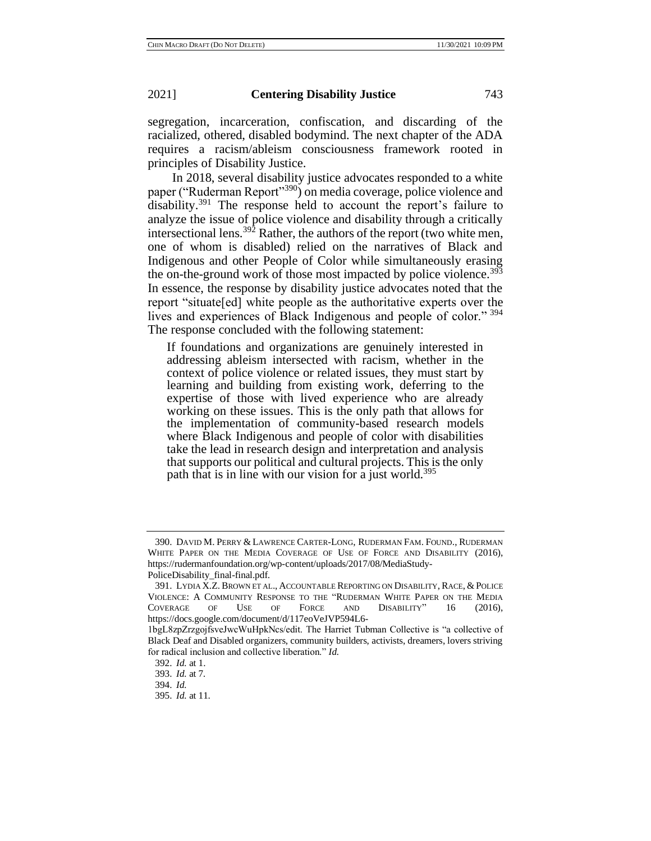segregation, incarceration, confiscation, and discarding of the racialized, othered, disabled bodymind. The next chapter of the ADA requires a racism/ableism consciousness framework rooted in principles of Disability Justice.

In 2018, several disability justice advocates responded to a white paper ("Ruderman Report"<sup>390</sup>) on media coverage, police violence and disability.<sup>391</sup> The response held to account the report's failure to analyze the issue of police violence and disability through a critically intersectional lens.<sup>392</sup> Rather, the authors of the report (two white men, one of whom is disabled) relied on the narratives of Black and Indigenous and other People of Color while simultaneously erasing the on-the-ground work of those most impacted by police violence.<sup>393</sup> In essence, the response by disability justice advocates noted that the report "situate[ed] white people as the authoritative experts over the lives and experiences of Black Indigenous and people of color." <sup>394</sup> The response concluded with the following statement:

If foundations and organizations are genuinely interested in addressing ableism intersected with racism, whether in the context of police violence or related issues, they must start by learning and building from existing work, deferring to the expertise of those with lived experience who are already working on these issues. This is the only path that allows for the implementation of community-based research models where Black Indigenous and people of color with disabilities take the lead in research design and interpretation and analysis that supports our political and cultural projects. This is the only path that is in line with our vision for a just world.<sup>395</sup>

<sup>390.</sup> DAVID M. PERRY & LAWRENCE CARTER-LONG, RUDERMAN FAM. FOUND., RUDERMAN WHITE PAPER ON THE MEDIA COVERAGE OF USE OF FORCE AND DISABILITY (2016), https://rudermanfoundation.org/wp-content/uploads/2017/08/MediaStudy-PoliceDisability\_final-final.pdf.

<sup>391.</sup> LYDIA X.Z. BROWN ET AL., ACCOUNTABLE REPORTING ON DISABILITY, RACE, &POLICE VIOLENCE: A COMMUNITY RESPONSE TO THE "RUDERMAN WHITE PAPER ON THE MEDIA COVERAGE OF USE OF FORCE AND DISABILITY" 16 (2016), https://docs.google.com/document/d/117eoVeJVP594L6-

<sup>1</sup>bgL8zpZrzgojfsveJwcWuHpkNcs/edit. The Harriet Tubman Collective is "a collective of Black Deaf and Disabled organizers, community builders, activists, dreamers, lovers striving for radical inclusion and collective liberation." *Id.*

<sup>392.</sup> *Id.* at 1.

<sup>393.</sup> *Id.* at 7*.*

<sup>394.</sup> *Id.*

<sup>395.</sup> *Id.* at 11.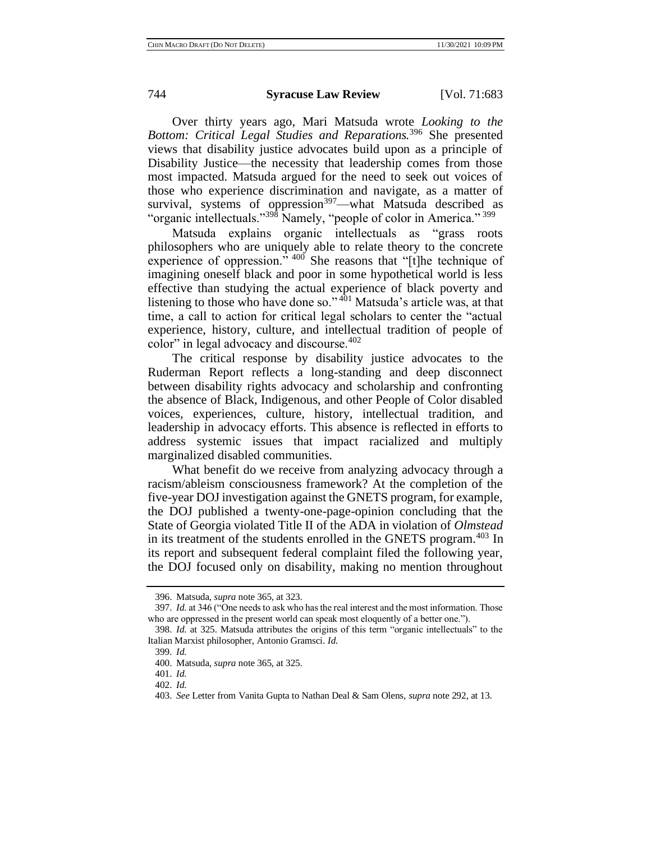Over thirty years ago, Mari Matsuda wrote *Looking to the Bottom: Critical Legal Studies and Reparations.*<sup>396</sup> She presented views that disability justice advocates build upon as a principle of Disability Justice—the necessity that leadership comes from those most impacted. Matsuda argued for the need to seek out voices of those who experience discrimination and navigate, as a matter of survival, systems of oppression<sup>397</sup>-what Matsuda described as "organic intellectuals."<sup>398</sup> Namely, "people of color in America."<sup>399</sup>

Matsuda explains organic intellectuals as "grass roots philosophers who are uniquely able to relate theory to the concrete experience of oppression."  $400^\circ$  She reasons that "[t]he technique of imagining oneself black and poor in some hypothetical world is less effective than studying the actual experience of black poverty and listening to those who have done so."<sup>401</sup> Matsuda's article was, at that time, a call to action for critical legal scholars to center the "actual experience, history, culture, and intellectual tradition of people of color" in legal advocacy and discourse. $402$ 

The critical response by disability justice advocates to the Ruderman Report reflects a long-standing and deep disconnect between disability rights advocacy and scholarship and confronting the absence of Black, Indigenous, and other People of Color disabled voices, experiences, culture, history, intellectual tradition, and leadership in advocacy efforts. This absence is reflected in efforts to address systemic issues that impact racialized and multiply marginalized disabled communities.

What benefit do we receive from analyzing advocacy through a racism/ableism consciousness framework? At the completion of the five-year DOJ investigation against the GNETS program, for example, the DOJ published a twenty-one-page-opinion concluding that the State of Georgia violated Title II of the ADA in violation of *Olmstead* in its treatment of the students enrolled in the GNETS program.<sup>403</sup> In its report and subsequent federal complaint filed the following year, the DOJ focused only on disability, making no mention throughout

<sup>396.</sup> Matsuda, *supra* note 365, at 323.

<sup>397.</sup> *Id.* at 346 ("One needs to ask who has the real interest and the most information. Those who are oppressed in the present world can speak most eloquently of a better one.").

<sup>398.</sup> *Id.* at 325. Matsuda attributes the origins of this term "organic intellectuals" to the Italian Marxist philosopher, Antonio Gramsci. *Id.*

<sup>399.</sup> *Id.*

<sup>400.</sup> Matsuda, *supra* note 365, at 325.

<sup>401.</sup> *Id.*

<sup>402.</sup> *Id.*

<sup>403.</sup> *See* Letter from Vanita Gupta to Nathan Deal & Sam Olens, *supra* note 292, at 13.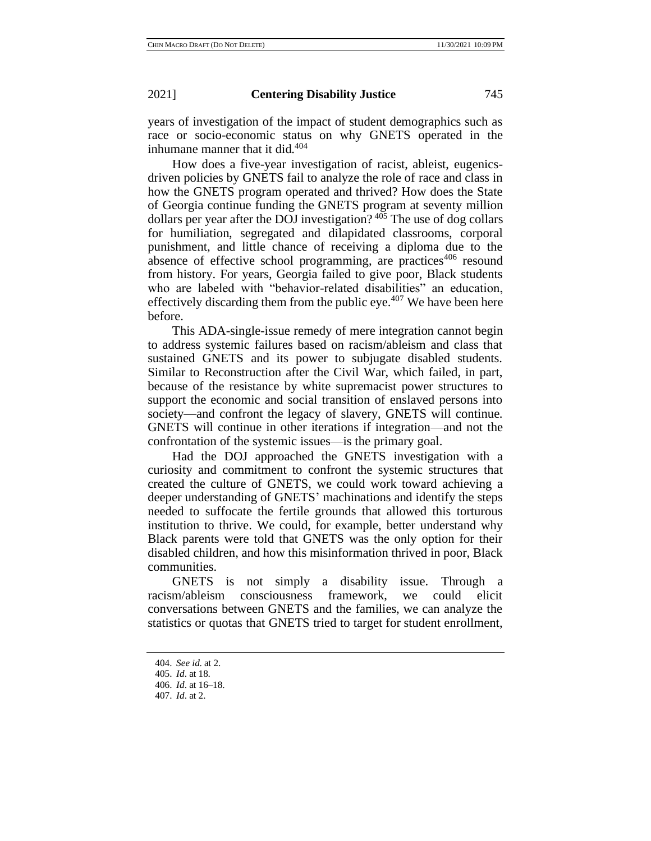years of investigation of the impact of student demographics such as race or socio-economic status on why GNETS operated in the inhumane manner that it did.<sup>404</sup>

How does a five-year investigation of racist, ableist, eugenicsdriven policies by GNETS fail to analyze the role of race and class in how the GNETS program operated and thrived? How does the State of Georgia continue funding the GNETS program at seventy million dollars per year after the DOJ investigation? <sup>405</sup> The use of dog collars for humiliation, segregated and dilapidated classrooms, corporal punishment, and little chance of receiving a diploma due to the absence of effective school programming, are practices<sup>406</sup> resound from history. For years, Georgia failed to give poor, Black students who are labeled with "behavior-related disabilities" an education, effectively discarding them from the public eye.<sup> $407$ </sup> We have been here before.

This ADA-single-issue remedy of mere integration cannot begin to address systemic failures based on racism/ableism and class that sustained GNETS and its power to subjugate disabled students. Similar to Reconstruction after the Civil War, which failed, in part, because of the resistance by white supremacist power structures to support the economic and social transition of enslaved persons into society—and confront the legacy of slavery, GNETS will continue. GNETS will continue in other iterations if integration—and not the confrontation of the systemic issues—is the primary goal.

Had the DOJ approached the GNETS investigation with a curiosity and commitment to confront the systemic structures that created the culture of GNETS, we could work toward achieving a deeper understanding of GNETS' machinations and identify the steps needed to suffocate the fertile grounds that allowed this torturous institution to thrive. We could, for example, better understand why Black parents were told that GNETS was the only option for their disabled children, and how this misinformation thrived in poor, Black communities.

GNETS is not simply a disability issue. Through a racism/ableism consciousness framework, we could elicit conversations between GNETS and the families, we can analyze the statistics or quotas that GNETS tried to target for student enrollment,

<sup>404.</sup> *See id*. at 2.

<sup>405.</sup> *Id*. at 18.

<sup>406.</sup> *Id*. at 16–18.

<sup>407.</sup> *Id*. at 2.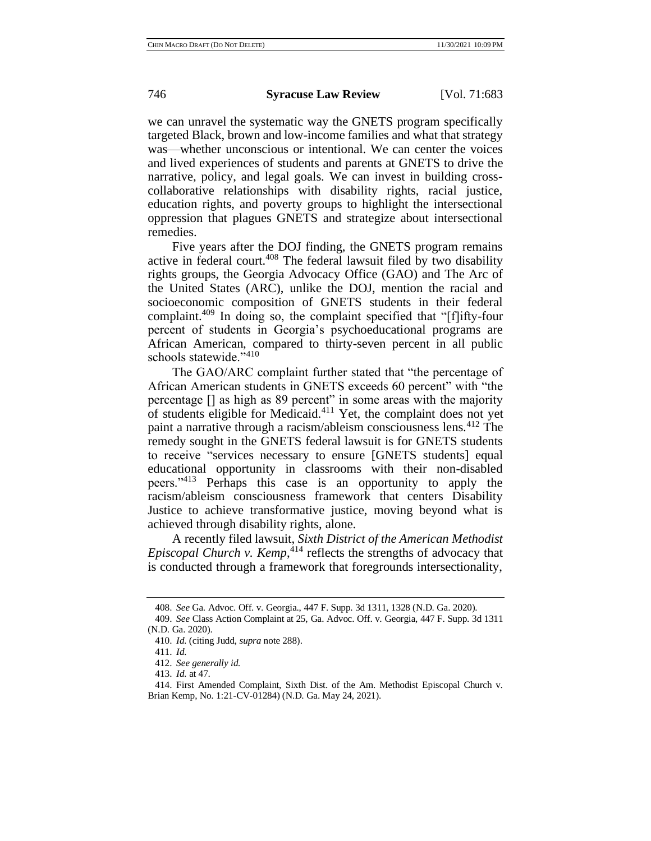we can unravel the systematic way the GNETS program specifically targeted Black, brown and low-income families and what that strategy was—whether unconscious or intentional. We can center the voices and lived experiences of students and parents at GNETS to drive the narrative, policy, and legal goals. We can invest in building crosscollaborative relationships with disability rights, racial justice, education rights, and poverty groups to highlight the intersectional oppression that plagues GNETS and strategize about intersectional remedies.

Five years after the DOJ finding, the GNETS program remains active in federal court.<sup>408</sup> The federal lawsuit filed by two disability rights groups, the Georgia Advocacy Office (GAO) and The Arc of the United States (ARC), unlike the DOJ, mention the racial and socioeconomic composition of GNETS students in their federal complaint.<sup>409</sup> In doing so, the complaint specified that "[f]ifty-four percent of students in Georgia's psychoeducational programs are African American, compared to thirty-seven percent in all public schools statewide."410

The GAO/ARC complaint further stated that "the percentage of African American students in GNETS exceeds 60 percent" with "the percentage [] as high as 89 percent" in some areas with the majority of students eligible for Medicaid. $411$  Yet, the complaint does not yet paint a narrative through a racism/ableism consciousness lens.<sup>412</sup> The remedy sought in the GNETS federal lawsuit is for GNETS students to receive "services necessary to ensure [GNETS students] equal educational opportunity in classrooms with their non-disabled peers."<sup>413</sup> Perhaps this case is an opportunity to apply the racism/ableism consciousness framework that centers Disability Justice to achieve transformative justice, moving beyond what is achieved through disability rights, alone.

A recently filed lawsuit, *Sixth District of the American Methodist Episcopal Church v. Kemp*, <sup>414</sup> reflects the strengths of advocacy that is conducted through a framework that foregrounds intersectionality,

<sup>408.</sup> *See* Ga. Advoc. Off. v. Georgia., 447 F. Supp. 3d 1311, 1328 (N.D. Ga. 2020).

<sup>409.</sup> *See* Class Action Complaint at 25, Ga. Advoc. Off. v. Georgia, 447 F. Supp. 3d 1311 (N.D. Ga. 2020).

<sup>410.</sup> *Id.* (citing Judd, *supra* note 288).

<sup>411.</sup> *Id.*

<sup>412.</sup> *See generally id.*

<sup>413.</sup> *Id.* at 47.

<sup>414.</sup> First Amended Complaint, Sixth Dist. of the Am. Methodist Episcopal Church v. Brian Kemp, No. 1:21-CV-01284) (N.D. Ga. May 24, 2021).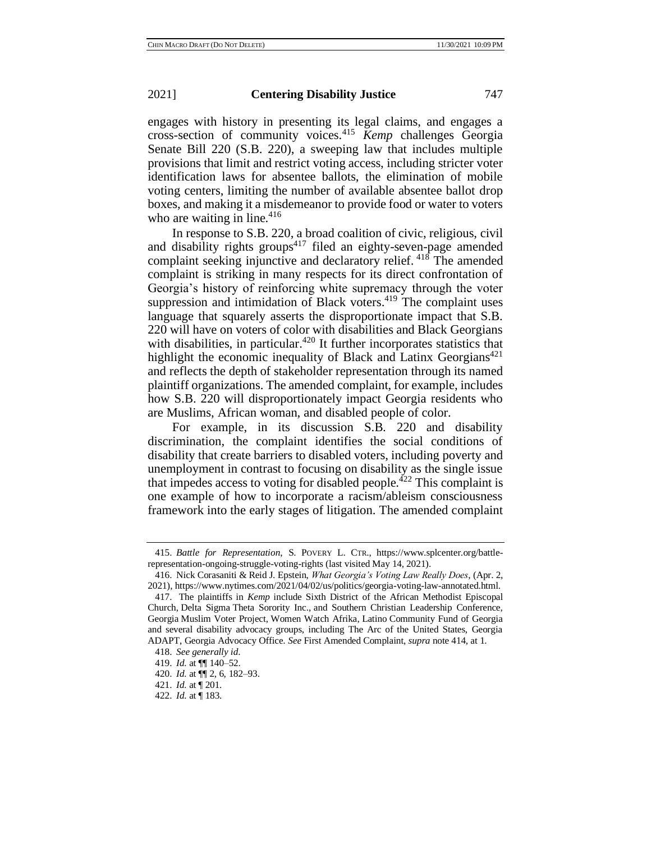engages with history in presenting its legal claims, and engages a cross-section of community voices.<sup>415</sup> *Kemp* challenges Georgia Senate Bill 220 (S.B. 220), a sweeping law that includes multiple provisions that limit and restrict voting access, including stricter voter identification laws for absentee ballots, the elimination of mobile voting centers, limiting the number of available absentee ballot drop boxes, and making it a misdemeanor to provide food or water to voters who are waiting in line.<sup>416</sup>

In response to S.B. 220, a broad coalition of civic, religious, civil and disability rights groups $4^{17}$  filed an eighty-seven-page amended complaint seeking injunctive and declaratory relief. <sup>418</sup> The amended complaint is striking in many respects for its direct confrontation of Georgia's history of reinforcing white supremacy through the voter suppression and intimidation of Black voters.<sup>419</sup> The complaint uses language that squarely asserts the disproportionate impact that S.B. 220 will have on voters of color with disabilities and Black Georgians with disabilities, in particular.<sup>420</sup> It further incorporates statistics that highlight the economic inequality of Black and Latinx Georgians<sup>421</sup> and reflects the depth of stakeholder representation through its named plaintiff organizations. The amended complaint, for example, includes how S.B. 220 will disproportionately impact Georgia residents who are Muslims, African woman, and disabled people of color.

For example, in its discussion S.B. 220 and disability discrimination, the complaint identifies the social conditions of disability that create barriers to disabled voters, including poverty and unemployment in contrast to focusing on disability as the single issue that impedes access to voting for disabled people.<sup> $422$ </sup> This complaint is one example of how to incorporate a racism/ableism consciousness framework into the early stages of litigation. The amended complaint

<sup>415.</sup> *Battle for Representation*, S. POVERY L. CTR., https://www.splcenter.org/battlerepresentation-ongoing-struggle-voting-rights (last visited May 14, 2021).

<sup>416.</sup> Nick Corasaniti & Reid J. Epstein, *What Georgia's Voting Law Really Does*, (Apr. 2, 2021), https://www.nytimes.com/2021/04/02/us/politics/georgia-voting-law-annotated.html.

<sup>417.</sup> The plaintiffs in *Kemp* include Sixth District of the African Methodist Episcopal Church, Delta Sigma Theta Sorority Inc., and Southern Christian Leadership Conference, Georgia Muslim Voter Project, Women Watch Afrika, Latino Community Fund of Georgia and several disability advocacy groups, including The Arc of the United States, Georgia ADAPT, Georgia Advocacy Office. *See* First Amended Complaint, *supra* note 414, at 1.

<sup>418.</sup> *See generally id*.

<sup>419.</sup> *Id.* at ¶¶ 140–52.

<sup>420.</sup> *Id.* at ¶¶ 2, 6, 182–93.

<sup>421.</sup> *Id.* at ¶ 201.

<sup>422.</sup> *Id.* at ¶ 183.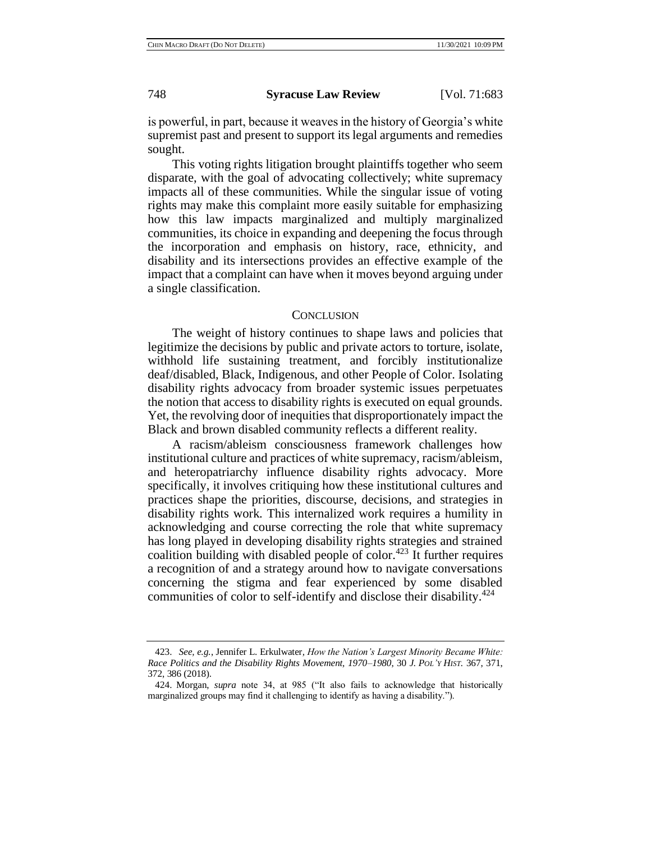is powerful, in part, because it weaves in the history of Georgia's white supremist past and present to support its legal arguments and remedies sought.

This voting rights litigation brought plaintiffs together who seem disparate, with the goal of advocating collectively; white supremacy impacts all of these communities. While the singular issue of voting rights may make this complaint more easily suitable for emphasizing how this law impacts marginalized and multiply marginalized communities, its choice in expanding and deepening the focus through the incorporation and emphasis on history, race, ethnicity, and disability and its intersections provides an effective example of the impact that a complaint can have when it moves beyond arguing under a single classification.

## **CONCLUSION**

The weight of history continues to shape laws and policies that legitimize the decisions by public and private actors to torture, isolate, withhold life sustaining treatment, and forcibly institutionalize deaf/disabled, Black, Indigenous, and other People of Color. Isolating disability rights advocacy from broader systemic issues perpetuates the notion that access to disability rights is executed on equal grounds. Yet, the revolving door of inequities that disproportionately impact the Black and brown disabled community reflects a different reality.

A racism/ableism consciousness framework challenges how institutional culture and practices of white supremacy, racism/ableism, and heteropatriarchy influence disability rights advocacy. More specifically, it involves critiquing how these institutional cultures and practices shape the priorities, discourse, decisions, and strategies in disability rights work. This internalized work requires a humility in acknowledging and course correcting the role that white supremacy has long played in developing disability rights strategies and strained coalition building with disabled people of color.<sup>423</sup> It further requires a recognition of and a strategy around how to navigate conversations concerning the stigma and fear experienced by some disabled communities of color to self-identify and disclose their disability.<sup> $424$ </sup>

<sup>423.</sup> *See, e.g.*, Jennifer L. Erkulwater*, How the Nation's Largest Minority Became White: Race Politics and the Disability Rights Movement, 1970–1980*, 30 *J. POL'Y HIST.* 367, 371, 372, 386 (2018).

<sup>424.</sup> Morgan, *supra* note 34, at 985 ("It also fails to acknowledge that historically marginalized groups may find it challenging to identify as having a disability.").